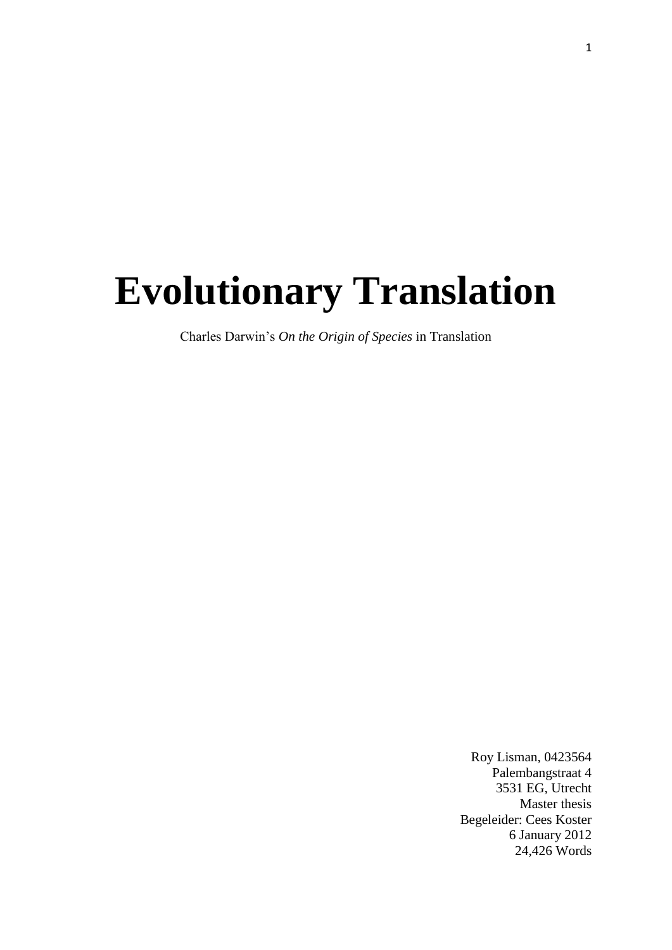# **Evolutionary Translation**

Charles Darwin's *On the Origin of Species* in Translation

Roy Lisman, 0423564 Palembangstraat 4 3531 EG, Utrecht Master thesis Begeleider: Cees Koster 6 January 2012 24,426 Words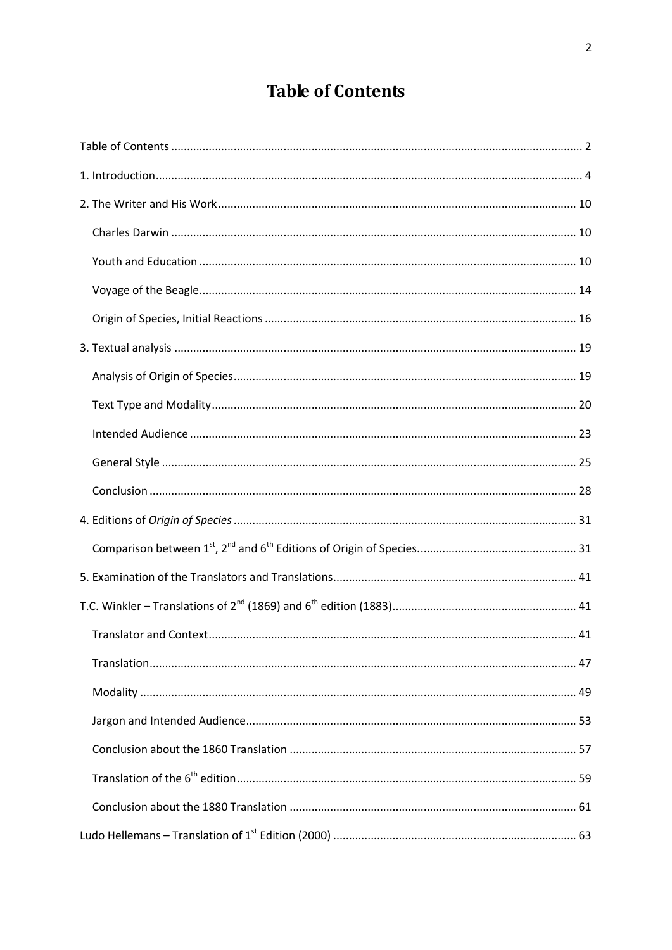## **Table of Contents**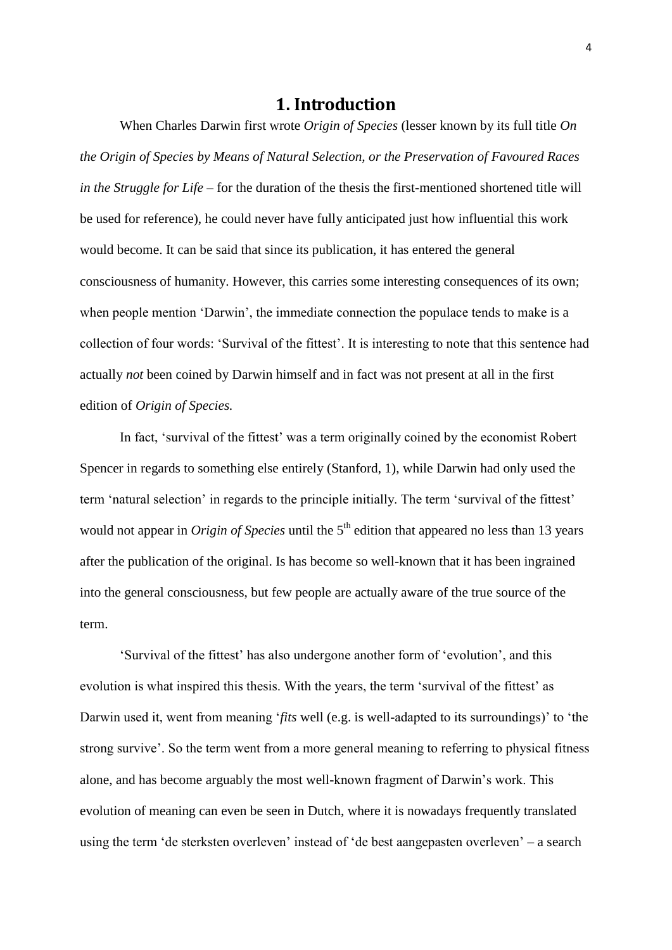## **1. Introduction**

When Charles Darwin first wrote *Origin of Species* (lesser known by its full title *On the Origin of Species by Means of Natural Selection, or the Preservation of Favoured Races in the Struggle for Life* – for the duration of the thesis the first-mentioned shortened title will be used for reference), he could never have fully anticipated just how influential this work would become. It can be said that since its publication, it has entered the general consciousness of humanity. However, this carries some interesting consequences of its own; when people mention 'Darwin', the immediate connection the populace tends to make is a collection of four words: 'Survival of the fittest'. It is interesting to note that this sentence had actually *not* been coined by Darwin himself and in fact was not present at all in the first edition of *Origin of Species.*

In fact, 'survival of the fittest' was a term originally coined by the economist Robert Spencer in regards to something else entirely (Stanford, 1), while Darwin had only used the term 'natural selection' in regards to the principle initially. The term 'survival of the fittest' would not appear in *Origin of Species* until the 5<sup>th</sup> edition that appeared no less than 13 years after the publication of the original. Is has become so well-known that it has been ingrained into the general consciousness, but few people are actually aware of the true source of the term.

'Survival of the fittest' has also undergone another form of 'evolution', and this evolution is what inspired this thesis. With the years, the term 'survival of the fittest' as Darwin used it, went from meaning '*fits* well (e.g. is well-adapted to its surroundings)' to 'the strong survive'. So the term went from a more general meaning to referring to physical fitness alone, and has become arguably the most well-known fragment of Darwin's work. This evolution of meaning can even be seen in Dutch, where it is nowadays frequently translated using the term 'de sterksten overleven' instead of 'de best aangepasten overleven' – a search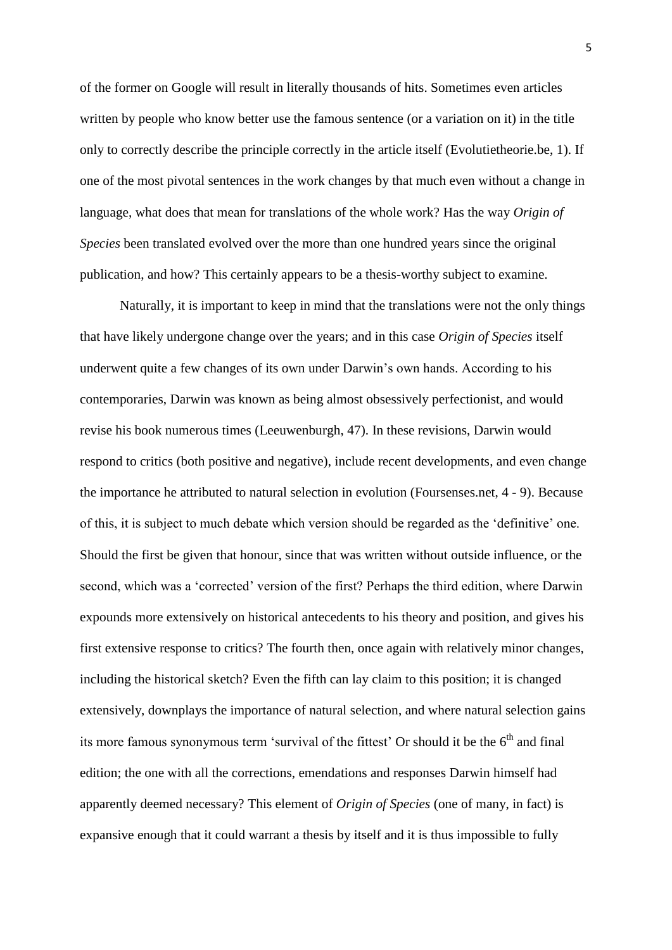of the former on Google will result in literally thousands of hits. Sometimes even articles written by people who know better use the famous sentence (or a variation on it) in the title only to correctly describe the principle correctly in the article itself (Evolutietheorie.be, 1). If one of the most pivotal sentences in the work changes by that much even without a change in language, what does that mean for translations of the whole work? Has the way *Origin of Species* been translated evolved over the more than one hundred years since the original publication, and how? This certainly appears to be a thesis-worthy subject to examine.

Naturally, it is important to keep in mind that the translations were not the only things that have likely undergone change over the years; and in this case *Origin of Species* itself underwent quite a few changes of its own under Darwin's own hands. According to his contemporaries, Darwin was known as being almost obsessively perfectionist, and would revise his book numerous times (Leeuwenburgh, 47). In these revisions, Darwin would respond to critics (both positive and negative), include recent developments, and even change the importance he attributed to natural selection in evolution (Foursenses.net, 4 - 9). Because of this, it is subject to much debate which version should be regarded as the 'definitive' one. Should the first be given that honour, since that was written without outside influence, or the second, which was a 'corrected' version of the first? Perhaps the third edition, where Darwin expounds more extensively on historical antecedents to his theory and position, and gives his first extensive response to critics? The fourth then, once again with relatively minor changes, including the historical sketch? Even the fifth can lay claim to this position; it is changed extensively, downplays the importance of natural selection, and where natural selection gains its more famous synonymous term 'survival of the fittest' Or should it be the  $6<sup>th</sup>$  and final edition; the one with all the corrections, emendations and responses Darwin himself had apparently deemed necessary? This element of *Origin of Species* (one of many, in fact) is expansive enough that it could warrant a thesis by itself and it is thus impossible to fully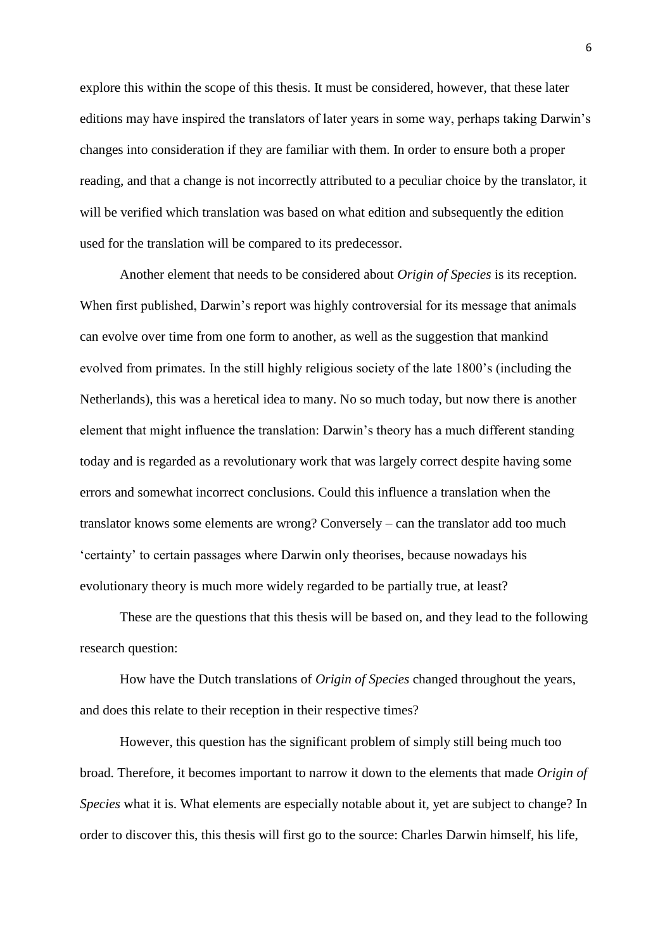explore this within the scope of this thesis. It must be considered, however, that these later editions may have inspired the translators of later years in some way, perhaps taking Darwin's changes into consideration if they are familiar with them. In order to ensure both a proper reading, and that a change is not incorrectly attributed to a peculiar choice by the translator, it will be verified which translation was based on what edition and subsequently the edition used for the translation will be compared to its predecessor.

Another element that needs to be considered about *Origin of Species* is its reception. When first published, Darwin's report was highly controversial for its message that animals can evolve over time from one form to another, as well as the suggestion that mankind evolved from primates. In the still highly religious society of the late 1800's (including the Netherlands), this was a heretical idea to many. No so much today, but now there is another element that might influence the translation: Darwin's theory has a much different standing today and is regarded as a revolutionary work that was largely correct despite having some errors and somewhat incorrect conclusions. Could this influence a translation when the translator knows some elements are wrong? Conversely – can the translator add too much 'certainty' to certain passages where Darwin only theorises, because nowadays his evolutionary theory is much more widely regarded to be partially true, at least?

These are the questions that this thesis will be based on, and they lead to the following research question:

How have the Dutch translations of *Origin of Species* changed throughout the years, and does this relate to their reception in their respective times?

However, this question has the significant problem of simply still being much too broad. Therefore, it becomes important to narrow it down to the elements that made *Origin of Species* what it is. What elements are especially notable about it, yet are subject to change? In order to discover this, this thesis will first go to the source: Charles Darwin himself, his life,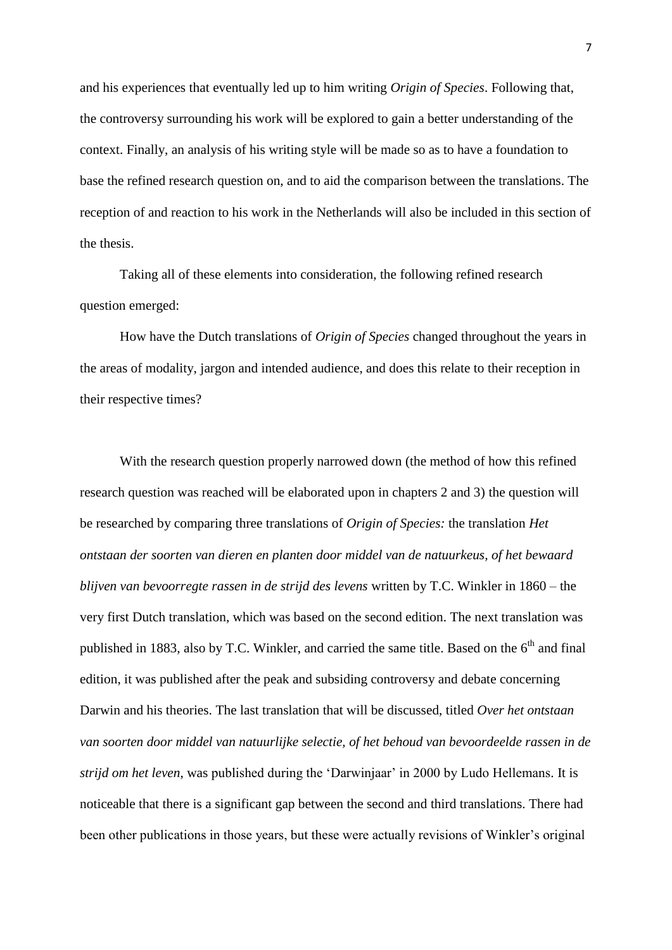and his experiences that eventually led up to him writing *Origin of Species*. Following that, the controversy surrounding his work will be explored to gain a better understanding of the context. Finally, an analysis of his writing style will be made so as to have a foundation to base the refined research question on, and to aid the comparison between the translations. The reception of and reaction to his work in the Netherlands will also be included in this section of the thesis.

Taking all of these elements into consideration, the following refined research question emerged:

How have the Dutch translations of *Origin of Species* changed throughout the years in the areas of modality, jargon and intended audience, and does this relate to their reception in their respective times?

With the research question properly narrowed down (the method of how this refined research question was reached will be elaborated upon in chapters 2 and 3) the question will be researched by comparing three translations of *Origin of Species:* the translation *Het ontstaan der soorten van dieren en planten door middel van de natuurkeus, of het bewaard blijven van bevoorregte rassen in de strijd des levens* written by T.C. Winkler in 1860 – the very first Dutch translation, which was based on the second edition. The next translation was published in 1883, also by T.C. Winkler, and carried the same title. Based on the  $6<sup>th</sup>$  and final edition, it was published after the peak and subsiding controversy and debate concerning Darwin and his theories. The last translation that will be discussed, titled *Over het ontstaan van soorten door middel van natuurlijke selectie, of het behoud van bevoordeelde rassen in de strijd om het leven*, was published during the 'Darwinjaar' in 2000 by Ludo Hellemans. It is noticeable that there is a significant gap between the second and third translations. There had been other publications in those years, but these were actually revisions of Winkler's original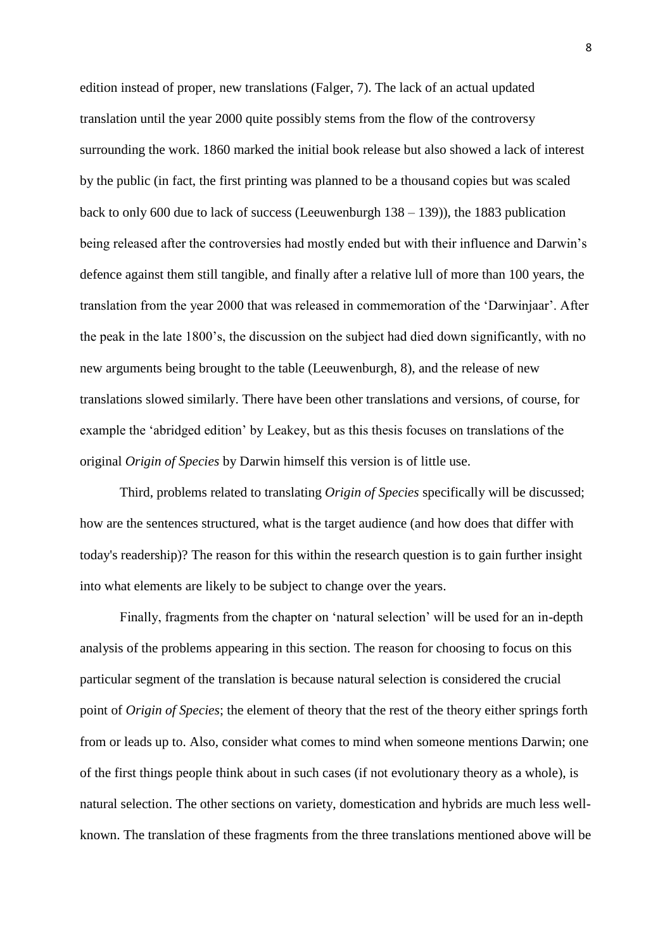edition instead of proper, new translations (Falger, 7). The lack of an actual updated translation until the year 2000 quite possibly stems from the flow of the controversy surrounding the work. 1860 marked the initial book release but also showed a lack of interest by the public (in fact, the first printing was planned to be a thousand copies but was scaled back to only 600 due to lack of success (Leeuwenburgh 138 – 139)), the 1883 publication being released after the controversies had mostly ended but with their influence and Darwin's defence against them still tangible, and finally after a relative lull of more than 100 years, the translation from the year 2000 that was released in commemoration of the 'Darwinjaar'. After the peak in the late 1800's, the discussion on the subject had died down significantly, with no new arguments being brought to the table (Leeuwenburgh, 8), and the release of new translations slowed similarly. There have been other translations and versions, of course, for example the 'abridged edition' by Leakey, but as this thesis focuses on translations of the original *Origin of Species* by Darwin himself this version is of little use.

Third, problems related to translating *Origin of Species* specifically will be discussed; how are the sentences structured, what is the target audience (and how does that differ with today's readership)? The reason for this within the research question is to gain further insight into what elements are likely to be subject to change over the years.

Finally, fragments from the chapter on 'natural selection' will be used for an in-depth analysis of the problems appearing in this section. The reason for choosing to focus on this particular segment of the translation is because natural selection is considered the crucial point of *Origin of Species*; the element of theory that the rest of the theory either springs forth from or leads up to. Also, consider what comes to mind when someone mentions Darwin; one of the first things people think about in such cases (if not evolutionary theory as a whole), is natural selection. The other sections on variety, domestication and hybrids are much less wellknown. The translation of these fragments from the three translations mentioned above will be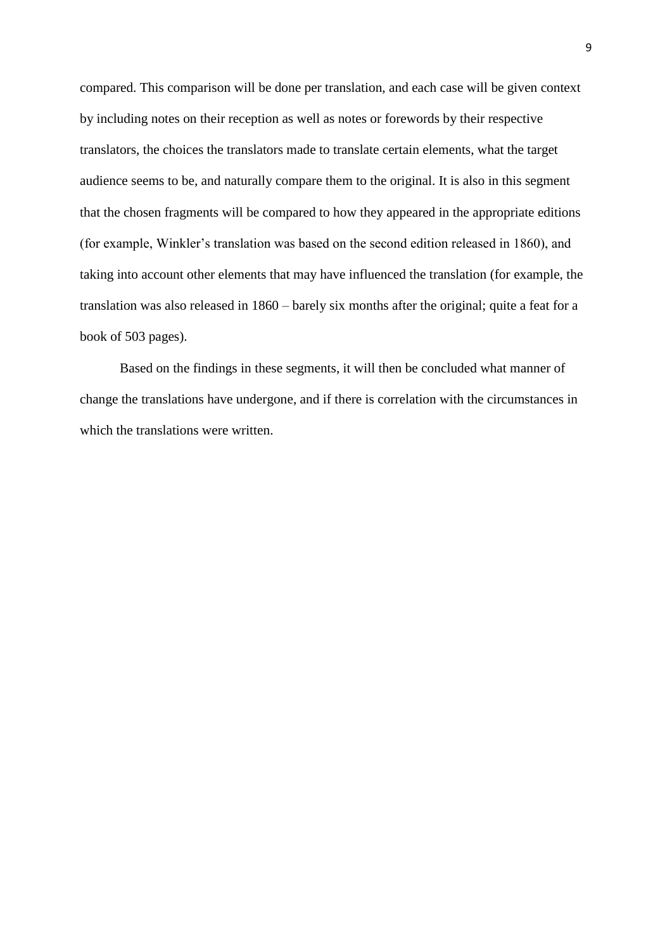compared. This comparison will be done per translation, and each case will be given context by including notes on their reception as well as notes or forewords by their respective translators, the choices the translators made to translate certain elements, what the target audience seems to be, and naturally compare them to the original. It is also in this segment that the chosen fragments will be compared to how they appeared in the appropriate editions (for example, Winkler's translation was based on the second edition released in 1860), and taking into account other elements that may have influenced the translation (for example, the translation was also released in 1860 – barely six months after the original; quite a feat for a book of 503 pages).

Based on the findings in these segments, it will then be concluded what manner of change the translations have undergone, and if there is correlation with the circumstances in which the translations were written.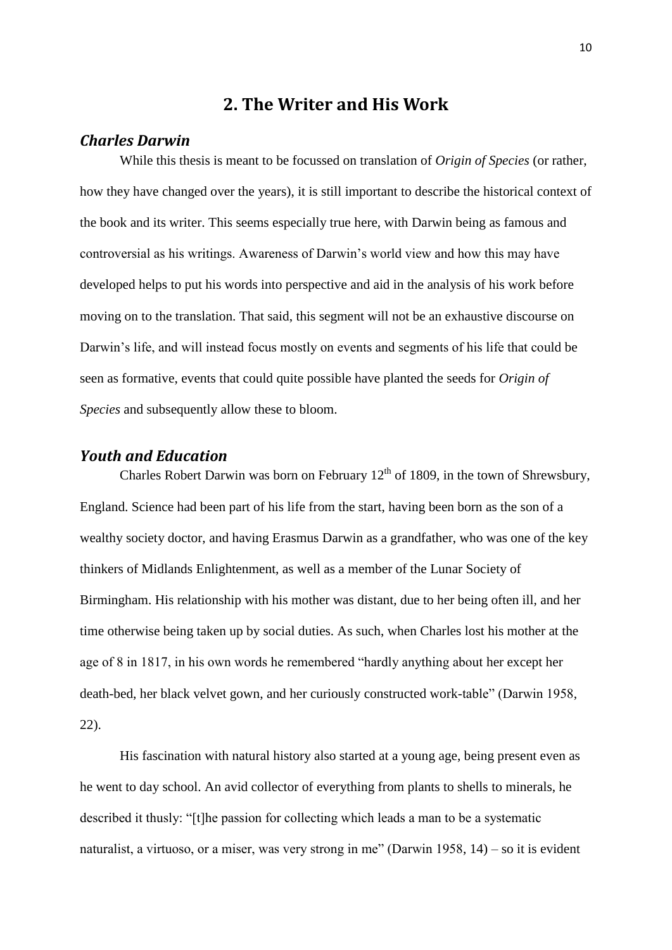## **2. The Writer and His Work**

#### *Charles Darwin*

While this thesis is meant to be focussed on translation of *Origin of Species* (or rather, how they have changed over the years), it is still important to describe the historical context of the book and its writer. This seems especially true here, with Darwin being as famous and controversial as his writings. Awareness of Darwin's world view and how this may have developed helps to put his words into perspective and aid in the analysis of his work before moving on to the translation. That said, this segment will not be an exhaustive discourse on Darwin's life, and will instead focus mostly on events and segments of his life that could be seen as formative, events that could quite possible have planted the seeds for *Origin of Species* and subsequently allow these to bloom.

## *Youth and Education*

Charles Robert Darwin was born on February  $12<sup>th</sup>$  of 1809, in the town of Shrewsbury, England. Science had been part of his life from the start, having been born as the son of a wealthy society doctor, and having Erasmus Darwin as a grandfather, who was one of the key thinkers of Midlands Enlightenment, as well as a member of the Lunar Society of Birmingham. His relationship with his mother was distant, due to her being often ill, and her time otherwise being taken up by social duties. As such, when Charles lost his mother at the age of 8 in 1817, in his own words he remembered "hardly anything about her except her death-bed, her black velvet gown, and her curiously constructed work-table" (Darwin 1958, 22).

His fascination with natural history also started at a young age, being present even as he went to day school. An avid collector of everything from plants to shells to minerals, he described it thusly: "[t]he passion for collecting which leads a man to be a systematic naturalist, a virtuoso, or a miser, was very strong in me" (Darwin 1958, 14) – so it is evident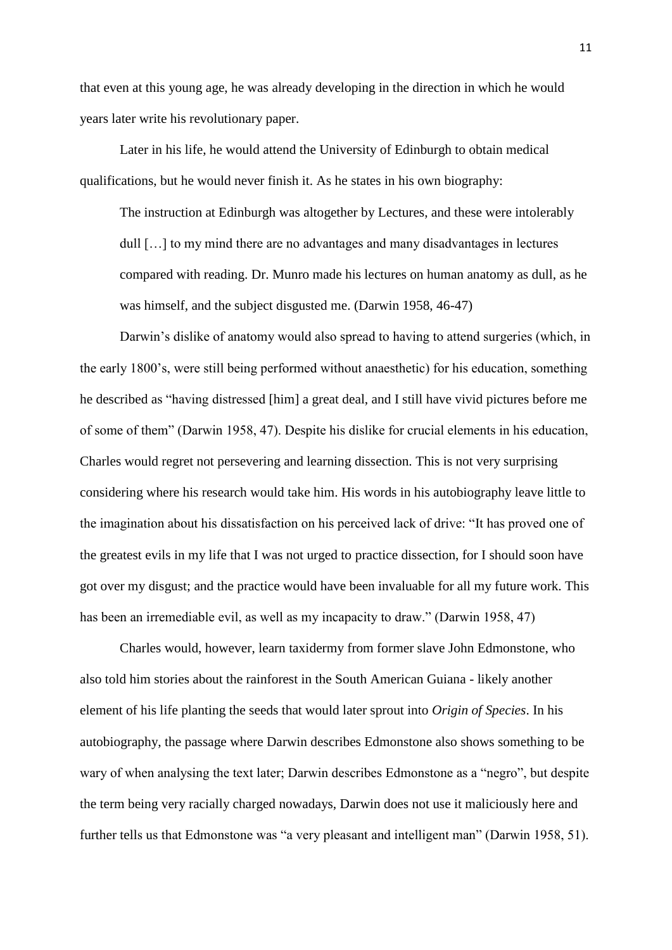that even at this young age, he was already developing in the direction in which he would years later write his revolutionary paper.

Later in his life, he would attend the University of Edinburgh to obtain medical qualifications, but he would never finish it. As he states in his own biography:

The instruction at Edinburgh was altogether by Lectures, and these were intolerably dull […] to my mind there are no advantages and many disadvantages in lectures compared with reading. Dr. Munro made his lectures on human anatomy as dull, as he was himself, and the subject disgusted me. (Darwin 1958, 46-47)

Darwin's dislike of anatomy would also spread to having to attend surgeries (which, in the early 1800's, were still being performed without anaesthetic) for his education, something he described as "having distressed [him] a great deal, and I still have vivid pictures before me of some of them" (Darwin 1958, 47). Despite his dislike for crucial elements in his education, Charles would regret not persevering and learning dissection. This is not very surprising considering where his research would take him. His words in his autobiography leave little to the imagination about his dissatisfaction on his perceived lack of drive: "It has proved one of the greatest evils in my life that I was not urged to practice dissection, for I should soon have got over my disgust; and the practice would have been invaluable for all my future work. This has been an irremediable evil, as well as my incapacity to draw." (Darwin 1958, 47)

Charles would, however, learn taxidermy from former slave John Edmonstone, who also told him stories about the rainforest in the South American Guiana - likely another element of his life planting the seeds that would later sprout into *Origin of Species*. In his autobiography, the passage where Darwin describes Edmonstone also shows something to be wary of when analysing the text later; Darwin describes Edmonstone as a "negro", but despite the term being very racially charged nowadays, Darwin does not use it maliciously here and further tells us that Edmonstone was "a very pleasant and intelligent man" (Darwin 1958, 51).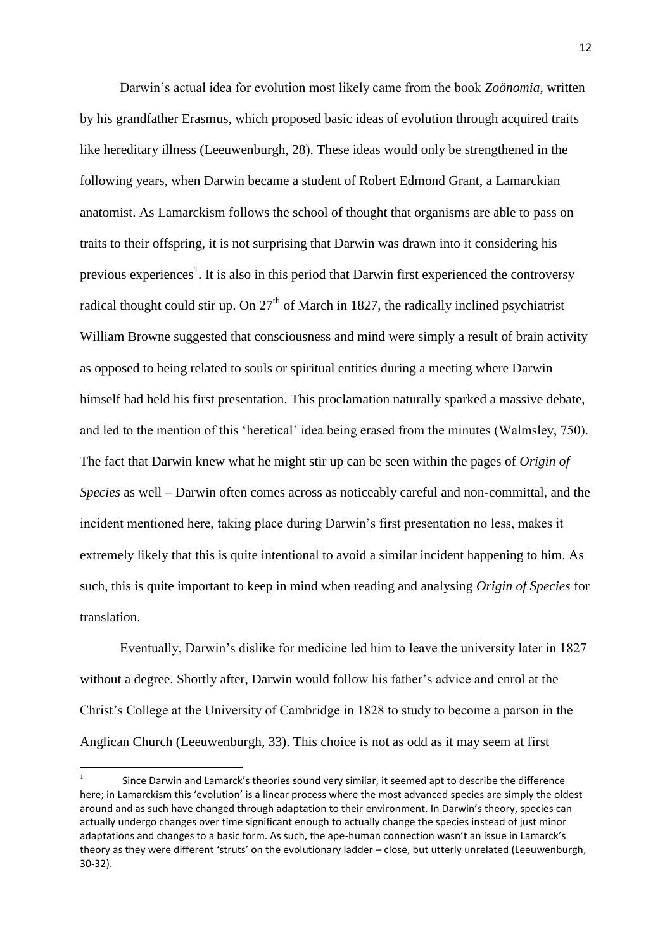Darwin's actual idea for evolution most likely came from the book *Zoönomia*, written by his grandfather Erasmus, which proposed basic ideas of evolution through acquired traits like hereditary illness (Leeuwenburgh, 28). These ideas would only be strengthened in the following years, when Darwin became a student of Robert Edmond Grant, a Lamarckian anatomist. As Lamarckism follows the school of thought that organisms are able to pass on traits to their offspring, it is not surprising that Darwin was drawn into it considering his previous experiences<sup>1</sup>. It is also in this period that Darwin first experienced the controversy radical thought could stir up. On  $27<sup>th</sup>$  of March in 1827, the radically inclined psychiatrist William Browne suggested that consciousness and mind were simply a result of brain activity as opposed to being related to souls or spiritual entities during a meeting where Darwin himself had held his first presentation. This proclamation naturally sparked a massive debate, and led to the mention of this 'heretical' idea being erased from the minutes (Walmsley, 750). The fact that Darwin knew what he might stir up can be seen within the pages of *Origin of Species* as well – Darwin often comes across as noticeably careful and non-committal, and the incident mentioned here, taking place during Darwin's first presentation no less, makes it extremely likely that this is quite intentional to avoid a similar incident happening to him. As such, this is quite important to keep in mind when reading and analysing *Origin of Species* for translation.

Eventually, Darwin's dislike for medicine led him to leave the university later in 1827 without a degree. Shortly after, Darwin would follow his father's advice and enrol at the Christ's College at the University of Cambridge in 1828 to study to become a parson in the Anglican Church (Leeuwenburgh, 33). This choice is not as odd as it may seem at first

1

<sup>1</sup> Since Darwin and Lamarck's theories sound very similar, it seemed apt to describe the difference here; in Lamarckism this 'evolution' is a linear process where the most advanced species are simply the oldest around and as such have changed through adaptation to their environment. In Darwin's theory, species can actually undergo changes over time significant enough to actually change the species instead of just minor adaptations and changes to a basic form. As such, the ape-human connection wasn't an issue in Lamarck's theory as they were different 'struts' on the evolutionary ladder – close, but utterly unrelated (Leeuwenburgh, 30-32).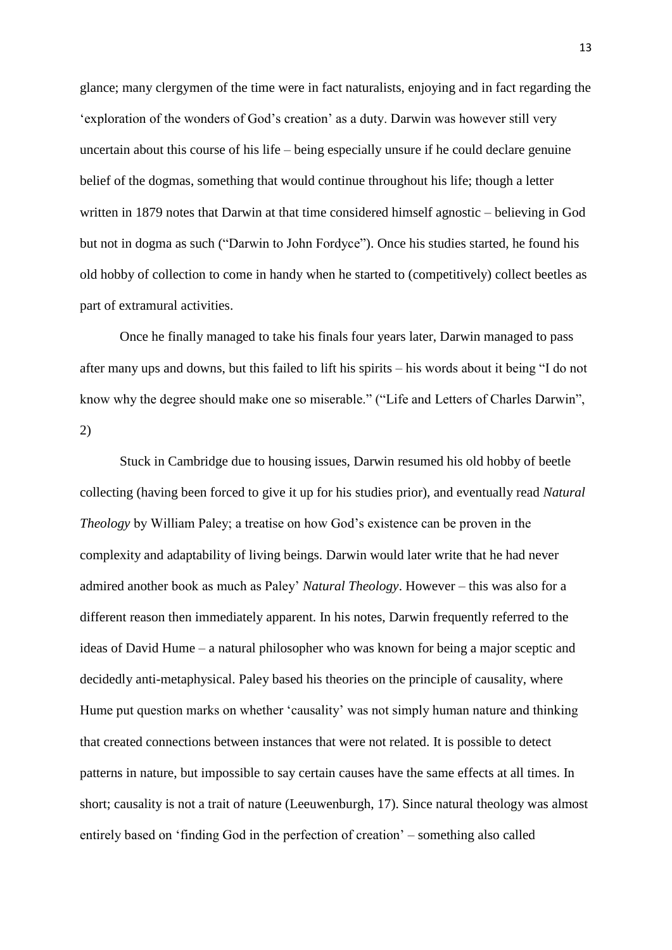glance; many clergymen of the time were in fact naturalists, enjoying and in fact regarding the 'exploration of the wonders of God's creation' as a duty. Darwin was however still very uncertain about this course of his life – being especially unsure if he could declare genuine belief of the dogmas, something that would continue throughout his life; though a letter written in 1879 notes that Darwin at that time considered himself agnostic – believing in God but not in dogma as such ("Darwin to John Fordyce"). Once his studies started, he found his old hobby of collection to come in handy when he started to (competitively) collect beetles as part of extramural activities.

Once he finally managed to take his finals four years later, Darwin managed to pass after many ups and downs, but this failed to lift his spirits – his words about it being "I do not know why the degree should make one so miserable." ("Life and Letters of Charles Darwin", 2)

Stuck in Cambridge due to housing issues, Darwin resumed his old hobby of beetle collecting (having been forced to give it up for his studies prior), and eventually read *Natural Theology* by William Paley; a treatise on how God's existence can be proven in the complexity and adaptability of living beings. Darwin would later write that he had never admired another book as much as Paley' *Natural Theology*. However – this was also for a different reason then immediately apparent. In his notes, Darwin frequently referred to the ideas of David Hume – a natural philosopher who was known for being a major sceptic and decidedly anti-metaphysical. Paley based his theories on the principle of causality, where Hume put question marks on whether 'causality' was not simply human nature and thinking that created connections between instances that were not related. It is possible to detect patterns in nature, but impossible to say certain causes have the same effects at all times. In short; causality is not a trait of nature (Leeuwenburgh, 17). Since natural theology was almost entirely based on 'finding God in the perfection of creation' – something also called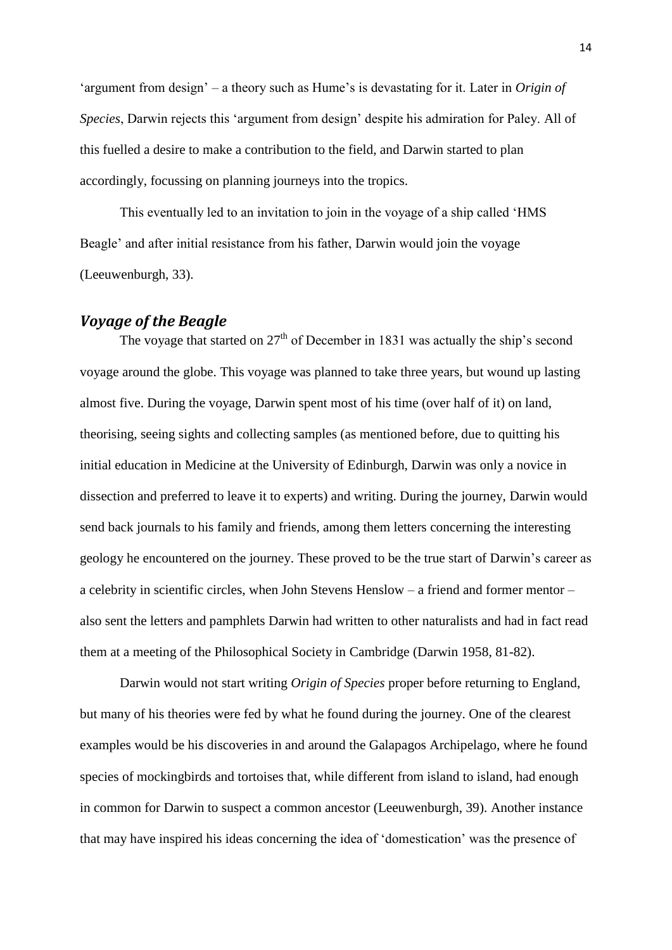'argument from design' – a theory such as Hume's is devastating for it. Later in *Origin of Species*, Darwin rejects this 'argument from design' despite his admiration for Paley. All of this fuelled a desire to make a contribution to the field, and Darwin started to plan accordingly, focussing on planning journeys into the tropics.

This eventually led to an invitation to join in the voyage of a ship called 'HMS Beagle' and after initial resistance from his father, Darwin would join the voyage (Leeuwenburgh, 33).

## *Voyage of the Beagle*

The voyage that started on  $27<sup>th</sup>$  of December in 1831 was actually the ship's second voyage around the globe. This voyage was planned to take three years, but wound up lasting almost five. During the voyage, Darwin spent most of his time (over half of it) on land, theorising, seeing sights and collecting samples (as mentioned before, due to quitting his initial education in Medicine at the University of Edinburgh, Darwin was only a novice in dissection and preferred to leave it to experts) and writing. During the journey, Darwin would send back journals to his family and friends, among them letters concerning the interesting geology he encountered on the journey. These proved to be the true start of Darwin's career as a celebrity in scientific circles, when John Stevens Henslow – a friend and former mentor – also sent the letters and pamphlets Darwin had written to other naturalists and had in fact read them at a meeting of the Philosophical Society in Cambridge (Darwin 1958, 81-82).

Darwin would not start writing *Origin of Species* proper before returning to England, but many of his theories were fed by what he found during the journey. One of the clearest examples would be his discoveries in and around the Galapagos Archipelago, where he found species of mockingbirds and tortoises that, while different from island to island, had enough in common for Darwin to suspect a common ancestor (Leeuwenburgh, 39). Another instance that may have inspired his ideas concerning the idea of 'domestication' was the presence of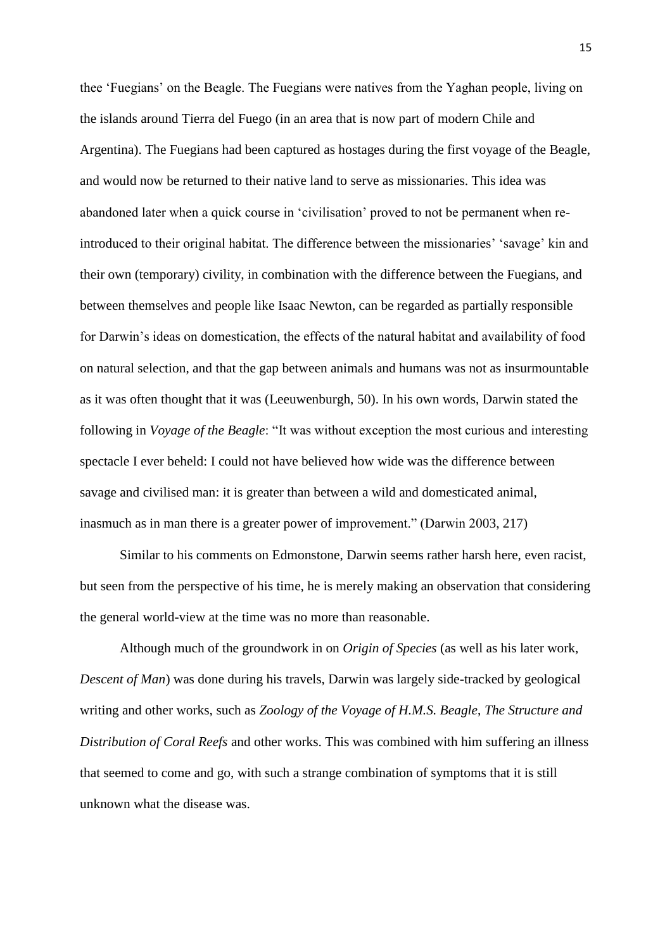thee 'Fuegians' on the Beagle. The Fuegians were natives from the Yaghan people, living on the islands around Tierra del Fuego (in an area that is now part of modern Chile and Argentina). The Fuegians had been captured as hostages during the first voyage of the Beagle, and would now be returned to their native land to serve as missionaries. This idea was abandoned later when a quick course in 'civilisation' proved to not be permanent when reintroduced to their original habitat. The difference between the missionaries' 'savage' kin and their own (temporary) civility, in combination with the difference between the Fuegians, and between themselves and people like Isaac Newton, can be regarded as partially responsible for Darwin's ideas on domestication, the effects of the natural habitat and availability of food on natural selection, and that the gap between animals and humans was not as insurmountable as it was often thought that it was (Leeuwenburgh, 50). In his own words, Darwin stated the following in *Voyage of the Beagle*: "It was without exception the most curious and interesting spectacle I ever beheld: I could not have believed how wide was the difference between savage and civilised man: it is greater than between a wild and domesticated animal, inasmuch as in man there is a greater power of improvement." (Darwin 2003, 217)

Similar to his comments on Edmonstone, Darwin seems rather harsh here, even racist, but seen from the perspective of his time, he is merely making an observation that considering the general world-view at the time was no more than reasonable.

Although much of the groundwork in on *Origin of Species* (as well as his later work, *Descent of Man*) was done during his travels, Darwin was largely side-tracked by geological writing and other works, such as *Zoology of the Voyage of H.M.S. Beagle*, *The Structure and Distribution of Coral Reefs* and other works. This was combined with him suffering an illness that seemed to come and go, with such a strange combination of symptoms that it is still unknown what the disease was.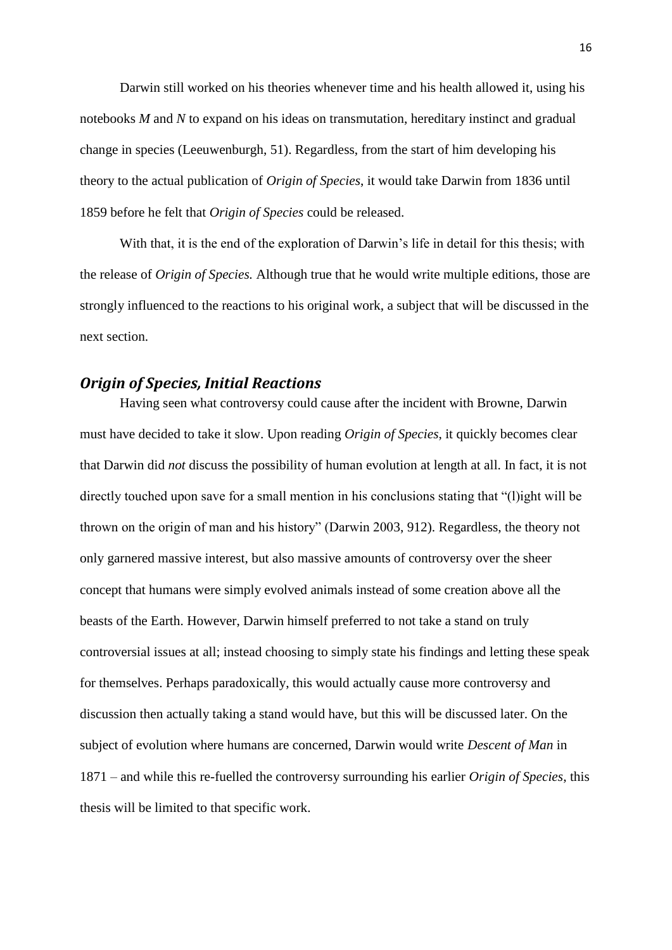Darwin still worked on his theories whenever time and his health allowed it, using his notebooks *M* and *N* to expand on his ideas on transmutation, hereditary instinct and gradual change in species (Leeuwenburgh, 51). Regardless, from the start of him developing his theory to the actual publication of *Origin of Species*, it would take Darwin from 1836 until 1859 before he felt that *Origin of Species* could be released.

With that, it is the end of the exploration of Darwin's life in detail for this thesis; with the release of *Origin of Species.* Although true that he would write multiple editions, those are strongly influenced to the reactions to his original work, a subject that will be discussed in the next section.

#### *Origin of Species, Initial Reactions*

Having seen what controversy could cause after the incident with Browne, Darwin must have decided to take it slow. Upon reading *Origin of Species*, it quickly becomes clear that Darwin did *not* discuss the possibility of human evolution at length at all. In fact, it is not directly touched upon save for a small mention in his conclusions stating that "(l)ight will be thrown on the origin of man and his history" (Darwin 2003, 912). Regardless, the theory not only garnered massive interest, but also massive amounts of controversy over the sheer concept that humans were simply evolved animals instead of some creation above all the beasts of the Earth. However, Darwin himself preferred to not take a stand on truly controversial issues at all; instead choosing to simply state his findings and letting these speak for themselves. Perhaps paradoxically, this would actually cause more controversy and discussion then actually taking a stand would have, but this will be discussed later. On the subject of evolution where humans are concerned, Darwin would write *Descent of Man* in 1871 – and while this re-fuelled the controversy surrounding his earlier *Origin of Species*, this thesis will be limited to that specific work.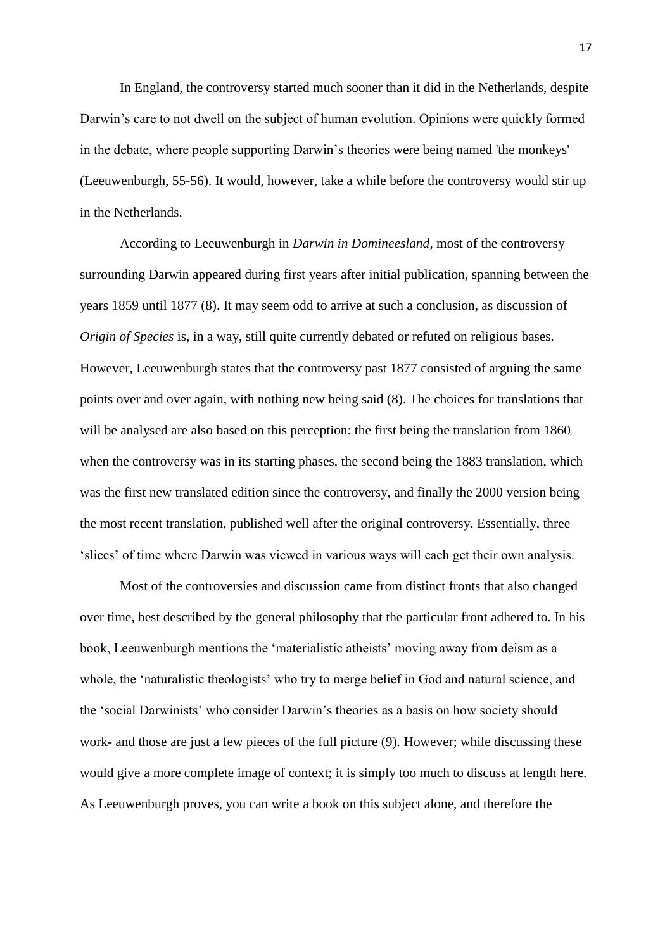In England, the controversy started much sooner than it did in the Netherlands, despite Darwin's care to not dwell on the subject of human evolution. Opinions were quickly formed in the debate, where people supporting Darwin's theories were being named 'the monkeys' (Leeuwenburgh, 55-56). It would, however, take a while before the controversy would stir up in the Netherlands.

According to Leeuwenburgh in *Darwin in Domineesland*, most of the controversy surrounding Darwin appeared during first years after initial publication, spanning between the years 1859 until 1877 (8). It may seem odd to arrive at such a conclusion, as discussion of *Origin of Species* is, in a way, still quite currently debated or refuted on religious bases. However, Leeuwenburgh states that the controversy past 1877 consisted of arguing the same points over and over again, with nothing new being said (8). The choices for translations that will be analysed are also based on this perception: the first being the translation from 1860 when the controversy was in its starting phases, the second being the 1883 translation, which was the first new translated edition since the controversy, and finally the 2000 version being the most recent translation, published well after the original controversy. Essentially, three 'slices' of time where Darwin was viewed in various ways will each get their own analysis.

Most of the controversies and discussion came from distinct fronts that also changed over time, best described by the general philosophy that the particular front adhered to. In his book, Leeuwenburgh mentions the 'materialistic atheists' moving away from deism as a whole, the 'naturalistic theologists' who try to merge belief in God and natural science, and the 'social Darwinists' who consider Darwin's theories as a basis on how society should work- and those are just a few pieces of the full picture (9). However; while discussing these would give a more complete image of context; it is simply too much to discuss at length here. As Leeuwenburgh proves, you can write a book on this subject alone, and therefore the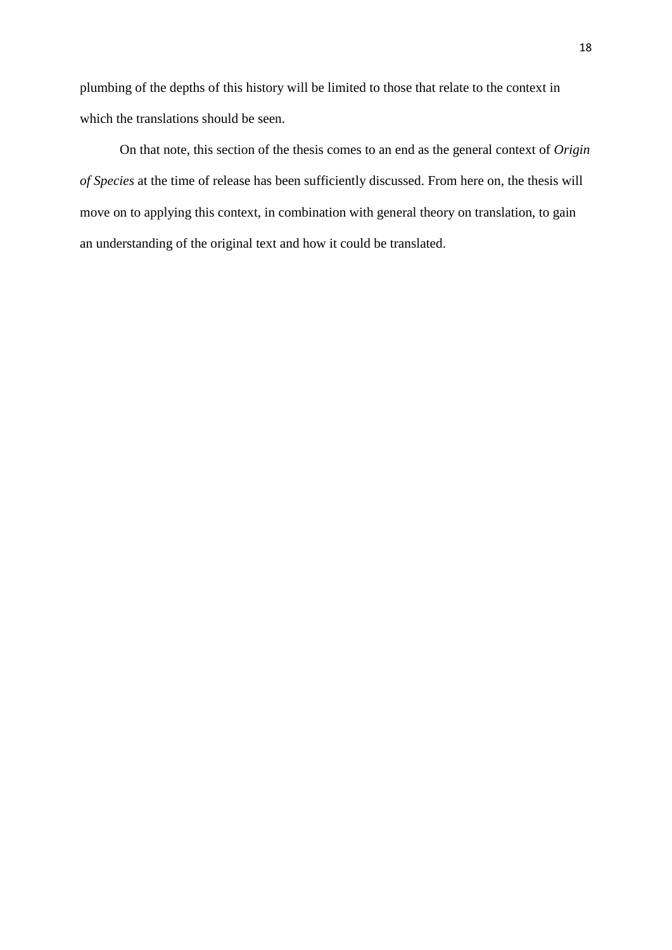plumbing of the depths of this history will be limited to those that relate to the context in which the translations should be seen.

On that note, this section of the thesis comes to an end as the general context of *Origin of Species* at the time of release has been sufficiently discussed. From here on, the thesis will move on to applying this context, in combination with general theory on translation, to gain an understanding of the original text and how it could be translated.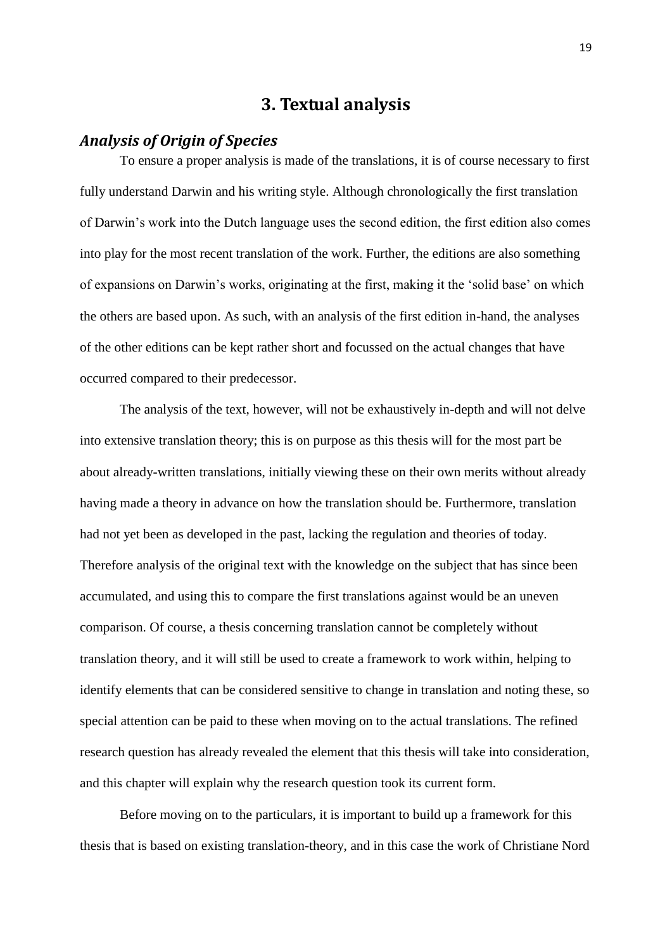## **3. Textual analysis**

## *Analysis of Origin of Species*

To ensure a proper analysis is made of the translations, it is of course necessary to first fully understand Darwin and his writing style. Although chronologically the first translation of Darwin's work into the Dutch language uses the second edition, the first edition also comes into play for the most recent translation of the work. Further, the editions are also something of expansions on Darwin's works, originating at the first, making it the 'solid base' on which the others are based upon. As such, with an analysis of the first edition in-hand, the analyses of the other editions can be kept rather short and focussed on the actual changes that have occurred compared to their predecessor.

The analysis of the text, however, will not be exhaustively in-depth and will not delve into extensive translation theory; this is on purpose as this thesis will for the most part be about already-written translations, initially viewing these on their own merits without already having made a theory in advance on how the translation should be. Furthermore, translation had not yet been as developed in the past, lacking the regulation and theories of today. Therefore analysis of the original text with the knowledge on the subject that has since been accumulated, and using this to compare the first translations against would be an uneven comparison. Of course, a thesis concerning translation cannot be completely without translation theory, and it will still be used to create a framework to work within, helping to identify elements that can be considered sensitive to change in translation and noting these, so special attention can be paid to these when moving on to the actual translations. The refined research question has already revealed the element that this thesis will take into consideration, and this chapter will explain why the research question took its current form.

Before moving on to the particulars, it is important to build up a framework for this thesis that is based on existing translation-theory, and in this case the work of Christiane Nord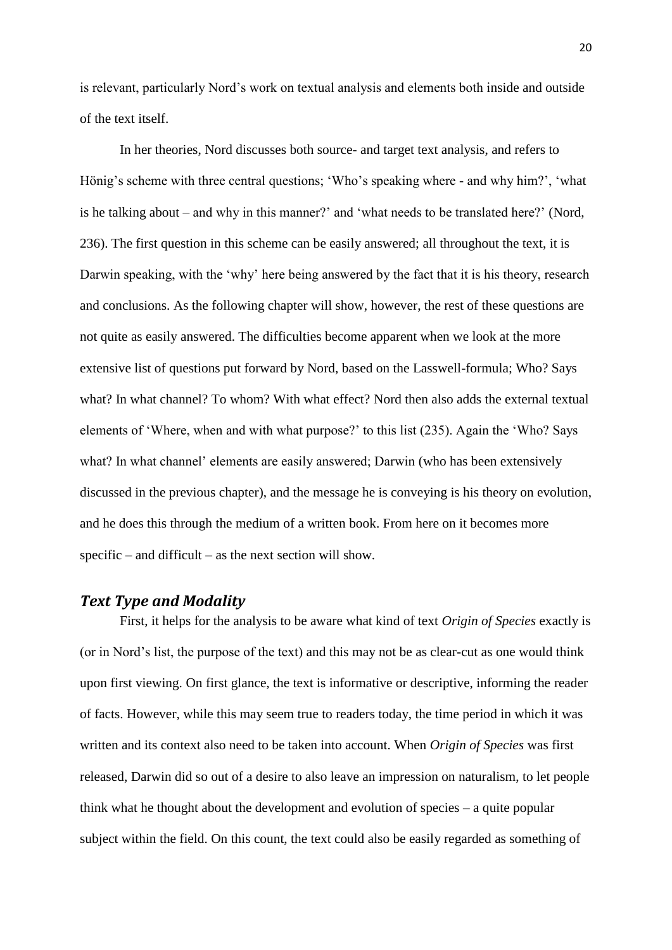is relevant, particularly Nord's work on textual analysis and elements both inside and outside of the text itself.

In her theories, Nord discusses both source- and target text analysis, and refers to Hönig's scheme with three central questions; 'Who's speaking where - and why him?', 'what is he talking about – and why in this manner?' and 'what needs to be translated here?' (Nord, 236). The first question in this scheme can be easily answered; all throughout the text, it is Darwin speaking, with the 'why' here being answered by the fact that it is his theory, research and conclusions. As the following chapter will show, however, the rest of these questions are not quite as easily answered. The difficulties become apparent when we look at the more extensive list of questions put forward by Nord, based on the Lasswell-formula; Who? Says what? In what channel? To whom? With what effect? Nord then also adds the external textual elements of 'Where, when and with what purpose?' to this list (235). Again the 'Who? Says what? In what channel' elements are easily answered; Darwin (who has been extensively discussed in the previous chapter), and the message he is conveying is his theory on evolution, and he does this through the medium of a written book. From here on it becomes more specific – and difficult – as the next section will show.

#### *Text Type and Modality*

First, it helps for the analysis to be aware what kind of text *Origin of Species* exactly is (or in Nord's list, the purpose of the text) and this may not be as clear-cut as one would think upon first viewing. On first glance, the text is informative or descriptive, informing the reader of facts. However, while this may seem true to readers today, the time period in which it was written and its context also need to be taken into account. When *Origin of Species* was first released, Darwin did so out of a desire to also leave an impression on naturalism, to let people think what he thought about the development and evolution of species – a quite popular subject within the field. On this count, the text could also be easily regarded as something of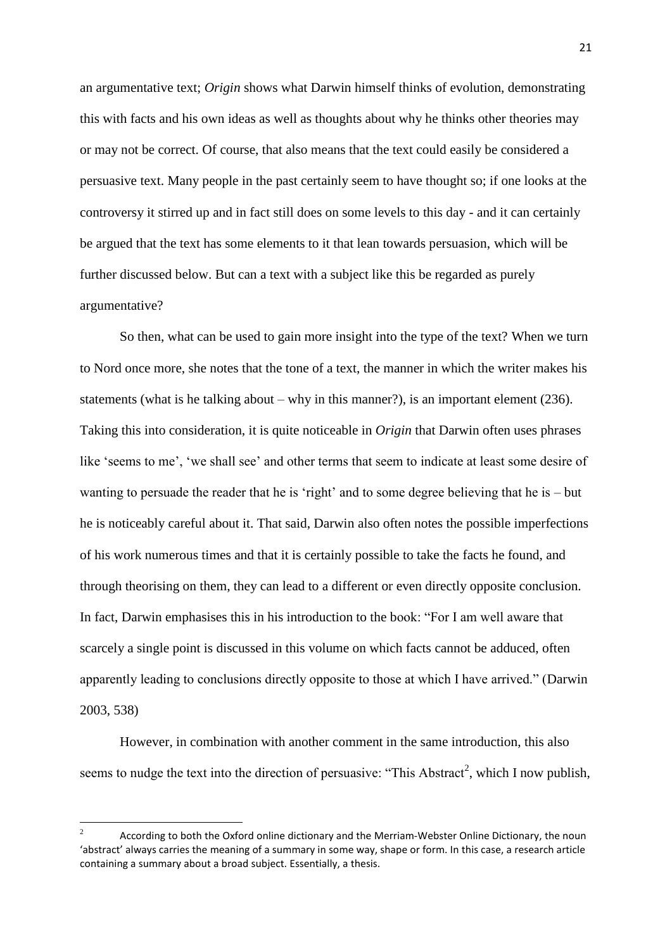an argumentative text; *Origin* shows what Darwin himself thinks of evolution, demonstrating this with facts and his own ideas as well as thoughts about why he thinks other theories may or may not be correct. Of course, that also means that the text could easily be considered a persuasive text. Many people in the past certainly seem to have thought so; if one looks at the controversy it stirred up and in fact still does on some levels to this day - and it can certainly be argued that the text has some elements to it that lean towards persuasion, which will be further discussed below. But can a text with a subject like this be regarded as purely argumentative?

So then, what can be used to gain more insight into the type of the text? When we turn to Nord once more, she notes that the tone of a text, the manner in which the writer makes his statements (what is he talking about – why in this manner?), is an important element  $(236)$ . Taking this into consideration, it is quite noticeable in *Origin* that Darwin often uses phrases like 'seems to me', 'we shall see' and other terms that seem to indicate at least some desire of wanting to persuade the reader that he is 'right' and to some degree believing that he is – but he is noticeably careful about it. That said, Darwin also often notes the possible imperfections of his work numerous times and that it is certainly possible to take the facts he found, and through theorising on them, they can lead to a different or even directly opposite conclusion. In fact, Darwin emphasises this in his introduction to the book: "For I am well aware that scarcely a single point is discussed in this volume on which facts cannot be adduced, often apparently leading to conclusions directly opposite to those at which I have arrived." (Darwin 2003, 538)

However, in combination with another comment in the same introduction, this also seems to nudge the text into the direction of persuasive: "This Abstract<sup>2</sup>, which I now publish,

**.** 

<sup>2</sup> According to both the Oxford online dictionary and the Merriam-Webster Online Dictionary, the noun 'abstract' always carries the meaning of a summary in some way, shape or form. In this case, a research article containing a summary about a broad subject. Essentially, a thesis.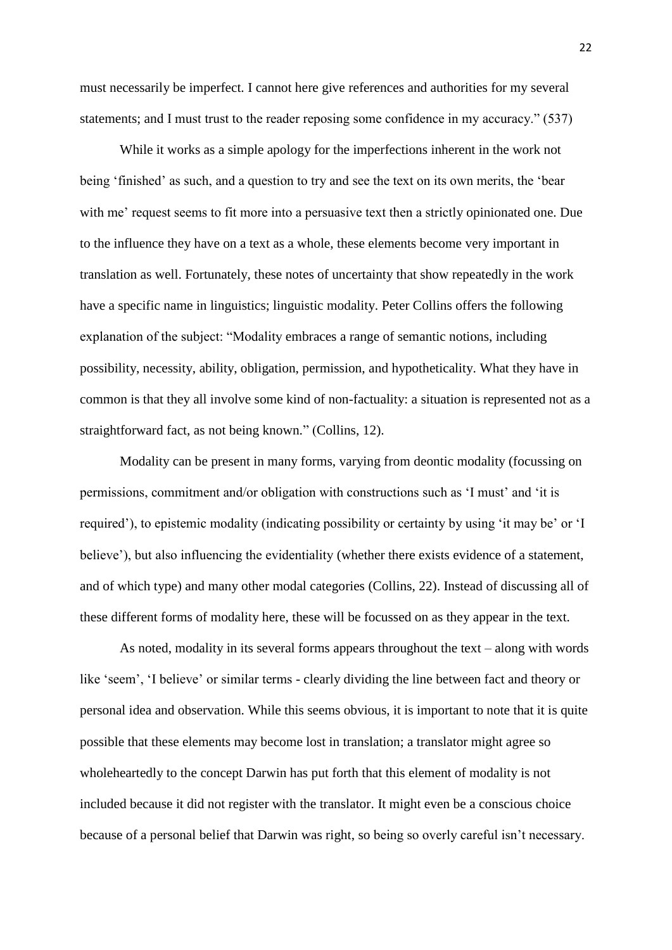must necessarily be imperfect. I cannot here give references and authorities for my several statements; and I must trust to the reader reposing some confidence in my accuracy." (537)

While it works as a simple apology for the imperfections inherent in the work not being 'finished' as such, and a question to try and see the text on its own merits, the 'bear with me' request seems to fit more into a persuasive text then a strictly opinionated one. Due to the influence they have on a text as a whole, these elements become very important in translation as well. Fortunately, these notes of uncertainty that show repeatedly in the work have a specific name in linguistics; linguistic modality. Peter Collins offers the following explanation of the subject: "Modality embraces a range of semantic notions, including possibility, necessity, ability, obligation, permission, and hypotheticality. What they have in common is that they all involve some kind of non-factuality: a situation is represented not as a straightforward fact, as not being known." (Collins, 12).

Modality can be present in many forms, varying from deontic modality (focussing on permissions, commitment and/or obligation with constructions such as 'I must' and 'it is required'), to epistemic modality (indicating possibility or certainty by using 'it may be' or 'I believe'), but also influencing the evidentiality (whether there exists evidence of a statement, and of which type) and many other modal categories (Collins, 22). Instead of discussing all of these different forms of modality here, these will be focussed on as they appear in the text.

As noted, modality in its several forms appears throughout the text – along with words like 'seem', 'I believe' or similar terms - clearly dividing the line between fact and theory or personal idea and observation. While this seems obvious, it is important to note that it is quite possible that these elements may become lost in translation; a translator might agree so wholeheartedly to the concept Darwin has put forth that this element of modality is not included because it did not register with the translator. It might even be a conscious choice because of a personal belief that Darwin was right, so being so overly careful isn't necessary.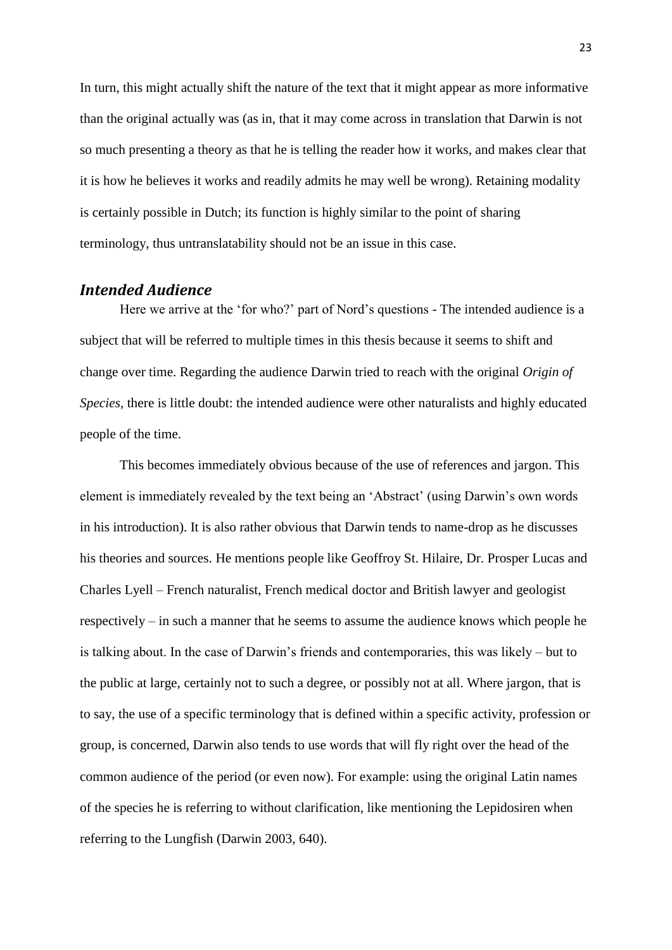In turn, this might actually shift the nature of the text that it might appear as more informative than the original actually was (as in, that it may come across in translation that Darwin is not so much presenting a theory as that he is telling the reader how it works, and makes clear that it is how he believes it works and readily admits he may well be wrong). Retaining modality is certainly possible in Dutch; its function is highly similar to the point of sharing terminology, thus untranslatability should not be an issue in this case.

#### *Intended Audience*

Here we arrive at the 'for who?' part of Nord's questions - The intended audience is a subject that will be referred to multiple times in this thesis because it seems to shift and change over time. Regarding the audience Darwin tried to reach with the original *Origin of Species*, there is little doubt: the intended audience were other naturalists and highly educated people of the time.

This becomes immediately obvious because of the use of references and jargon. This element is immediately revealed by the text being an 'Abstract' (using Darwin's own words in his introduction). It is also rather obvious that Darwin tends to name-drop as he discusses his theories and sources. He mentions people like Geoffroy St. Hilaire, Dr. Prosper Lucas and Charles Lyell – French naturalist, French medical doctor and British lawyer and geologist respectively – in such a manner that he seems to assume the audience knows which people he is talking about. In the case of Darwin's friends and contemporaries, this was likely – but to the public at large, certainly not to such a degree, or possibly not at all. Where jargon, that is to say, the use of a specific terminology that is defined within a specific activity, profession or group, is concerned, Darwin also tends to use words that will fly right over the head of the common audience of the period (or even now). For example: using the original Latin names of the species he is referring to without clarification, like mentioning the Lepidosiren when referring to the Lungfish (Darwin 2003, 640).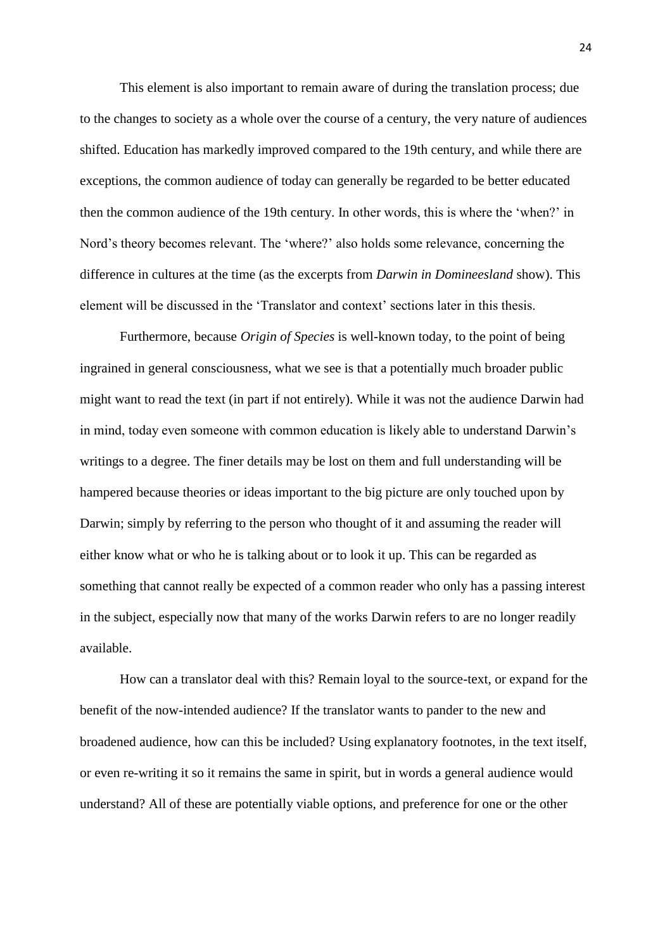This element is also important to remain aware of during the translation process; due to the changes to society as a whole over the course of a century, the very nature of audiences shifted. Education has markedly improved compared to the 19th century, and while there are exceptions, the common audience of today can generally be regarded to be better educated then the common audience of the 19th century. In other words, this is where the 'when?' in Nord's theory becomes relevant. The 'where?' also holds some relevance, concerning the difference in cultures at the time (as the excerpts from *Darwin in Domineesland* show). This element will be discussed in the 'Translator and context' sections later in this thesis.

Furthermore, because *Origin of Species* is well-known today, to the point of being ingrained in general consciousness, what we see is that a potentially much broader public might want to read the text (in part if not entirely). While it was not the audience Darwin had in mind, today even someone with common education is likely able to understand Darwin's writings to a degree. The finer details may be lost on them and full understanding will be hampered because theories or ideas important to the big picture are only touched upon by Darwin; simply by referring to the person who thought of it and assuming the reader will either know what or who he is talking about or to look it up. This can be regarded as something that cannot really be expected of a common reader who only has a passing interest in the subject, especially now that many of the works Darwin refers to are no longer readily available.

How can a translator deal with this? Remain loyal to the source-text, or expand for the benefit of the now-intended audience? If the translator wants to pander to the new and broadened audience, how can this be included? Using explanatory footnotes, in the text itself, or even re-writing it so it remains the same in spirit, but in words a general audience would understand? All of these are potentially viable options, and preference for one or the other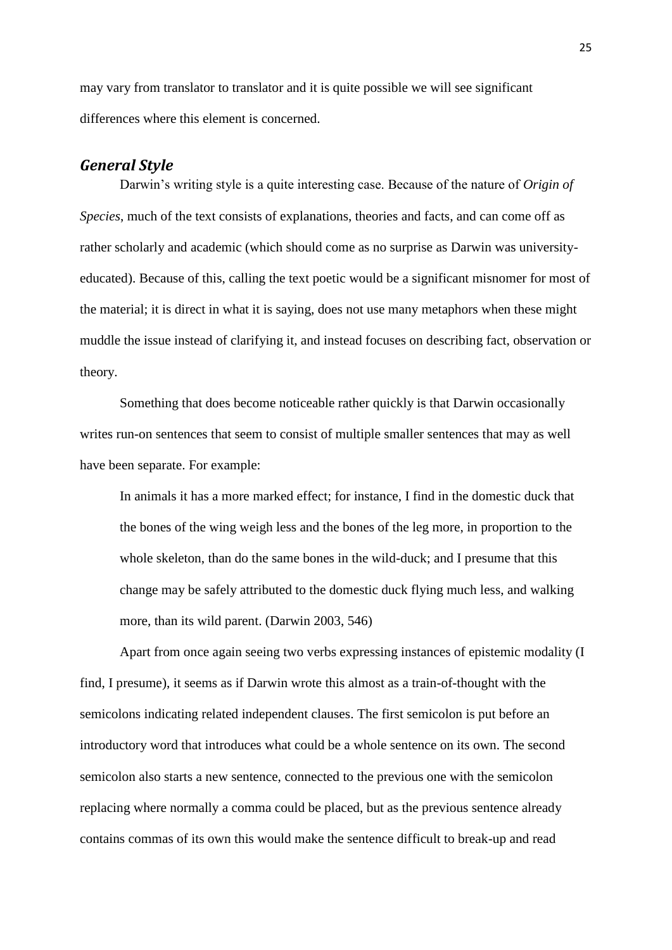may vary from translator to translator and it is quite possible we will see significant differences where this element is concerned.

#### *General Style*

Darwin's writing style is a quite interesting case. Because of the nature of *Origin of Species*, much of the text consists of explanations, theories and facts, and can come off as rather scholarly and academic (which should come as no surprise as Darwin was universityeducated). Because of this, calling the text poetic would be a significant misnomer for most of the material; it is direct in what it is saying, does not use many metaphors when these might muddle the issue instead of clarifying it, and instead focuses on describing fact, observation or theory.

Something that does become noticeable rather quickly is that Darwin occasionally writes run-on sentences that seem to consist of multiple smaller sentences that may as well have been separate. For example:

In animals it has a more marked effect; for instance, I find in the domestic duck that the bones of the wing weigh less and the bones of the leg more, in proportion to the whole skeleton, than do the same bones in the wild-duck; and I presume that this change may be safely attributed to the domestic duck flying much less, and walking more, than its wild parent. (Darwin 2003, 546)

Apart from once again seeing two verbs expressing instances of epistemic modality (I find, I presume), it seems as if Darwin wrote this almost as a train-of-thought with the semicolons indicating related independent clauses. The first semicolon is put before an introductory word that introduces what could be a whole sentence on its own. The second semicolon also starts a new sentence, connected to the previous one with the semicolon replacing where normally a comma could be placed, but as the previous sentence already contains commas of its own this would make the sentence difficult to break-up and read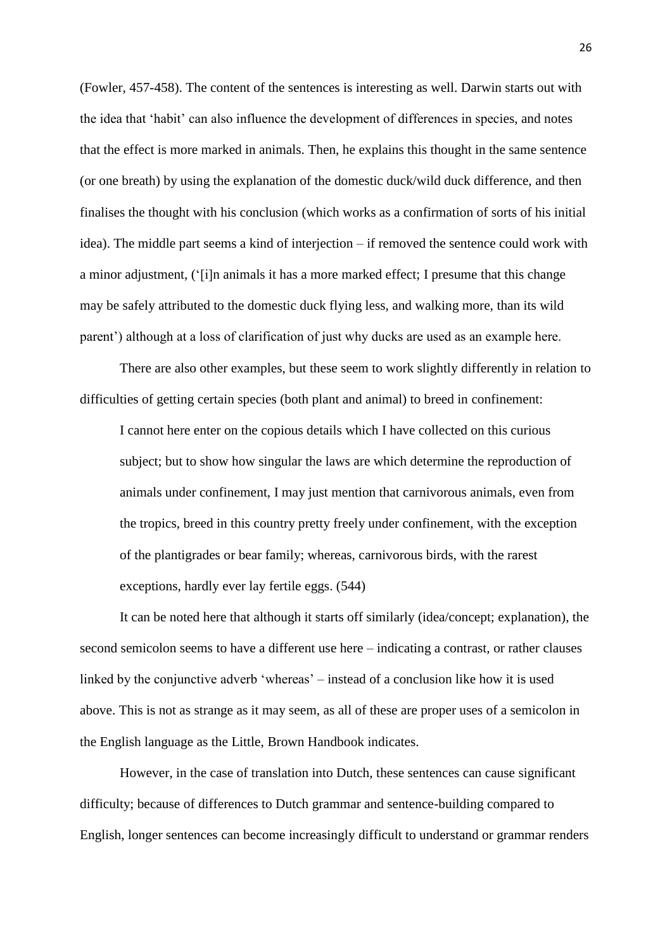(Fowler, 457-458). The content of the sentences is interesting as well. Darwin starts out with the idea that 'habit' can also influence the development of differences in species, and notes that the effect is more marked in animals. Then, he explains this thought in the same sentence (or one breath) by using the explanation of the domestic duck/wild duck difference, and then finalises the thought with his conclusion (which works as a confirmation of sorts of his initial idea). The middle part seems a kind of interjection – if removed the sentence could work with a minor adjustment, ('[i]n animals it has a more marked effect; I presume that this change may be safely attributed to the domestic duck flying less, and walking more, than its wild parent') although at a loss of clarification of just why ducks are used as an example here.

There are also other examples, but these seem to work slightly differently in relation to difficulties of getting certain species (both plant and animal) to breed in confinement:

I cannot here enter on the copious details which I have collected on this curious subject; but to show how singular the laws are which determine the reproduction of animals under confinement, I may just mention that carnivorous animals, even from the tropics, breed in this country pretty freely under confinement, with the exception of the plantigrades or bear family; whereas, carnivorous birds, with the rarest exceptions, hardly ever lay fertile eggs. (544)

It can be noted here that although it starts off similarly (idea/concept; explanation), the second semicolon seems to have a different use here – indicating a contrast, or rather clauses linked by the conjunctive adverb 'whereas' – instead of a conclusion like how it is used above. This is not as strange as it may seem, as all of these are proper uses of a semicolon in the English language as the Little, Brown Handbook indicates.

However, in the case of translation into Dutch, these sentences can cause significant difficulty; because of differences to Dutch grammar and sentence-building compared to English, longer sentences can become increasingly difficult to understand or grammar renders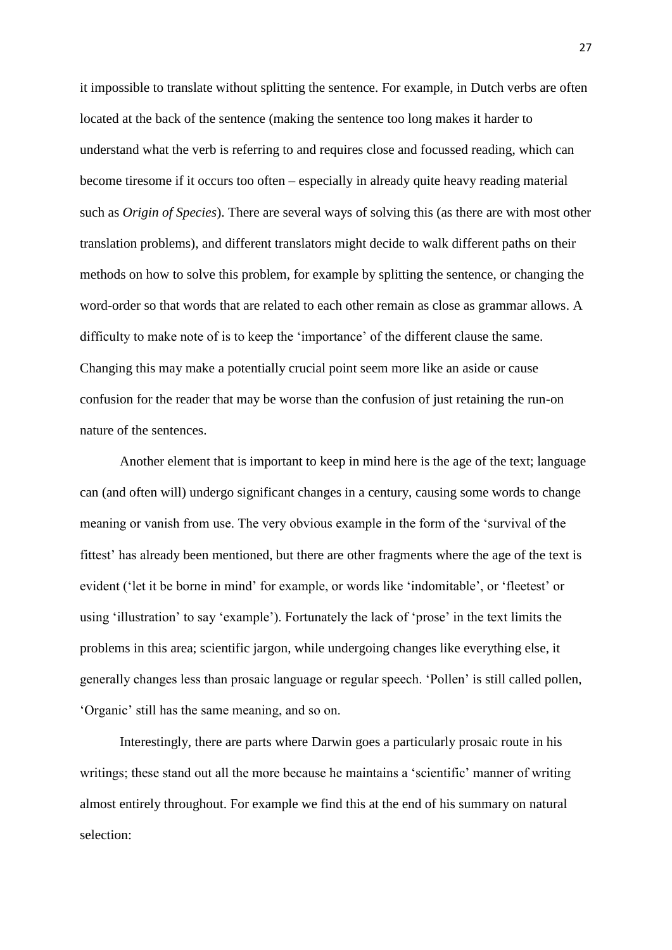it impossible to translate without splitting the sentence. For example, in Dutch verbs are often located at the back of the sentence (making the sentence too long makes it harder to understand what the verb is referring to and requires close and focussed reading, which can become tiresome if it occurs too often – especially in already quite heavy reading material such as *Origin of Species*). There are several ways of solving this (as there are with most other translation problems), and different translators might decide to walk different paths on their methods on how to solve this problem, for example by splitting the sentence, or changing the word-order so that words that are related to each other remain as close as grammar allows. A difficulty to make note of is to keep the 'importance' of the different clause the same. Changing this may make a potentially crucial point seem more like an aside or cause confusion for the reader that may be worse than the confusion of just retaining the run-on nature of the sentences.

Another element that is important to keep in mind here is the age of the text; language can (and often will) undergo significant changes in a century, causing some words to change meaning or vanish from use. The very obvious example in the form of the 'survival of the fittest' has already been mentioned, but there are other fragments where the age of the text is evident ('let it be borne in mind' for example, or words like 'indomitable', or 'fleetest' or using 'illustration' to say 'example'). Fortunately the lack of 'prose' in the text limits the problems in this area; scientific jargon, while undergoing changes like everything else, it generally changes less than prosaic language or regular speech. 'Pollen' is still called pollen, 'Organic' still has the same meaning, and so on.

Interestingly, there are parts where Darwin goes a particularly prosaic route in his writings; these stand out all the more because he maintains a 'scientific' manner of writing almost entirely throughout. For example we find this at the end of his summary on natural selection: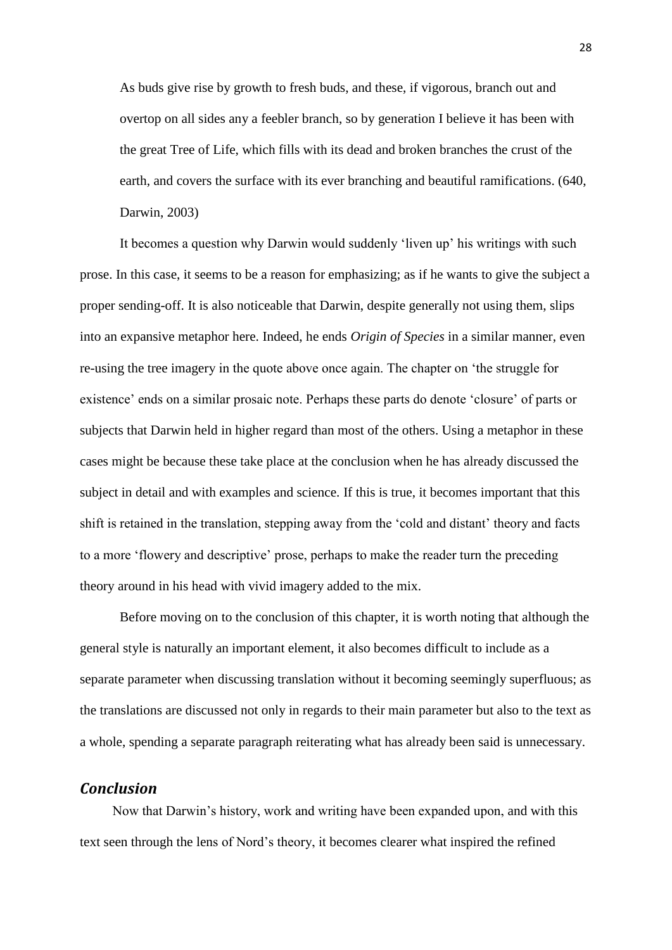As buds give rise by growth to fresh buds, and these, if vigorous, branch out and overtop on all sides any a feebler branch, so by generation I believe it has been with the great Tree of Life, which fills with its dead and broken branches the crust of the earth, and covers the surface with its ever branching and beautiful ramifications. (640, Darwin, 2003)

It becomes a question why Darwin would suddenly 'liven up' his writings with such prose. In this case, it seems to be a reason for emphasizing; as if he wants to give the subject a proper sending-off. It is also noticeable that Darwin, despite generally not using them, slips into an expansive metaphor here. Indeed, he ends *Origin of Species* in a similar manner, even re-using the tree imagery in the quote above once again. The chapter on 'the struggle for existence' ends on a similar prosaic note. Perhaps these parts do denote 'closure' of parts or subjects that Darwin held in higher regard than most of the others. Using a metaphor in these cases might be because these take place at the conclusion when he has already discussed the subject in detail and with examples and science. If this is true, it becomes important that this shift is retained in the translation, stepping away from the 'cold and distant' theory and facts to a more 'flowery and descriptive' prose, perhaps to make the reader turn the preceding theory around in his head with vivid imagery added to the mix.

Before moving on to the conclusion of this chapter, it is worth noting that although the general style is naturally an important element, it also becomes difficult to include as a separate parameter when discussing translation without it becoming seemingly superfluous; as the translations are discussed not only in regards to their main parameter but also to the text as a whole, spending a separate paragraph reiterating what has already been said is unnecessary.

## *Conclusion*

Now that Darwin's history, work and writing have been expanded upon, and with this text seen through the lens of Nord's theory, it becomes clearer what inspired the refined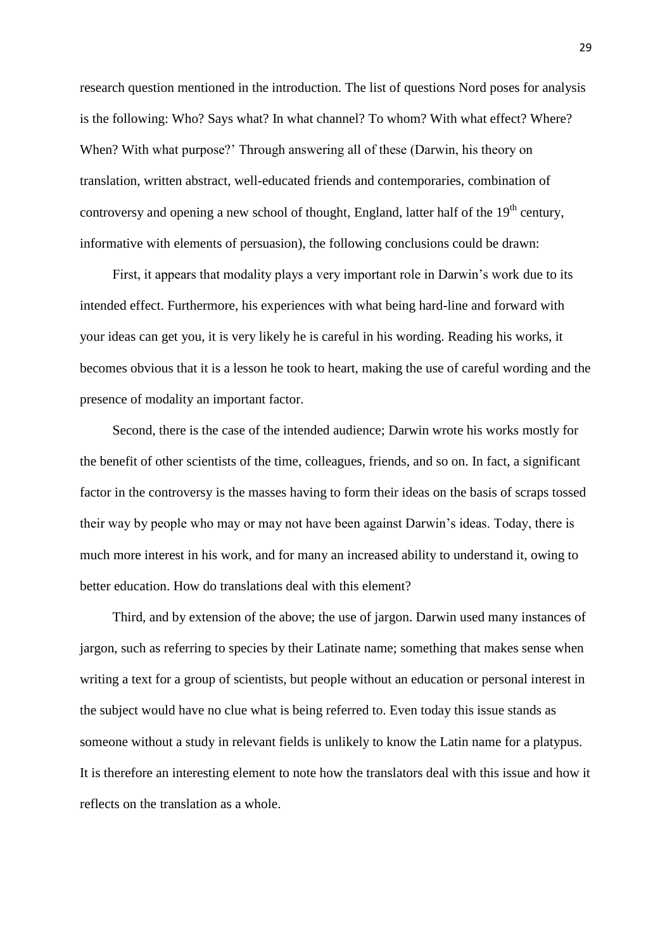research question mentioned in the introduction. The list of questions Nord poses for analysis is the following: Who? Says what? In what channel? To whom? With what effect? Where? When? With what purpose?' Through answering all of these (Darwin, his theory on translation, written abstract, well-educated friends and contemporaries, combination of controversy and opening a new school of thought, England, latter half of the  $19<sup>th</sup>$  century, informative with elements of persuasion), the following conclusions could be drawn:

First, it appears that modality plays a very important role in Darwin's work due to its intended effect. Furthermore, his experiences with what being hard-line and forward with your ideas can get you, it is very likely he is careful in his wording. Reading his works, it becomes obvious that it is a lesson he took to heart, making the use of careful wording and the presence of modality an important factor.

Second, there is the case of the intended audience; Darwin wrote his works mostly for the benefit of other scientists of the time, colleagues, friends, and so on. In fact, a significant factor in the controversy is the masses having to form their ideas on the basis of scraps tossed their way by people who may or may not have been against Darwin's ideas. Today, there is much more interest in his work, and for many an increased ability to understand it, owing to better education. How do translations deal with this element?

Third, and by extension of the above; the use of jargon. Darwin used many instances of jargon, such as referring to species by their Latinate name; something that makes sense when writing a text for a group of scientists, but people without an education or personal interest in the subject would have no clue what is being referred to. Even today this issue stands as someone without a study in relevant fields is unlikely to know the Latin name for a platypus. It is therefore an interesting element to note how the translators deal with this issue and how it reflects on the translation as a whole.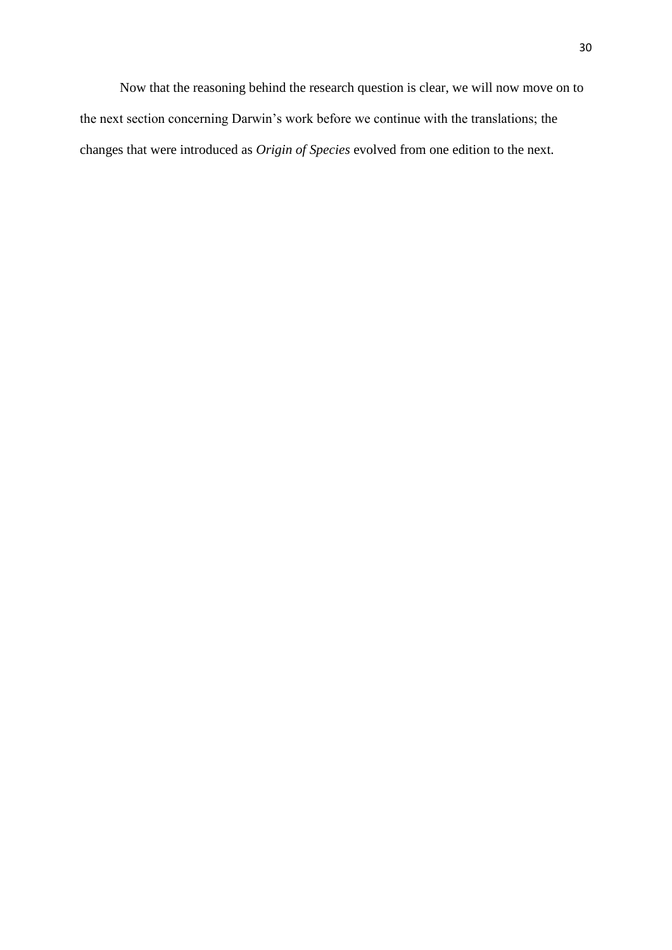Now that the reasoning behind the research question is clear, we will now move on to the next section concerning Darwin's work before we continue with the translations; the changes that were introduced as *Origin of Species* evolved from one edition to the next.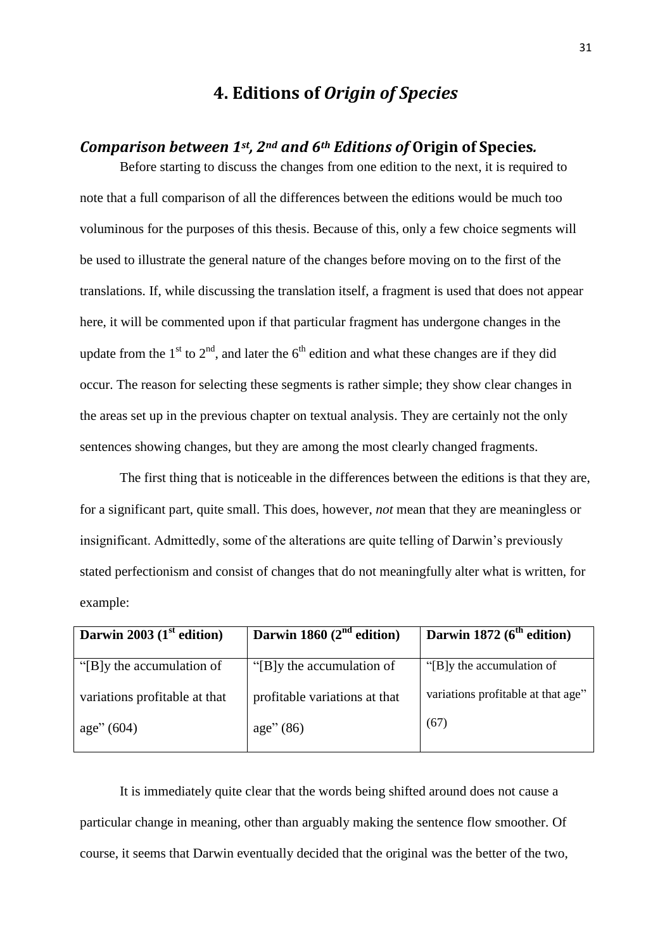## **4. Editions of** *Origin of Species*

## *Comparison between 1st , 2nd and 6th Editions of* **Origin of Species***.*

Before starting to discuss the changes from one edition to the next, it is required to note that a full comparison of all the differences between the editions would be much too voluminous for the purposes of this thesis. Because of this, only a few choice segments will be used to illustrate the general nature of the changes before moving on to the first of the translations. If, while discussing the translation itself, a fragment is used that does not appear here, it will be commented upon if that particular fragment has undergone changes in the update from the  $1<sup>st</sup>$  to  $2<sup>nd</sup>$ , and later the 6<sup>th</sup> edition and what these changes are if they did occur. The reason for selecting these segments is rather simple; they show clear changes in the areas set up in the previous chapter on textual analysis. They are certainly not the only sentences showing changes, but they are among the most clearly changed fragments.

The first thing that is noticeable in the differences between the editions is that they are, for a significant part, quite small. This does, however, *not* mean that they are meaningless or insignificant. Admittedly, some of the alterations are quite telling of Darwin's previously stated perfectionism and consist of changes that do not meaningfully alter what is written, for example:

| Darwin 2003 $(1st$ edition)   | Darwin 1860 $(2nd$ edition)   | Darwin 1872 $(6th$ edition)        |
|-------------------------------|-------------------------------|------------------------------------|
| "[B]y the accumulation of     | "[B]y the accumulation of     | "[B]y the accumulation of          |
| variations profitable at that | profitable variations at that | variations profitable at that age" |
| age''(604)                    | age''(86)                     | (67)                               |
|                               |                               |                                    |

It is immediately quite clear that the words being shifted around does not cause a particular change in meaning, other than arguably making the sentence flow smoother. Of course, it seems that Darwin eventually decided that the original was the better of the two,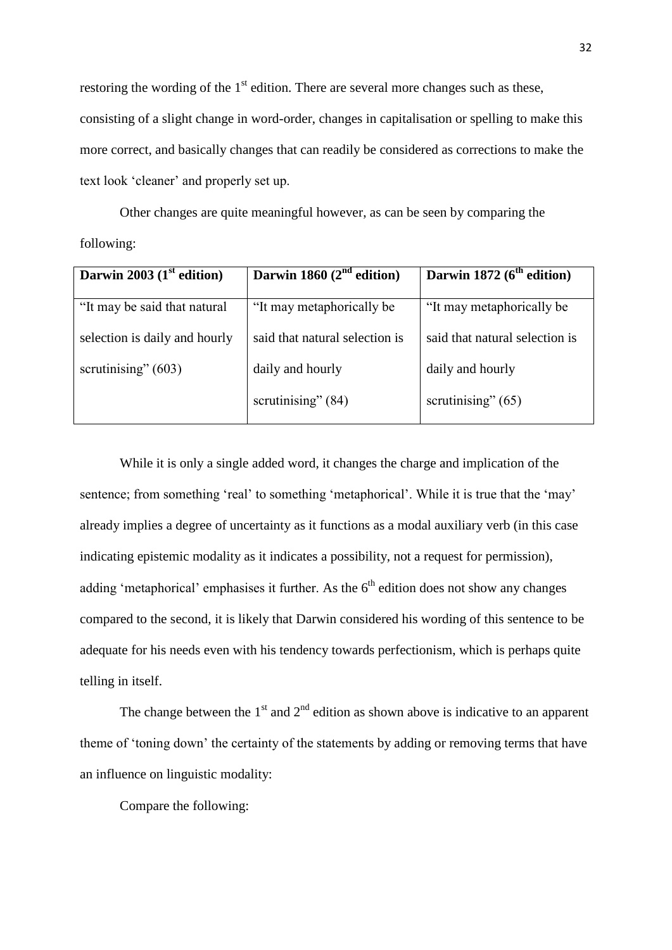restoring the wording of the  $1<sup>st</sup>$  edition. There are several more changes such as these, consisting of a slight change in word-order, changes in capitalisation or spelling to make this more correct, and basically changes that can readily be considered as corrections to make the text look 'cleaner' and properly set up.

Other changes are quite meaningful however, as can be seen by comparing the following:

| Darwin 2003 $(1st$ edition)   | Darwin 1860 $(2nd$ edition)    | Darwin 1872 $(6th$ edition)    |
|-------------------------------|--------------------------------|--------------------------------|
| "It may be said that natural" | "It may metaphorically be      | "It may metaphorically be      |
| selection is daily and hourly | said that natural selection is | said that natural selection is |
| scrutinising" $(603)$         | daily and hourly               | daily and hourly               |
|                               | scrutinising" $(84)$           | scrutinising" $(65)$           |

While it is only a single added word, it changes the charge and implication of the sentence; from something 'real' to something 'metaphorical'. While it is true that the 'may' already implies a degree of uncertainty as it functions as a modal auxiliary verb (in this case indicating epistemic modality as it indicates a possibility, not a request for permission), adding 'metaphorical' emphasises it further. As the  $6<sup>th</sup>$  edition does not show any changes compared to the second, it is likely that Darwin considered his wording of this sentence to be adequate for his needs even with his tendency towards perfectionism, which is perhaps quite telling in itself.

The change between the  $1<sup>st</sup>$  and  $2<sup>nd</sup>$  edition as shown above is indicative to an apparent theme of 'toning down' the certainty of the statements by adding or removing terms that have an influence on linguistic modality:

Compare the following: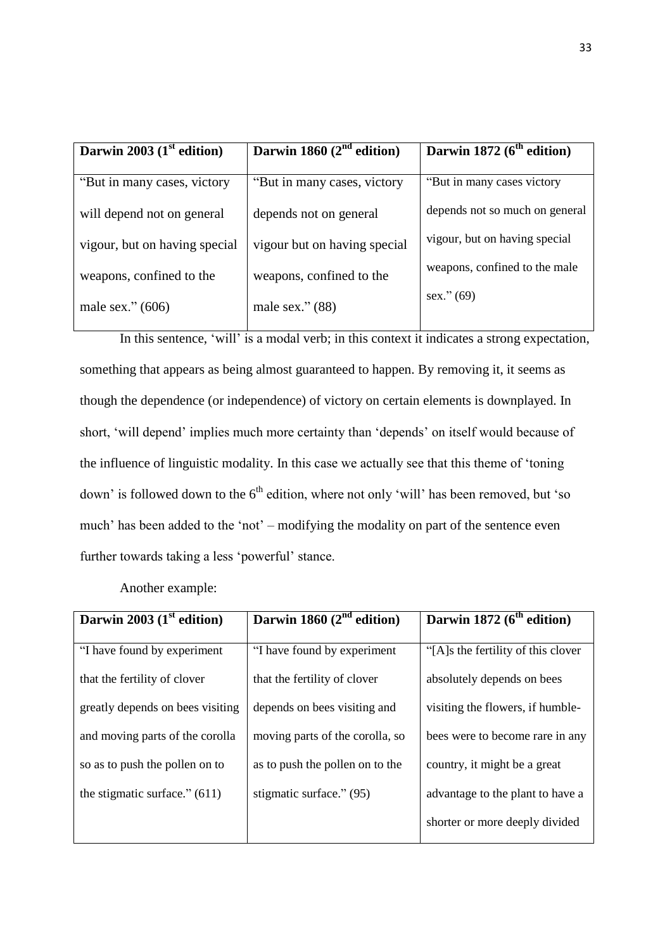| Darwin 2003 $(1st$ edition)   | Darwin 1860 $(2nd$ edition)  | Darwin 1872 ( $6th$ edition)   |
|-------------------------------|------------------------------|--------------------------------|
| "But in many cases, victory"  | "But in many cases, victory" | "But in many cases victory"    |
| will depend not on general    | depends not on general       | depends not so much on general |
| vigour, but on having special | vigour but on having special | vigour, but on having special  |
| weapons, confined to the      | weapons, confined to the     | weapons, confined to the male  |
| male sex." $(606)$            | male sex." $(88)$            | sex." (69)                     |

In this sentence, 'will' is a modal verb; in this context it indicates a strong expectation, something that appears as being almost guaranteed to happen. By removing it, it seems as though the dependence (or independence) of victory on certain elements is downplayed. In short, 'will depend' implies much more certainty than 'depends' on itself would because of the influence of linguistic modality. In this case we actually see that this theme of 'toning down' is followed down to the 6<sup>th</sup> edition, where not only 'will' has been removed, but 'so much' has been added to the 'not' – modifying the modality on part of the sentence even further towards taking a less 'powerful' stance.

Another example:

| Darwin 2003 $(1st$ edition)      | Darwin 1860 $(2^{nd}$ edition)  | Darwin 1872 (6 <sup>th</sup> edition) |
|----------------------------------|---------------------------------|---------------------------------------|
| "I have found by experiment      | "I have found by experiment     | "[A]s the fertility of this clover"   |
| that the fertility of clover     | that the fertility of clover    | absolutely depends on bees            |
| greatly depends on bees visiting | depends on bees visiting and    | visiting the flowers, if humble-      |
| and moving parts of the corolla  | moving parts of the corolla, so | bees were to become rare in any       |
| so as to push the pollen on to   | as to push the pollen on to the | country, it might be a great          |
| the stigmatic surface." $(611)$  | stigmatic surface." (95)        | advantage to the plant to have a      |
|                                  |                                 | shorter or more deeply divided        |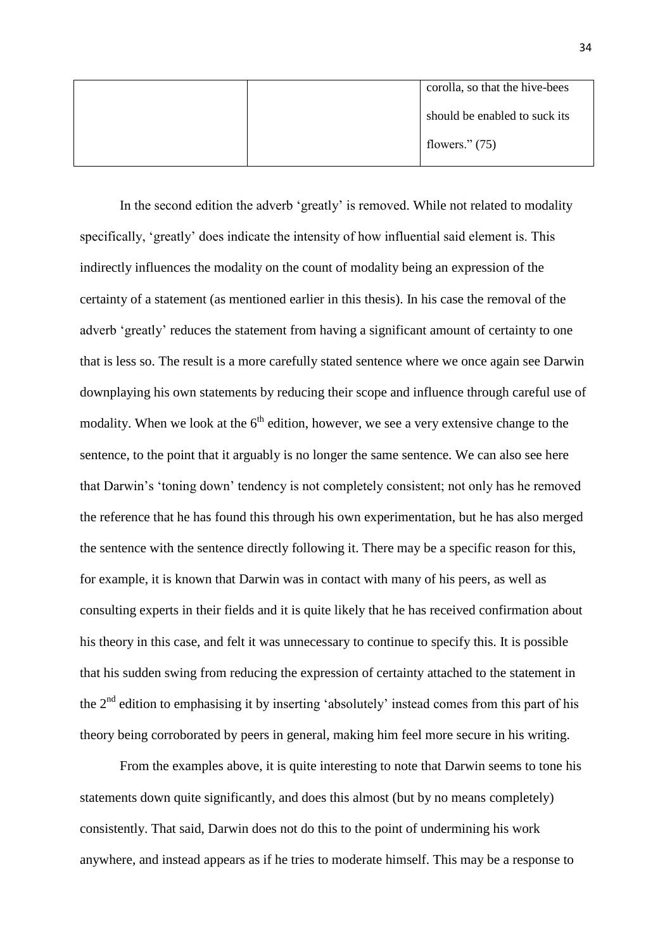|  | corolla, so that the hive-bees |
|--|--------------------------------|
|  | should be enabled to suck its  |
|  | flowers." $(75)$               |

In the second edition the adverb 'greatly' is removed. While not related to modality specifically, 'greatly' does indicate the intensity of how influential said element is. This indirectly influences the modality on the count of modality being an expression of the certainty of a statement (as mentioned earlier in this thesis). In his case the removal of the adverb 'greatly' reduces the statement from having a significant amount of certainty to one that is less so. The result is a more carefully stated sentence where we once again see Darwin downplaying his own statements by reducing their scope and influence through careful use of modality. When we look at the  $6<sup>th</sup>$  edition, however, we see a very extensive change to the sentence, to the point that it arguably is no longer the same sentence. We can also see here that Darwin's 'toning down' tendency is not completely consistent; not only has he removed the reference that he has found this through his own experimentation, but he has also merged the sentence with the sentence directly following it. There may be a specific reason for this, for example, it is known that Darwin was in contact with many of his peers, as well as consulting experts in their fields and it is quite likely that he has received confirmation about his theory in this case, and felt it was unnecessary to continue to specify this. It is possible that his sudden swing from reducing the expression of certainty attached to the statement in the  $2<sup>nd</sup>$  edition to emphasising it by inserting 'absolutely' instead comes from this part of his theory being corroborated by peers in general, making him feel more secure in his writing.

From the examples above, it is quite interesting to note that Darwin seems to tone his statements down quite significantly, and does this almost (but by no means completely) consistently. That said, Darwin does not do this to the point of undermining his work anywhere, and instead appears as if he tries to moderate himself. This may be a response to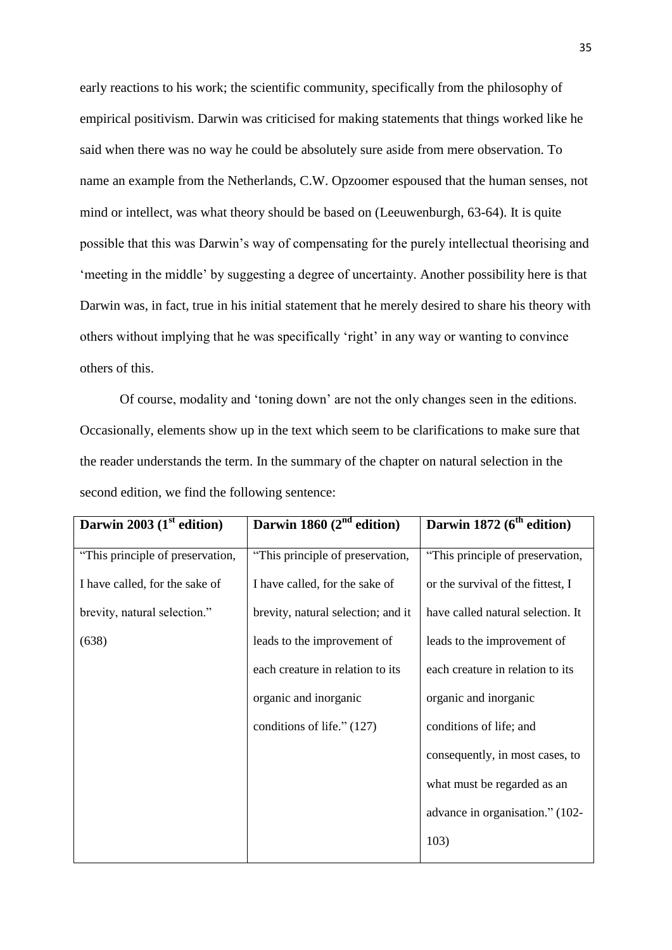early reactions to his work; the scientific community, specifically from the philosophy of empirical positivism. Darwin was criticised for making statements that things worked like he said when there was no way he could be absolutely sure aside from mere observation. To name an example from the Netherlands, C.W. Opzoomer espoused that the human senses, not mind or intellect, was what theory should be based on (Leeuwenburgh, 63-64). It is quite possible that this was Darwin's way of compensating for the purely intellectual theorising and 'meeting in the middle' by suggesting a degree of uncertainty. Another possibility here is that Darwin was, in fact, true in his initial statement that he merely desired to share his theory with others without implying that he was specifically 'right' in any way or wanting to convince others of this.

Of course, modality and 'toning down' are not the only changes seen in the editions. Occasionally, elements show up in the text which seem to be clarifications to make sure that the reader understands the term. In the summary of the chapter on natural selection in the second edition, we find the following sentence:

| Darwin 2003 $(1st$ edition)      | Darwin 1860 $(2nd$ edition)        | Darwin 1872 $(6th$ edition)       |
|----------------------------------|------------------------------------|-----------------------------------|
| "This principle of preservation, | "This principle of preservation,   | "This principle of preservation,  |
| I have called, for the sake of   | I have called, for the sake of     | or the survival of the fittest, I |
| brevity, natural selection."     | brevity, natural selection; and it | have called natural selection. It |
| (638)                            | leads to the improvement of        | leads to the improvement of       |
|                                  | each creature in relation to its   | each creature in relation to its  |
|                                  | organic and inorganic              | organic and inorganic             |
|                                  | conditions of life." (127)         | conditions of life; and           |
|                                  |                                    | consequently, in most cases, to   |
|                                  |                                    | what must be regarded as an       |
|                                  |                                    | advance in organisation." (102-   |
|                                  |                                    | 103)                              |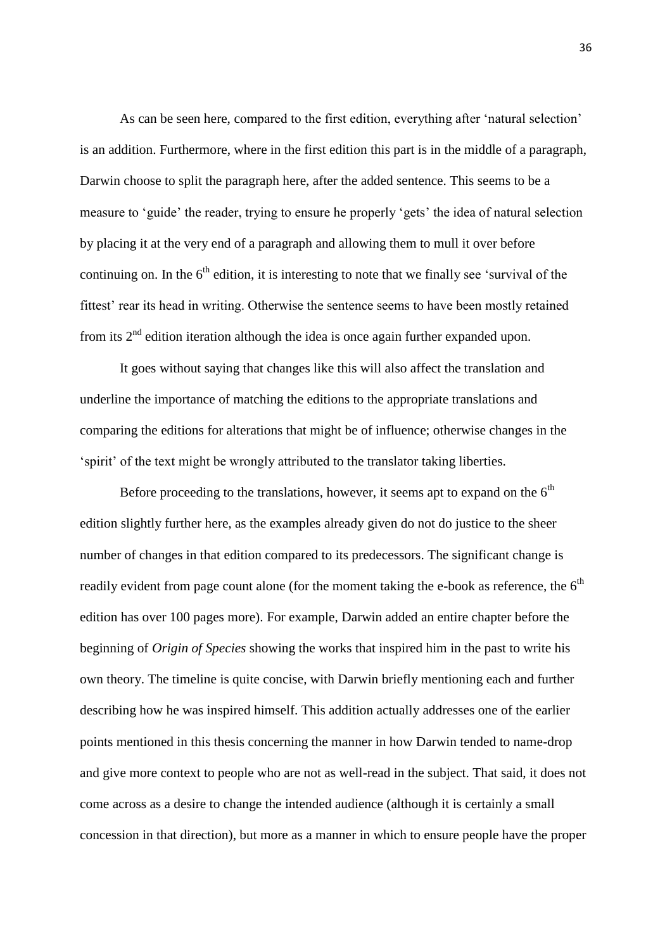As can be seen here, compared to the first edition, everything after 'natural selection' is an addition. Furthermore, where in the first edition this part is in the middle of a paragraph, Darwin choose to split the paragraph here, after the added sentence. This seems to be a measure to 'guide' the reader, trying to ensure he properly 'gets' the idea of natural selection by placing it at the very end of a paragraph and allowing them to mull it over before continuing on. In the  $6<sup>th</sup>$  edition, it is interesting to note that we finally see 'survival of the fittest' rear its head in writing. Otherwise the sentence seems to have been mostly retained from its  $2<sup>nd</sup>$  edition iteration although the idea is once again further expanded upon.

It goes without saying that changes like this will also affect the translation and underline the importance of matching the editions to the appropriate translations and comparing the editions for alterations that might be of influence; otherwise changes in the 'spirit' of the text might be wrongly attributed to the translator taking liberties.

Before proceeding to the translations, however, it seems apt to expand on the  $6<sup>th</sup>$ edition slightly further here, as the examples already given do not do justice to the sheer number of changes in that edition compared to its predecessors. The significant change is readily evident from page count alone (for the moment taking the e-book as reference, the  $6<sup>th</sup>$ edition has over 100 pages more). For example, Darwin added an entire chapter before the beginning of *Origin of Species* showing the works that inspired him in the past to write his own theory. The timeline is quite concise, with Darwin briefly mentioning each and further describing how he was inspired himself. This addition actually addresses one of the earlier points mentioned in this thesis concerning the manner in how Darwin tended to name-drop and give more context to people who are not as well-read in the subject. That said, it does not come across as a desire to change the intended audience (although it is certainly a small concession in that direction), but more as a manner in which to ensure people have the proper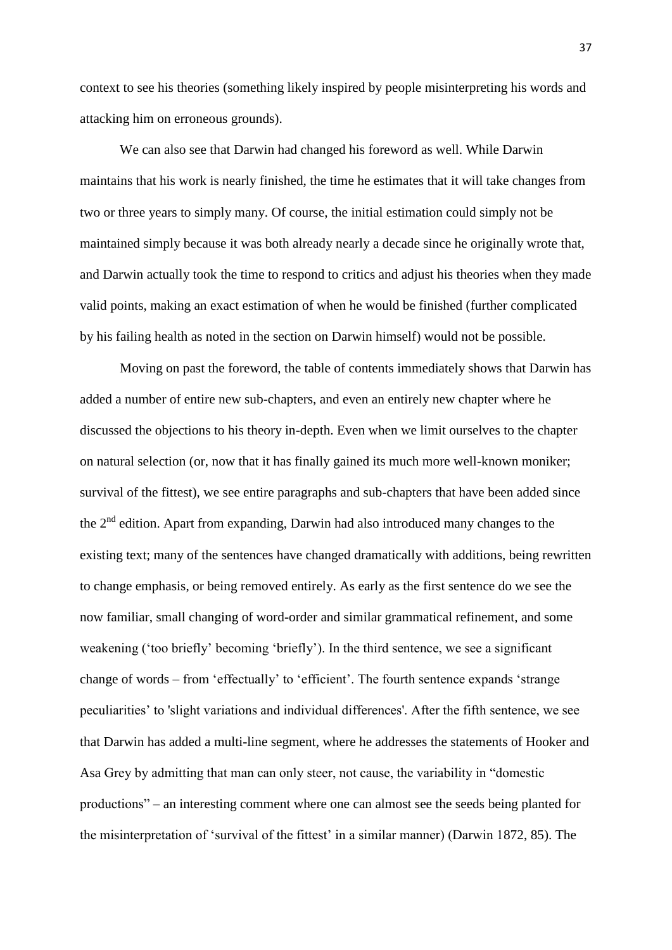context to see his theories (something likely inspired by people misinterpreting his words and attacking him on erroneous grounds).

We can also see that Darwin had changed his foreword as well. While Darwin maintains that his work is nearly finished, the time he estimates that it will take changes from two or three years to simply many. Of course, the initial estimation could simply not be maintained simply because it was both already nearly a decade since he originally wrote that, and Darwin actually took the time to respond to critics and adjust his theories when they made valid points, making an exact estimation of when he would be finished (further complicated by his failing health as noted in the section on Darwin himself) would not be possible.

Moving on past the foreword, the table of contents immediately shows that Darwin has added a number of entire new sub-chapters, and even an entirely new chapter where he discussed the objections to his theory in-depth. Even when we limit ourselves to the chapter on natural selection (or, now that it has finally gained its much more well-known moniker; survival of the fittest), we see entire paragraphs and sub-chapters that have been added since the 2<sup>nd</sup> edition. Apart from expanding, Darwin had also introduced many changes to the existing text; many of the sentences have changed dramatically with additions, being rewritten to change emphasis, or being removed entirely. As early as the first sentence do we see the now familiar, small changing of word-order and similar grammatical refinement, and some weakening ('too briefly' becoming 'briefly'). In the third sentence, we see a significant change of words – from 'effectually' to 'efficient'. The fourth sentence expands 'strange peculiarities' to 'slight variations and individual differences'. After the fifth sentence, we see that Darwin has added a multi-line segment, where he addresses the statements of Hooker and Asa Grey by admitting that man can only steer, not cause, the variability in "domestic productions" – an interesting comment where one can almost see the seeds being planted for the misinterpretation of 'survival of the fittest' in a similar manner) (Darwin 1872, 85). The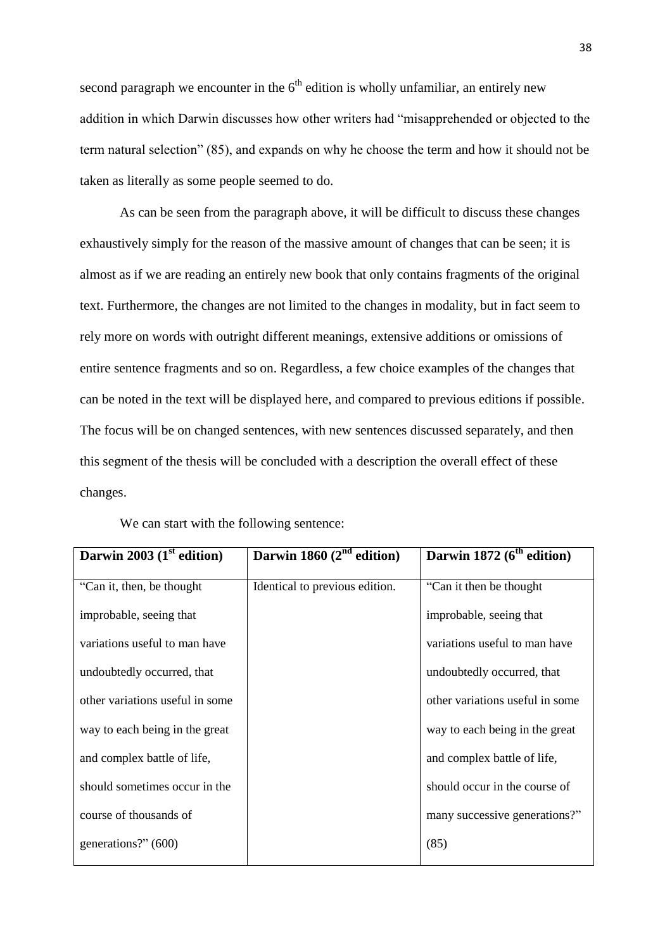second paragraph we encounter in the  $6<sup>th</sup>$  edition is wholly unfamiliar, an entirely new addition in which Darwin discusses how other writers had "misapprehended or objected to the term natural selection" (85), and expands on why he choose the term and how it should not be taken as literally as some people seemed to do.

As can be seen from the paragraph above, it will be difficult to discuss these changes exhaustively simply for the reason of the massive amount of changes that can be seen; it is almost as if we are reading an entirely new book that only contains fragments of the original text. Furthermore, the changes are not limited to the changes in modality, but in fact seem to rely more on words with outright different meanings, extensive additions or omissions of entire sentence fragments and so on. Regardless, a few choice examples of the changes that can be noted in the text will be displayed here, and compared to previous editions if possible. The focus will be on changed sentences, with new sentences discussed separately, and then this segment of the thesis will be concluded with a description the overall effect of these changes.

| Darwin 2003 $(1st$ edition)     | Darwin 1860 $(2nd$ edition)    | Darwin 1872 ( $6th$ edition)    |
|---------------------------------|--------------------------------|---------------------------------|
| "Can it, then, be thought       | Identical to previous edition. | "Can it then be thought"        |
| improbable, seeing that         |                                | improbable, seeing that         |
| variations useful to man have   |                                | variations useful to man have   |
| undoubtedly occurred, that      |                                | undoubtedly occurred, that      |
| other variations useful in some |                                | other variations useful in some |
| way to each being in the great  |                                | way to each being in the great  |
| and complex battle of life,     |                                | and complex battle of life,     |
| should sometimes occur in the   |                                | should occur in the course of   |
| course of thousands of          |                                | many successive generations?"   |
| generations?" (600)             |                                | (85)                            |

We can start with the following sentence: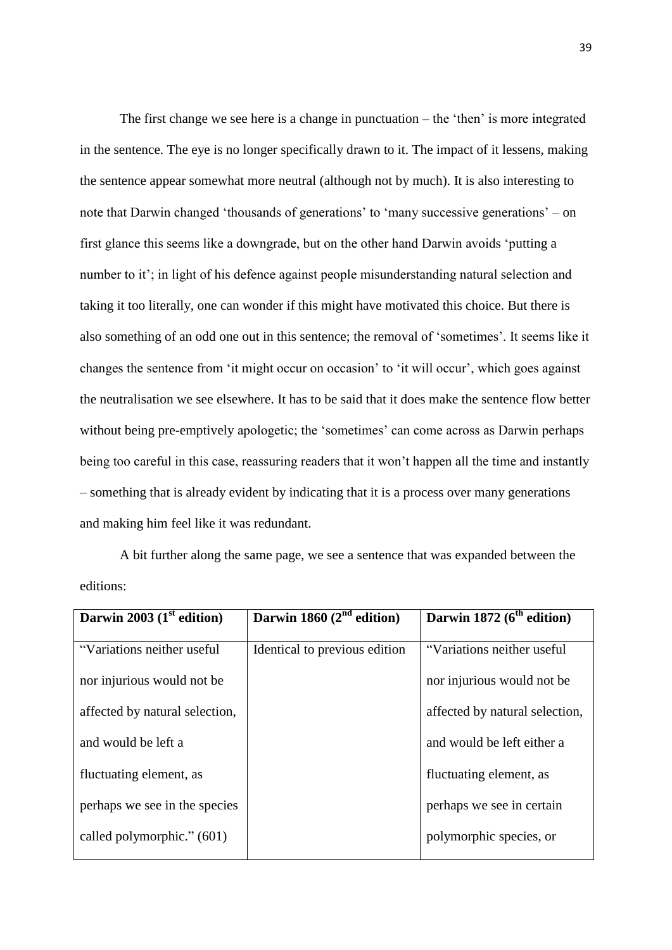The first change we see here is a change in punctuation – the 'then' is more integrated in the sentence. The eye is no longer specifically drawn to it. The impact of it lessens, making the sentence appear somewhat more neutral (although not by much). It is also interesting to note that Darwin changed 'thousands of generations' to 'many successive generations' – on first glance this seems like a downgrade, but on the other hand Darwin avoids 'putting a number to it'; in light of his defence against people misunderstanding natural selection and taking it too literally, one can wonder if this might have motivated this choice. But there is also something of an odd one out in this sentence; the removal of 'sometimes'. It seems like it changes the sentence from 'it might occur on occasion' to 'it will occur', which goes against the neutralisation we see elsewhere. It has to be said that it does make the sentence flow better without being pre-emptively apologetic; the 'sometimes' can come across as Darwin perhaps being too careful in this case, reassuring readers that it won't happen all the time and instantly – something that is already evident by indicating that it is a process over many generations and making him feel like it was redundant.

A bit further along the same page, we see a sentence that was expanded between the editions:

| Darwin 2003 $(1st$ edition)    | Darwin 1860 $(2nd$ edition)   | Darwin 1872 $(6th$ edition)    |
|--------------------------------|-------------------------------|--------------------------------|
| "Variations neither useful     | Identical to previous edition | "Variations neither useful     |
| nor injurious would not be.    |                               | nor injurious would not be     |
| affected by natural selection, |                               | affected by natural selection, |
| and would be left a            |                               | and would be left either a     |
| fluctuating element, as        |                               | fluctuating element, as        |
| perhaps we see in the species  |                               | perhaps we see in certain      |
| called polymorphic." (601)     |                               | polymorphic species, or        |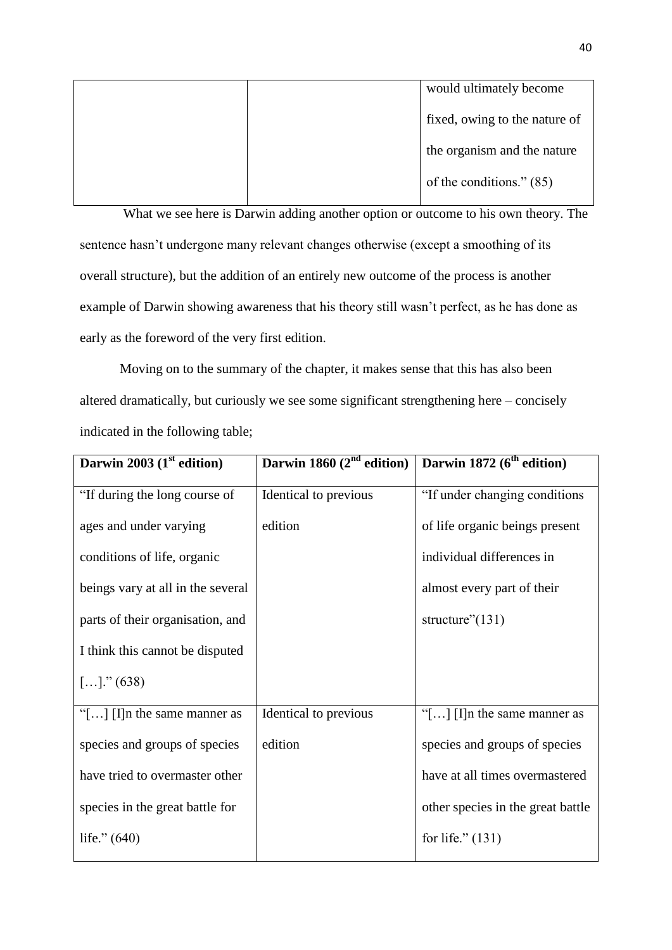|  | would ultimately become       |
|--|-------------------------------|
|  | fixed, owing to the nature of |
|  | the organism and the nature   |
|  | of the conditions." (85)      |

What we see here is Darwin adding another option or outcome to his own theory. The sentence hasn't undergone many relevant changes otherwise (except a smoothing of its overall structure), but the addition of an entirely new outcome of the process is another example of Darwin showing awareness that his theory still wasn't perfect, as he has done as early as the foreword of the very first edition.

Moving on to the summary of the chapter, it makes sense that this has also been altered dramatically, but curiously we see some significant strengthening here – concisely indicated in the following table;

| Darwin 2003 $(1st$ edition)           | Darwin 1860 $(2nd$ edition) | Darwin 1872 (6 <sup>th</sup> edition) |
|---------------------------------------|-----------------------------|---------------------------------------|
| "If during the long course of         | Identical to previous       | "If under changing conditions"        |
| ages and under varying                | edition                     | of life organic beings present        |
| conditions of life, organic           |                             | individual differences in             |
| beings vary at all in the several     |                             | almost every part of their            |
| parts of their organisation, and      |                             | structure" $(131)$                    |
| I think this cannot be disputed       |                             |                                       |
| $[]$ ." (638)                         |                             |                                       |
| "[ $\ldots$ ] [I]n the same manner as | Identical to previous       | "[ $\ldots$ ] [I]n the same manner as |
| species and groups of species         | edition                     | species and groups of species         |
| have tried to overmaster other        |                             | have at all times overmastered        |
| species in the great battle for       |                             | other species in the great battle     |
| life." $(640)$                        |                             | for life." $(131)$                    |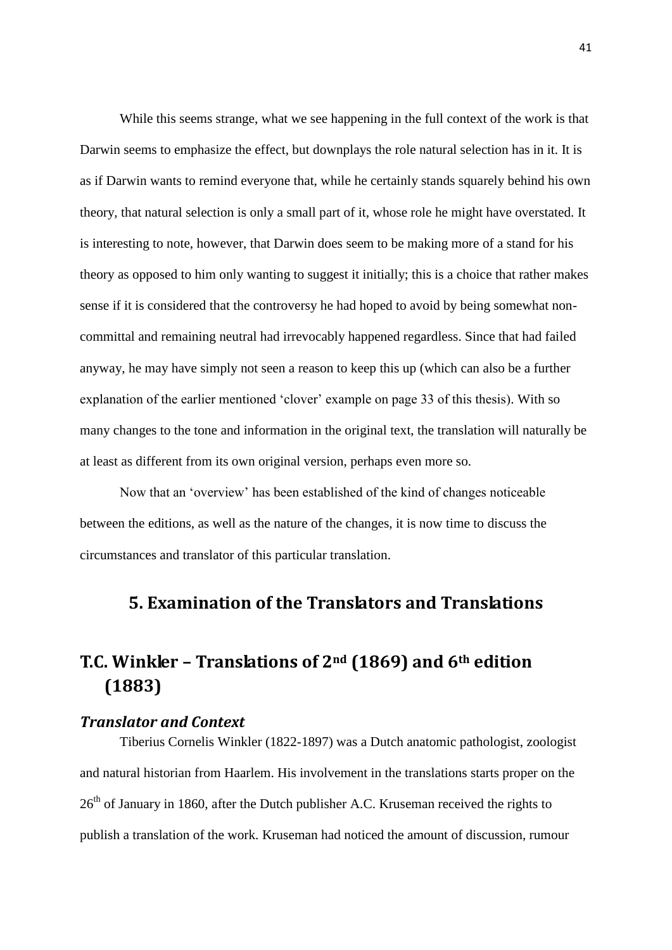While this seems strange, what we see happening in the full context of the work is that Darwin seems to emphasize the effect, but downplays the role natural selection has in it. It is as if Darwin wants to remind everyone that, while he certainly stands squarely behind his own theory, that natural selection is only a small part of it, whose role he might have overstated. It is interesting to note, however, that Darwin does seem to be making more of a stand for his theory as opposed to him only wanting to suggest it initially; this is a choice that rather makes sense if it is considered that the controversy he had hoped to avoid by being somewhat noncommittal and remaining neutral had irrevocably happened regardless. Since that had failed anyway, he may have simply not seen a reason to keep this up (which can also be a further explanation of the earlier mentioned 'clover' example on page 33 of this thesis). With so many changes to the tone and information in the original text, the translation will naturally be at least as different from its own original version, perhaps even more so.

Now that an 'overview' has been established of the kind of changes noticeable between the editions, as well as the nature of the changes, it is now time to discuss the circumstances and translator of this particular translation.

# **5. Examination of the Translators and Translations**

# **T.C. Winkler – Translations of 2nd (1869) and 6th edition (1883)**

## *Translator and Context*

Tiberius Cornelis Winkler (1822-1897) was a Dutch anatomic pathologist, zoologist and natural historian from Haarlem. His involvement in the translations starts proper on the 26<sup>th</sup> of January in 1860, after the Dutch publisher A.C. Kruseman received the rights to publish a translation of the work. Kruseman had noticed the amount of discussion, rumour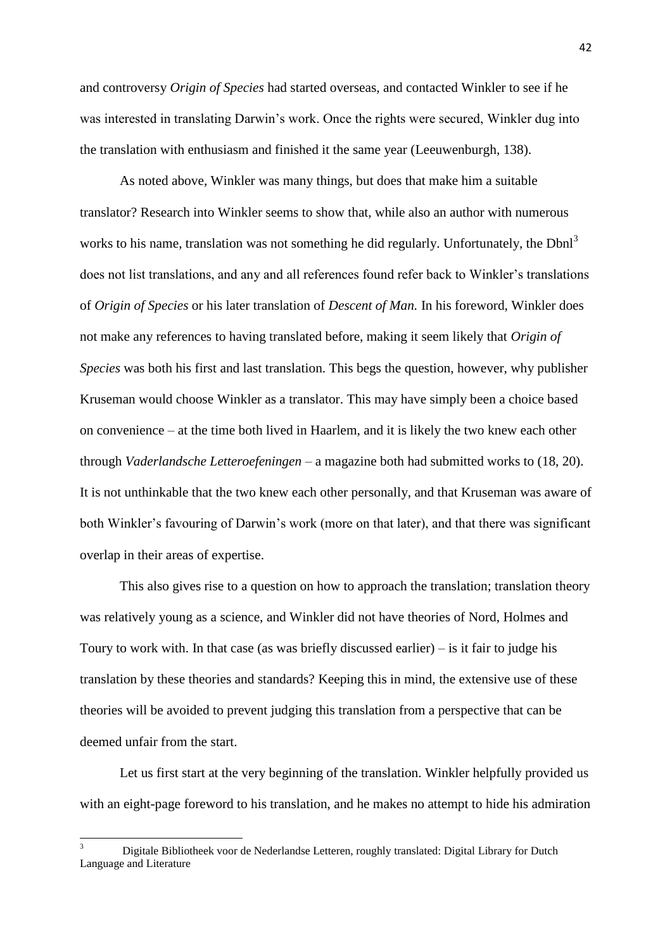and controversy *Origin of Species* had started overseas, and contacted Winkler to see if he was interested in translating Darwin's work. Once the rights were secured, Winkler dug into the translation with enthusiasm and finished it the same year (Leeuwenburgh, 138).

As noted above, Winkler was many things, but does that make him a suitable translator? Research into Winkler seems to show that, while also an author with numerous works to his name, translation was not something he did regularly. Unfortunately, the  $Dbnl<sup>3</sup>$ does not list translations, and any and all references found refer back to Winkler's translations of *Origin of Species* or his later translation of *Descent of Man.* In his foreword, Winkler does not make any references to having translated before, making it seem likely that *Origin of Species* was both his first and last translation. This begs the question, however, why publisher Kruseman would choose Winkler as a translator. This may have simply been a choice based on convenience – at the time both lived in Haarlem, and it is likely the two knew each other through *Vaderlandsche Letteroefeningen* – a magazine both had submitted works to (18, 20). It is not unthinkable that the two knew each other personally, and that Kruseman was aware of both Winkler's favouring of Darwin's work (more on that later), and that there was significant overlap in their areas of expertise.

This also gives rise to a question on how to approach the translation; translation theory was relatively young as a science, and Winkler did not have theories of Nord, Holmes and Toury to work with. In that case (as was briefly discussed earlier) – is it fair to judge his translation by these theories and standards? Keeping this in mind, the extensive use of these theories will be avoided to prevent judging this translation from a perspective that can be deemed unfair from the start.

Let us first start at the very beginning of the translation. Winkler helpfully provided us with an eight-page foreword to his translation, and he makes no attempt to hide his admiration

**.** 

<sup>3</sup> Digitale Bibliotheek voor de Nederlandse Letteren, roughly translated: Digital Library for Dutch Language and Literature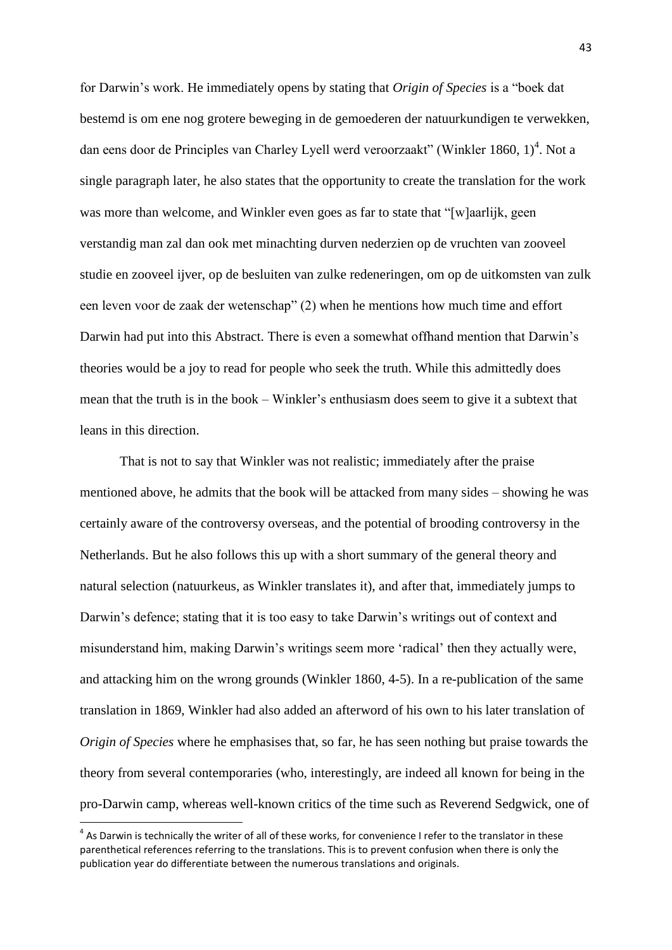for Darwin's work. He immediately opens by stating that *Origin of Species* is a "boek dat bestemd is om ene nog grotere beweging in de gemoederen der natuurkundigen te verwekken, dan eens door de Principles van Charley Lyell werd veroorzaakt" (Winkler 1860, 1)<sup>4</sup>. Not a single paragraph later, he also states that the opportunity to create the translation for the work was more than welcome, and Winkler even goes as far to state that "[w]aarlijk, geen verstandig man zal dan ook met minachting durven nederzien op de vruchten van zooveel studie en zooveel ijver, op de besluiten van zulke redeneringen, om op de uitkomsten van zulk een leven voor de zaak der wetenschap" (2) when he mentions how much time and effort Darwin had put into this Abstract. There is even a somewhat offhand mention that Darwin's theories would be a joy to read for people who seek the truth. While this admittedly does mean that the truth is in the book – Winkler's enthusiasm does seem to give it a subtext that leans in this direction.

That is not to say that Winkler was not realistic; immediately after the praise mentioned above, he admits that the book will be attacked from many sides – showing he was certainly aware of the controversy overseas, and the potential of brooding controversy in the Netherlands. But he also follows this up with a short summary of the general theory and natural selection (natuurkeus, as Winkler translates it), and after that, immediately jumps to Darwin's defence; stating that it is too easy to take Darwin's writings out of context and misunderstand him, making Darwin's writings seem more 'radical' then they actually were, and attacking him on the wrong grounds (Winkler 1860, 4-5). In a re-publication of the same translation in 1869, Winkler had also added an afterword of his own to his later translation of *Origin of Species* where he emphasises that, so far, he has seen nothing but praise towards the theory from several contemporaries (who, interestingly, are indeed all known for being in the pro-Darwin camp, whereas well-known critics of the time such as Reverend Sedgwick, one of

**.** 

 $<sup>4</sup>$  As Darwin is technically the writer of all of these works, for convenience I refer to the translator in these</sup> parenthetical references referring to the translations. This is to prevent confusion when there is only the publication year do differentiate between the numerous translations and originals.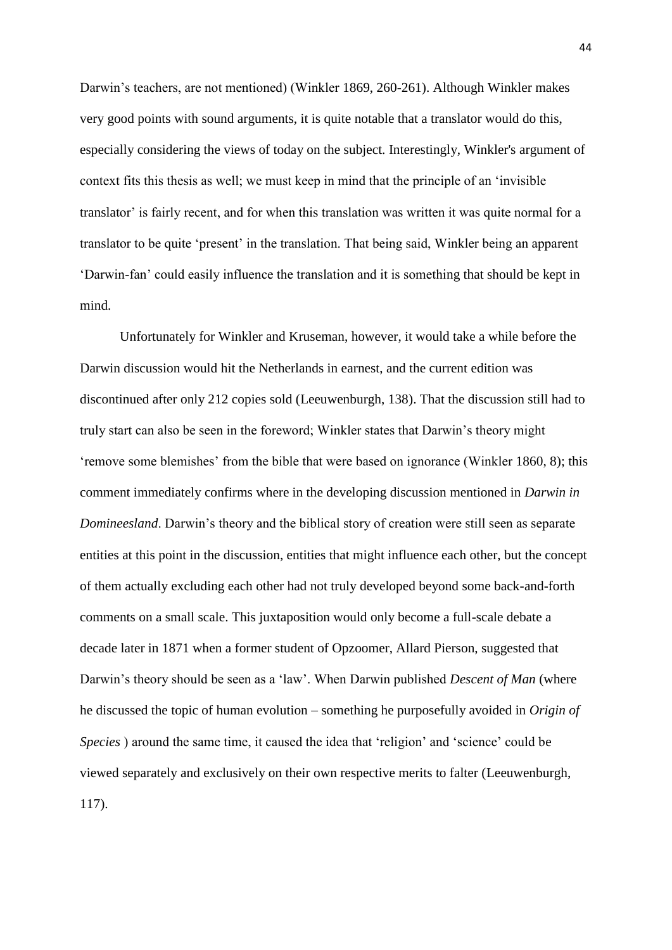Darwin's teachers, are not mentioned) (Winkler 1869, 260-261). Although Winkler makes very good points with sound arguments, it is quite notable that a translator would do this, especially considering the views of today on the subject. Interestingly, Winkler's argument of context fits this thesis as well; we must keep in mind that the principle of an 'invisible translator' is fairly recent, and for when this translation was written it was quite normal for a translator to be quite 'present' in the translation. That being said, Winkler being an apparent 'Darwin-fan' could easily influence the translation and it is something that should be kept in mind.

Unfortunately for Winkler and Kruseman, however, it would take a while before the Darwin discussion would hit the Netherlands in earnest, and the current edition was discontinued after only 212 copies sold (Leeuwenburgh, 138). That the discussion still had to truly start can also be seen in the foreword; Winkler states that Darwin's theory might 'remove some blemishes' from the bible that were based on ignorance (Winkler 1860, 8); this comment immediately confirms where in the developing discussion mentioned in *Darwin in Domineesland*. Darwin's theory and the biblical story of creation were still seen as separate entities at this point in the discussion, entities that might influence each other, but the concept of them actually excluding each other had not truly developed beyond some back-and-forth comments on a small scale. This juxtaposition would only become a full-scale debate a decade later in 1871 when a former student of Opzoomer, Allard Pierson, suggested that Darwin's theory should be seen as a 'law'. When Darwin published *Descent of Man* (where he discussed the topic of human evolution – something he purposefully avoided in *Origin of Species* ) around the same time, it caused the idea that 'religion' and 'science' could be viewed separately and exclusively on their own respective merits to falter (Leeuwenburgh, 117).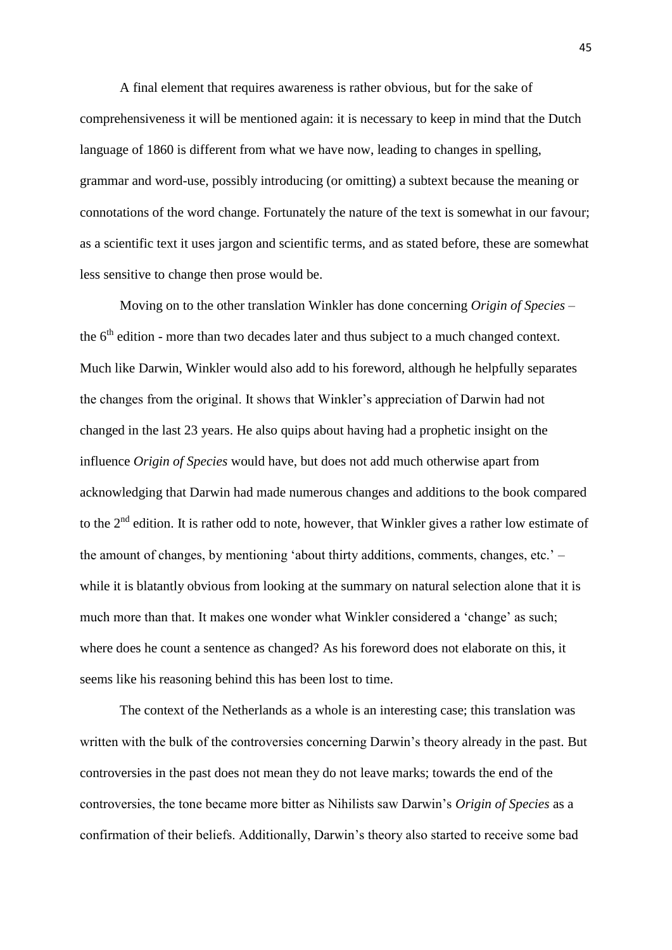A final element that requires awareness is rather obvious, but for the sake of comprehensiveness it will be mentioned again: it is necessary to keep in mind that the Dutch language of 1860 is different from what we have now, leading to changes in spelling, grammar and word-use, possibly introducing (or omitting) a subtext because the meaning or connotations of the word change. Fortunately the nature of the text is somewhat in our favour; as a scientific text it uses jargon and scientific terms, and as stated before, these are somewhat less sensitive to change then prose would be.

Moving on to the other translation Winkler has done concerning *Origin of Species* – the  $6<sup>th</sup>$  edition - more than two decades later and thus subject to a much changed context. Much like Darwin, Winkler would also add to his foreword, although he helpfully separates the changes from the original. It shows that Winkler's appreciation of Darwin had not changed in the last 23 years. He also quips about having had a prophetic insight on the influence *Origin of Species* would have, but does not add much otherwise apart from acknowledging that Darwin had made numerous changes and additions to the book compared to the  $2<sup>nd</sup>$  edition. It is rather odd to note, however, that Winkler gives a rather low estimate of the amount of changes, by mentioning 'about thirty additions, comments, changes, etc.' – while it is blatantly obvious from looking at the summary on natural selection alone that it is much more than that. It makes one wonder what Winkler considered a 'change' as such; where does he count a sentence as changed? As his foreword does not elaborate on this, it seems like his reasoning behind this has been lost to time.

The context of the Netherlands as a whole is an interesting case; this translation was written with the bulk of the controversies concerning Darwin's theory already in the past. But controversies in the past does not mean they do not leave marks; towards the end of the controversies, the tone became more bitter as Nihilists saw Darwin's *Origin of Species* as a confirmation of their beliefs. Additionally, Darwin's theory also started to receive some bad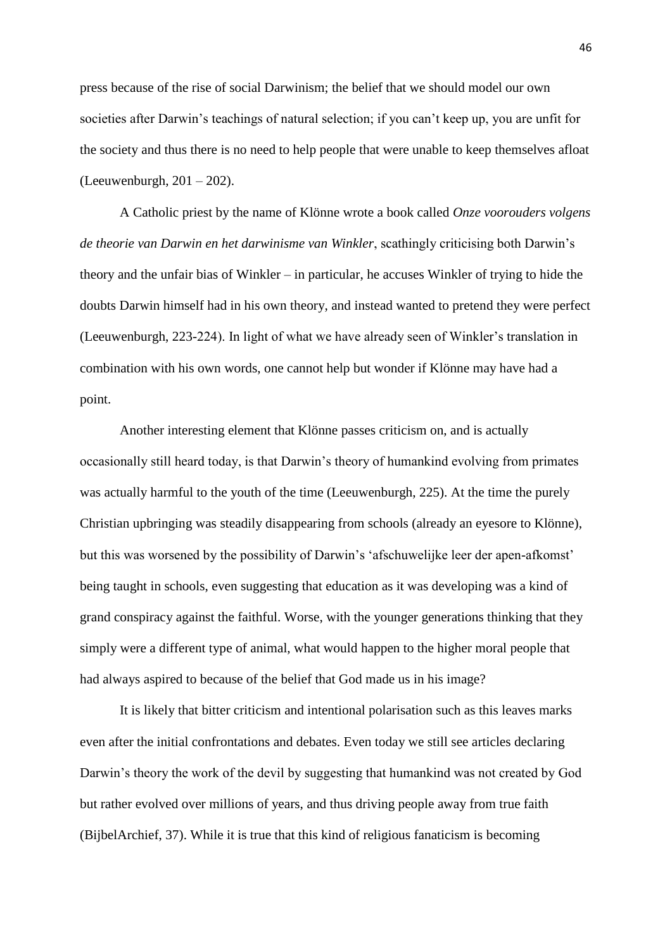press because of the rise of social Darwinism; the belief that we should model our own societies after Darwin's teachings of natural selection; if you can't keep up, you are unfit for the society and thus there is no need to help people that were unable to keep themselves afloat (Leeuwenburgh,  $201 - 202$ ).

A Catholic priest by the name of Klönne wrote a book called *Onze voorouders volgens de theorie van Darwin en het darwinisme van Winkler*, scathingly criticising both Darwin's theory and the unfair bias of Winkler – in particular, he accuses Winkler of trying to hide the doubts Darwin himself had in his own theory, and instead wanted to pretend they were perfect (Leeuwenburgh, 223-224). In light of what we have already seen of Winkler's translation in combination with his own words, one cannot help but wonder if Klönne may have had a point.

Another interesting element that Klönne passes criticism on, and is actually occasionally still heard today, is that Darwin's theory of humankind evolving from primates was actually harmful to the youth of the time (Leeuwenburgh, 225). At the time the purely Christian upbringing was steadily disappearing from schools (already an eyesore to Klönne), but this was worsened by the possibility of Darwin's 'afschuwelijke leer der apen-afkomst' being taught in schools, even suggesting that education as it was developing was a kind of grand conspiracy against the faithful. Worse, with the younger generations thinking that they simply were a different type of animal, what would happen to the higher moral people that had always aspired to because of the belief that God made us in his image?

It is likely that bitter criticism and intentional polarisation such as this leaves marks even after the initial confrontations and debates. Even today we still see articles declaring Darwin's theory the work of the devil by suggesting that humankind was not created by God but rather evolved over millions of years, and thus driving people away from true faith (BijbelArchief, 37). While it is true that this kind of religious fanaticism is becoming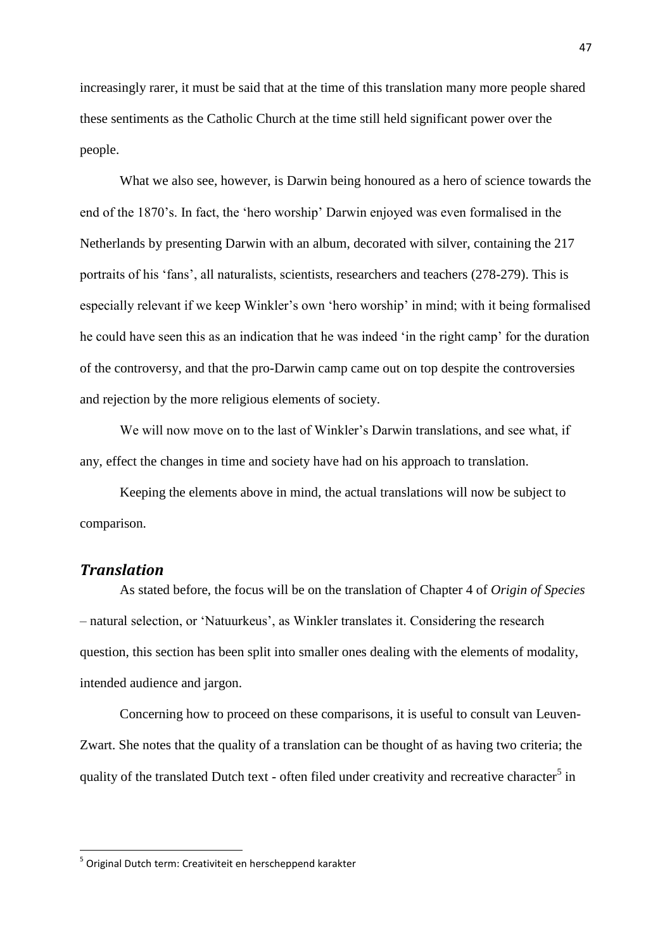increasingly rarer, it must be said that at the time of this translation many more people shared these sentiments as the Catholic Church at the time still held significant power over the people.

What we also see, however, is Darwin being honoured as a hero of science towards the end of the 1870's. In fact, the 'hero worship' Darwin enjoyed was even formalised in the Netherlands by presenting Darwin with an album, decorated with silver, containing the 217 portraits of his 'fans', all naturalists, scientists, researchers and teachers (278-279). This is especially relevant if we keep Winkler's own 'hero worship' in mind; with it being formalised he could have seen this as an indication that he was indeed 'in the right camp' for the duration of the controversy, and that the pro-Darwin camp came out on top despite the controversies and rejection by the more religious elements of society.

We will now move on to the last of Winkler's Darwin translations, and see what, if any, effect the changes in time and society have had on his approach to translation.

Keeping the elements above in mind, the actual translations will now be subject to comparison.

## *Translation*

**.** 

As stated before, the focus will be on the translation of Chapter 4 of *Origin of Species* – natural selection, or 'Natuurkeus', as Winkler translates it. Considering the research question, this section has been split into smaller ones dealing with the elements of modality, intended audience and jargon.

Concerning how to proceed on these comparisons, it is useful to consult van Leuven-Zwart. She notes that the quality of a translation can be thought of as having two criteria; the quality of the translated Dutch text - often filed under creativity and recreative character<sup>5</sup> in

<sup>&</sup>lt;sup>5</sup> Original Dutch term: Creativiteit en herscheppend karakter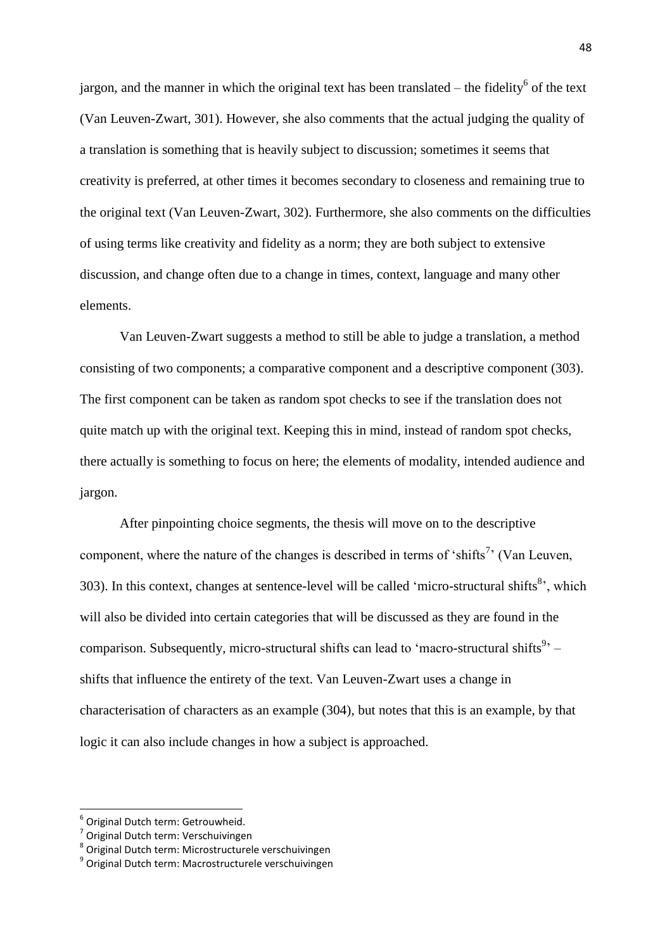jargon, and the manner in which the original text has been translated  $-$  the fidelity<sup>6</sup> of the text (Van Leuven-Zwart, 301). However, she also comments that the actual judging the quality of a translation is something that is heavily subject to discussion; sometimes it seems that creativity is preferred, at other times it becomes secondary to closeness and remaining true to the original text (Van Leuven-Zwart, 302). Furthermore, she also comments on the difficulties of using terms like creativity and fidelity as a norm; they are both subject to extensive discussion, and change often due to a change in times, context, language and many other elements.

Van Leuven-Zwart suggests a method to still be able to judge a translation, a method consisting of two components; a comparative component and a descriptive component (303). The first component can be taken as random spot checks to see if the translation does not quite match up with the original text. Keeping this in mind, instead of random spot checks, there actually is something to focus on here; the elements of modality, intended audience and jargon.

After pinpointing choice segments, the thesis will move on to the descriptive component, where the nature of the changes is described in terms of 'shifts<sup>7</sup>' (Van Leuven, 303). In this context, changes at sentence-level will be called 'micro-structural shifts<sup>8</sup>', which will also be divided into certain categories that will be discussed as they are found in the comparison. Subsequently, micro-structural shifts can lead to 'macro-structural shifts<sup>9</sup>' – shifts that influence the entirety of the text. Van Leuven-Zwart uses a change in characterisation of characters as an example (304), but notes that this is an example, by that logic it can also include changes in how a subject is approached.

1

<sup>6</sup> Original Dutch term: Getrouwheid.

<sup>&</sup>lt;sup>7</sup> Original Dutch term: Verschuivingen

<sup>&</sup>lt;sup>8</sup> Original Dutch term: Microstructurele verschuivingen

<sup>&</sup>lt;sup>9</sup> Original Dutch term: Macrostructurele verschuivingen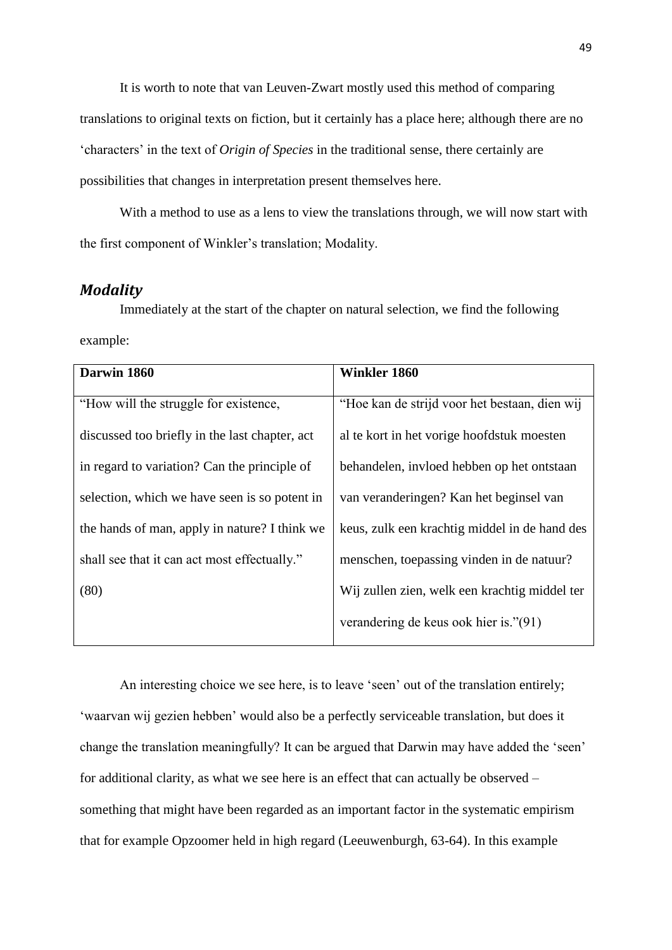It is worth to note that van Leuven-Zwart mostly used this method of comparing translations to original texts on fiction, but it certainly has a place here; although there are no 'characters' in the text of *Origin of Species* in the traditional sense, there certainly are possibilities that changes in interpretation present themselves here.

With a method to use as a lens to view the translations through, we will now start with the first component of Winkler's translation; Modality.

## *Modality*

Immediately at the start of the chapter on natural selection, we find the following example:

| Darwin 1860                                    | <b>Winkler 1860</b>                           |
|------------------------------------------------|-----------------------------------------------|
| "How will the struggle for existence,          | "Hoe kan de strijd voor het bestaan, dien wij |
| discussed too briefly in the last chapter, act | al te kort in het vorige hoofdstuk moesten    |
| in regard to variation? Can the principle of   | behandelen, invloed hebben op het ontstaan    |
| selection, which we have seen is so potent in  | van veranderingen? Kan het beginsel van       |
| the hands of man, apply in nature? I think we  | keus, zulk een krachtig middel in de hand des |
| shall see that it can act most effectually."   | menschen, toepassing vinden in de natuur?     |
| (80)                                           | Wij zullen zien, welk een krachtig middel ter |
|                                                | verandering de keus ook hier is."(91)         |

An interesting choice we see here, is to leave 'seen' out of the translation entirely; 'waarvan wij gezien hebben' would also be a perfectly serviceable translation, but does it change the translation meaningfully? It can be argued that Darwin may have added the 'seen' for additional clarity, as what we see here is an effect that can actually be observed – something that might have been regarded as an important factor in the systematic empirism that for example Opzoomer held in high regard (Leeuwenburgh, 63-64). In this example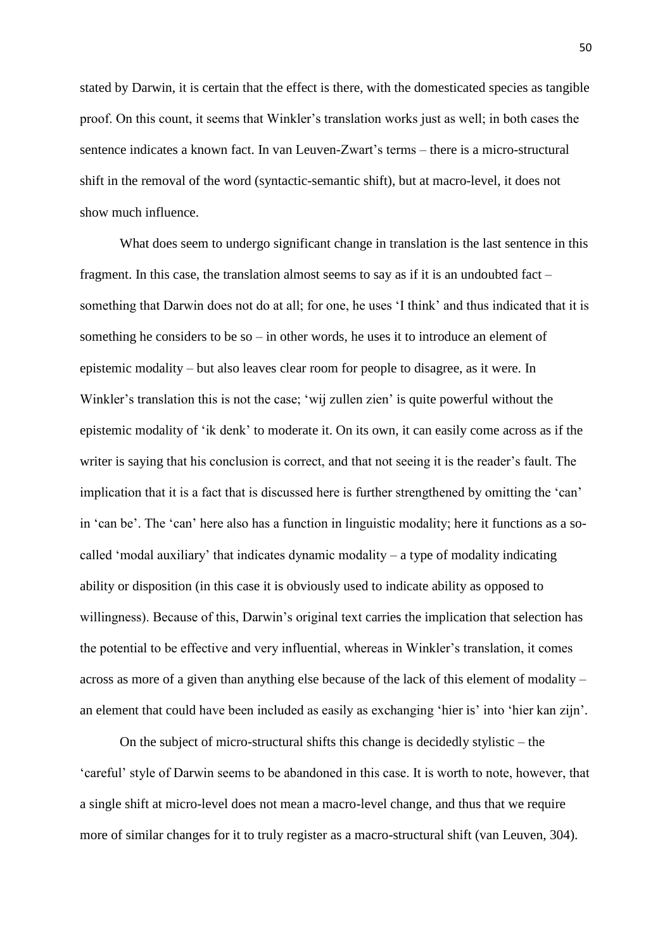stated by Darwin, it is certain that the effect is there, with the domesticated species as tangible proof. On this count, it seems that Winkler's translation works just as well; in both cases the sentence indicates a known fact. In van Leuven-Zwart's terms – there is a micro-structural shift in the removal of the word (syntactic-semantic shift), but at macro-level, it does not show much influence.

What does seem to undergo significant change in translation is the last sentence in this fragment. In this case, the translation almost seems to say as if it is an undoubted fact  $$ something that Darwin does not do at all; for one, he uses 'I think' and thus indicated that it is something he considers to be so – in other words, he uses it to introduce an element of epistemic modality – but also leaves clear room for people to disagree, as it were. In Winkler's translation this is not the case; 'wij zullen zien' is quite powerful without the epistemic modality of 'ik denk' to moderate it. On its own, it can easily come across as if the writer is saying that his conclusion is correct, and that not seeing it is the reader's fault. The implication that it is a fact that is discussed here is further strengthened by omitting the 'can' in 'can be'. The 'can' here also has a function in linguistic modality; here it functions as a socalled 'modal auxiliary' that indicates dynamic modality – a type of modality indicating ability or disposition (in this case it is obviously used to indicate ability as opposed to willingness). Because of this, Darwin's original text carries the implication that selection has the potential to be effective and very influential, whereas in Winkler's translation, it comes across as more of a given than anything else because of the lack of this element of modality – an element that could have been included as easily as exchanging 'hier is' into 'hier kan zijn'.

On the subject of micro-structural shifts this change is decidedly stylistic – the 'careful' style of Darwin seems to be abandoned in this case. It is worth to note, however, that a single shift at micro-level does not mean a macro-level change, and thus that we require more of similar changes for it to truly register as a macro-structural shift (van Leuven, 304).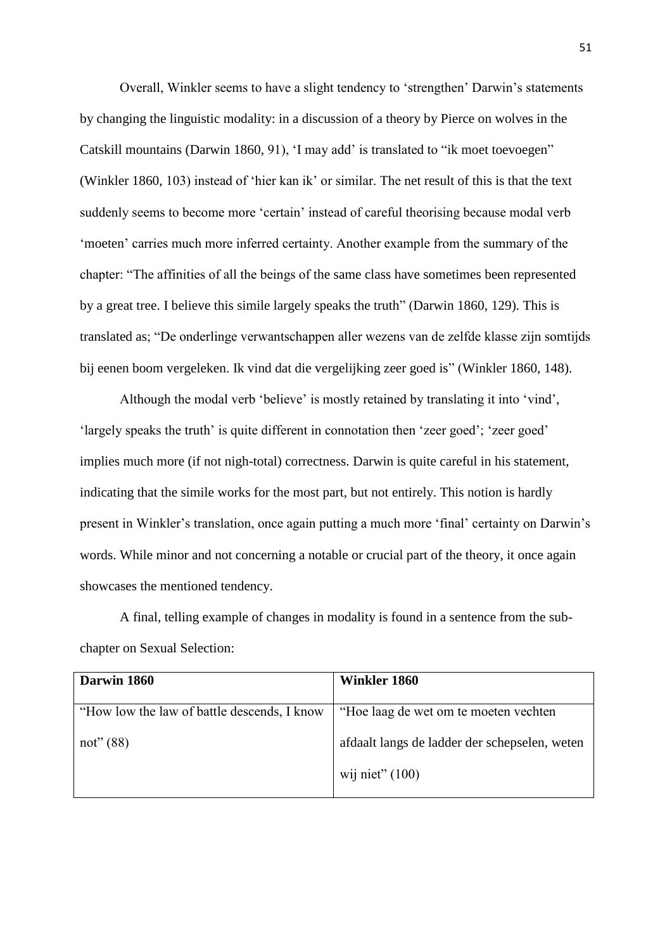Overall, Winkler seems to have a slight tendency to 'strengthen' Darwin's statements by changing the linguistic modality: in a discussion of a theory by Pierce on wolves in the Catskill mountains (Darwin 1860, 91), 'I may add' is translated to "ik moet toevoegen" (Winkler 1860, 103) instead of 'hier kan ik' or similar. The net result of this is that the text suddenly seems to become more 'certain' instead of careful theorising because modal verb 'moeten' carries much more inferred certainty. Another example from the summary of the chapter: "The affinities of all the beings of the same class have sometimes been represented by a great tree. I believe this simile largely speaks the truth" (Darwin 1860, 129). This is translated as; "De onderlinge verwantschappen aller wezens van de zelfde klasse zijn somtijds bij eenen boom vergeleken. Ik vind dat die vergelijking zeer goed is" (Winkler 1860, 148).

Although the modal verb 'believe' is mostly retained by translating it into 'vind', 'largely speaks the truth' is quite different in connotation then 'zeer goed'; 'zeer goed' implies much more (if not nigh-total) correctness. Darwin is quite careful in his statement, indicating that the simile works for the most part, but not entirely. This notion is hardly present in Winkler's translation, once again putting a much more 'final' certainty on Darwin's words. While minor and not concerning a notable or crucial part of the theory, it once again showcases the mentioned tendency.

A final, telling example of changes in modality is found in a sentence from the subchapter on Sexual Selection:

| Darwin 1860                                 | Winkler 1860                                  |
|---------------------------------------------|-----------------------------------------------|
|                                             |                                               |
| "How low the law of battle descends, I know | "Hoe laag de wet om te moeten vechten         |
| not" $(88)$                                 | afdaalt langs de ladder der schepselen, weten |
|                                             | wij niet" $(100)$                             |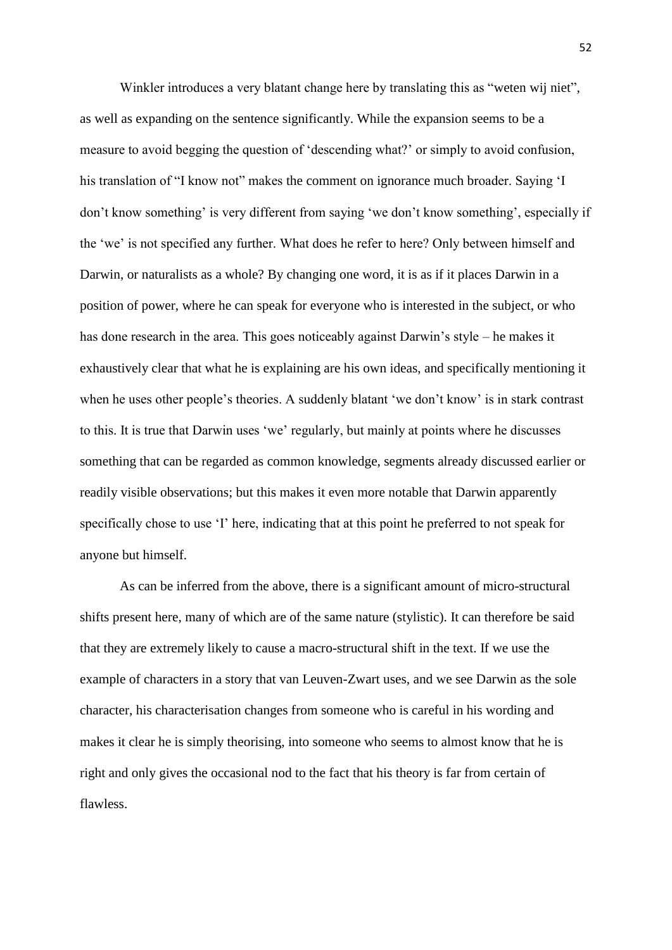Winkler introduces a very blatant change here by translating this as "weten wij niet", as well as expanding on the sentence significantly. While the expansion seems to be a measure to avoid begging the question of 'descending what?' or simply to avoid confusion, his translation of "I know not" makes the comment on ignorance much broader. Saying 'I don't know something' is very different from saying 'we don't know something', especially if the 'we' is not specified any further. What does he refer to here? Only between himself and Darwin, or naturalists as a whole? By changing one word, it is as if it places Darwin in a position of power, where he can speak for everyone who is interested in the subject, or who has done research in the area. This goes noticeably against Darwin's style – he makes it exhaustively clear that what he is explaining are his own ideas, and specifically mentioning it when he uses other people's theories. A suddenly blatant 'we don't know' is in stark contrast to this. It is true that Darwin uses 'we' regularly, but mainly at points where he discusses something that can be regarded as common knowledge, segments already discussed earlier or readily visible observations; but this makes it even more notable that Darwin apparently specifically chose to use 'I' here, indicating that at this point he preferred to not speak for anyone but himself.

As can be inferred from the above, there is a significant amount of micro-structural shifts present here, many of which are of the same nature (stylistic). It can therefore be said that they are extremely likely to cause a macro-structural shift in the text. If we use the example of characters in a story that van Leuven-Zwart uses, and we see Darwin as the sole character, his characterisation changes from someone who is careful in his wording and makes it clear he is simply theorising, into someone who seems to almost know that he is right and only gives the occasional nod to the fact that his theory is far from certain of flawless.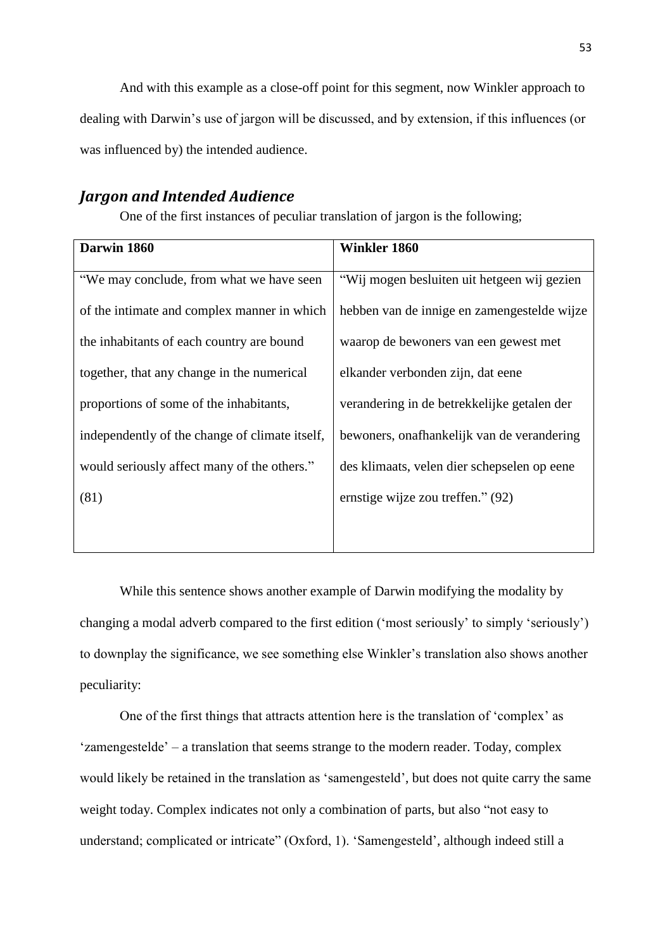And with this example as a close-off point for this segment, now Winkler approach to dealing with Darwin's use of jargon will be discussed, and by extension, if this influences (or was influenced by) the intended audience.

### *Jargon and Intended Audience*

One of the first instances of peculiar translation of jargon is the following;

| Darwin 1860                                    | <b>Winkler 1860</b>                         |
|------------------------------------------------|---------------------------------------------|
|                                                |                                             |
| "We may conclude, from what we have seen       | "Wij mogen besluiten uit hetgeen wij gezien |
|                                                |                                             |
| of the intimate and complex manner in which    | hebben van de innige en zamengestelde wijze |
|                                                |                                             |
| the inhabitants of each country are bound      | waarop de bewoners van een gewest met       |
|                                                |                                             |
| together, that any change in the numerical     | elkander verbonden zijn, dat eene           |
|                                                |                                             |
|                                                |                                             |
| proportions of some of the inhabitants,        | verandering in de betrekkelijke getalen der |
|                                                |                                             |
| independently of the change of climate itself, | bewoners, onafhankelijk van de verandering  |
|                                                |                                             |
| would seriously affect many of the others."    | des klimaats, velen dier schepselen op eene |
|                                                |                                             |
| (81)                                           | ernstige wijze zou treffen." (92)           |
|                                                |                                             |
|                                                |                                             |
|                                                |                                             |

While this sentence shows another example of Darwin modifying the modality by changing a modal adverb compared to the first edition ('most seriously' to simply 'seriously') to downplay the significance, we see something else Winkler's translation also shows another peculiarity:

One of the first things that attracts attention here is the translation of 'complex' as 'zamengestelde' – a translation that seems strange to the modern reader. Today, complex would likely be retained in the translation as 'samengesteld', but does not quite carry the same weight today. Complex indicates not only a combination of parts, but also "not easy to understand; complicated or intricate" (Oxford, 1). 'Samengesteld', although indeed still a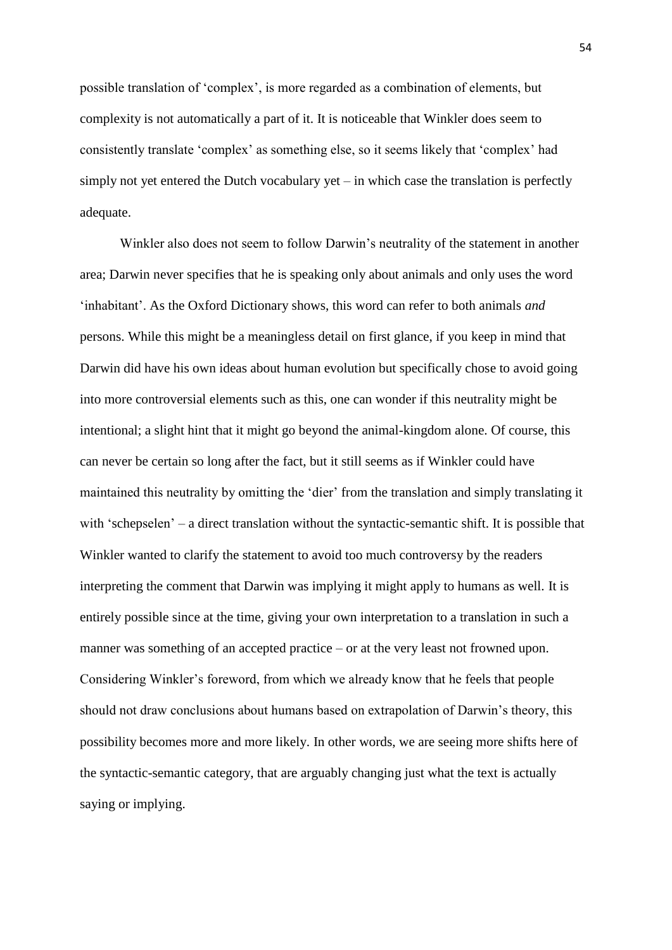possible translation of 'complex', is more regarded as a combination of elements, but complexity is not automatically a part of it. It is noticeable that Winkler does seem to consistently translate 'complex' as something else, so it seems likely that 'complex' had simply not yet entered the Dutch vocabulary yet  $-$  in which case the translation is perfectly adequate.

Winkler also does not seem to follow Darwin's neutrality of the statement in another area; Darwin never specifies that he is speaking only about animals and only uses the word 'inhabitant'. As the Oxford Dictionary shows, this word can refer to both animals *and* persons. While this might be a meaningless detail on first glance, if you keep in mind that Darwin did have his own ideas about human evolution but specifically chose to avoid going into more controversial elements such as this, one can wonder if this neutrality might be intentional; a slight hint that it might go beyond the animal-kingdom alone. Of course, this can never be certain so long after the fact, but it still seems as if Winkler could have maintained this neutrality by omitting the 'dier' from the translation and simply translating it with 'schepselen' – a direct translation without the syntactic-semantic shift. It is possible that Winkler wanted to clarify the statement to avoid too much controversy by the readers interpreting the comment that Darwin was implying it might apply to humans as well. It is entirely possible since at the time, giving your own interpretation to a translation in such a manner was something of an accepted practice – or at the very least not frowned upon. Considering Winkler's foreword, from which we already know that he feels that people should not draw conclusions about humans based on extrapolation of Darwin's theory, this possibility becomes more and more likely. In other words, we are seeing more shifts here of the syntactic-semantic category, that are arguably changing just what the text is actually saying or implying.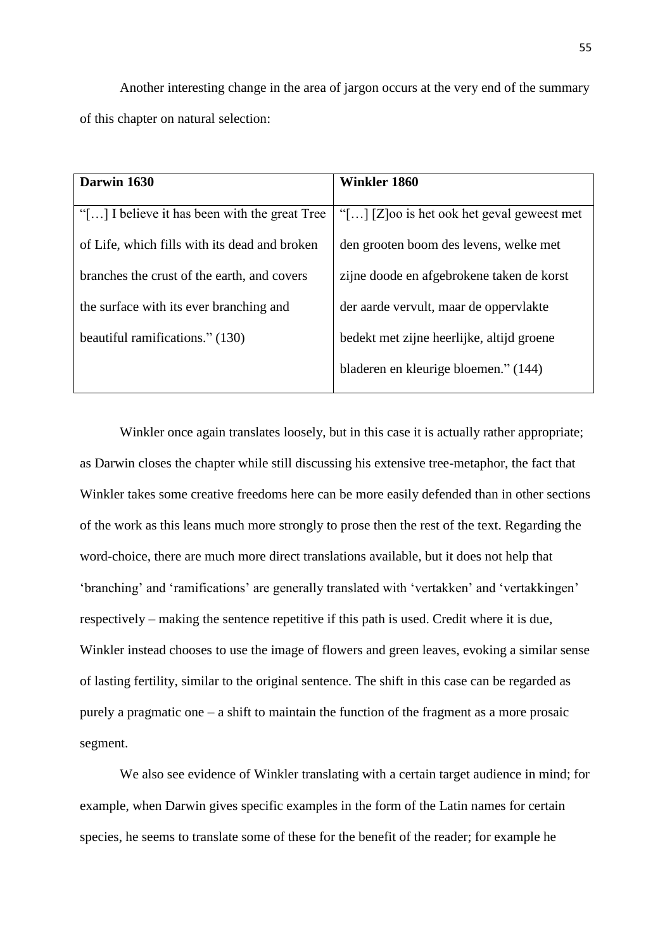Another interesting change in the area of jargon occurs at the very end of the summary of this chapter on natural selection:

| Darwin 1630                                   | Winkler 1860                                          |
|-----------------------------------------------|-------------------------------------------------------|
|                                               |                                                       |
| "[] I believe it has been with the great Tree | "[ $\ldots$ ] [Z] oo is het ook het geval geweest met |
| of Life, which fills with its dead and broken | den grooten boom des levens, welke met                |
| branches the crust of the earth, and covers   | zijne doode en afgebrokene taken de korst             |
| the surface with its ever branching and       | der aarde vervult, maar de oppervlakte                |
| beautiful ramifications." (130)               | bedekt met zijne heerlijke, altijd groene             |
|                                               | bladeren en kleurige bloemen." (144)                  |
|                                               |                                                       |

Winkler once again translates loosely, but in this case it is actually rather appropriate; as Darwin closes the chapter while still discussing his extensive tree-metaphor, the fact that Winkler takes some creative freedoms here can be more easily defended than in other sections of the work as this leans much more strongly to prose then the rest of the text. Regarding the word-choice, there are much more direct translations available, but it does not help that 'branching' and 'ramifications' are generally translated with 'vertakken' and 'vertakkingen' respectively – making the sentence repetitive if this path is used. Credit where it is due, Winkler instead chooses to use the image of flowers and green leaves, evoking a similar sense of lasting fertility, similar to the original sentence. The shift in this case can be regarded as purely a pragmatic one – a shift to maintain the function of the fragment as a more prosaic segment.

We also see evidence of Winkler translating with a certain target audience in mind; for example, when Darwin gives specific examples in the form of the Latin names for certain species, he seems to translate some of these for the benefit of the reader; for example he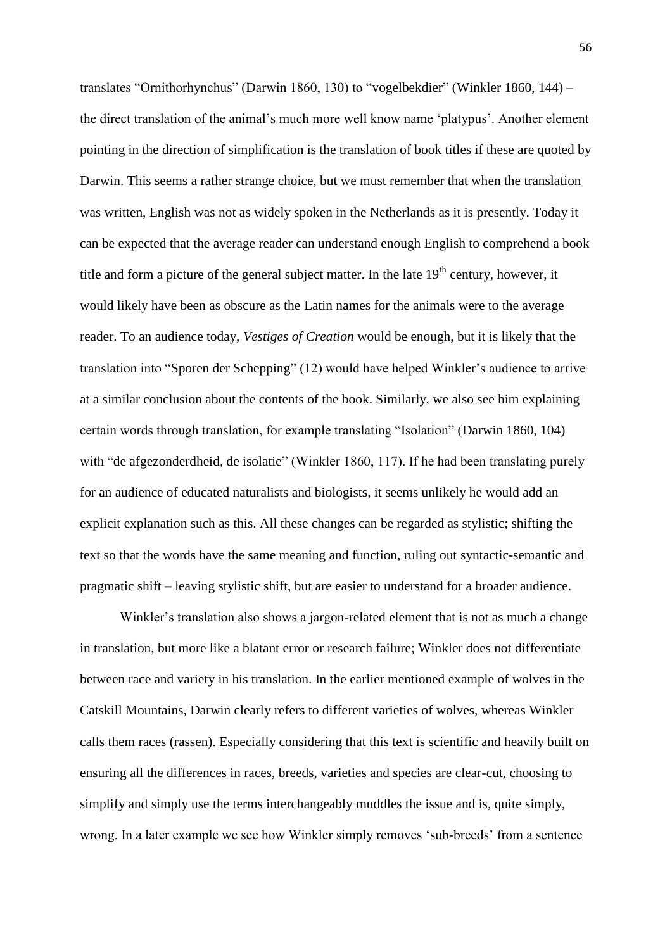translates "Ornithorhynchus" (Darwin 1860, 130) to "vogelbekdier" (Winkler 1860, 144) – the direct translation of the animal's much more well know name 'platypus'. Another element pointing in the direction of simplification is the translation of book titles if these are quoted by Darwin. This seems a rather strange choice, but we must remember that when the translation was written, English was not as widely spoken in the Netherlands as it is presently. Today it can be expected that the average reader can understand enough English to comprehend a book title and form a picture of the general subject matter. In the late  $19<sup>th</sup>$  century, however, it would likely have been as obscure as the Latin names for the animals were to the average reader. To an audience today, *Vestiges of Creation* would be enough, but it is likely that the translation into "Sporen der Schepping" (12) would have helped Winkler's audience to arrive at a similar conclusion about the contents of the book. Similarly, we also see him explaining certain words through translation, for example translating "Isolation" (Darwin 1860, 104) with "de afgezonderdheid, de isolatie" (Winkler 1860, 117). If he had been translating purely for an audience of educated naturalists and biologists, it seems unlikely he would add an explicit explanation such as this. All these changes can be regarded as stylistic; shifting the text so that the words have the same meaning and function, ruling out syntactic-semantic and pragmatic shift – leaving stylistic shift, but are easier to understand for a broader audience.

Winkler's translation also shows a jargon-related element that is not as much a change in translation, but more like a blatant error or research failure; Winkler does not differentiate between race and variety in his translation. In the earlier mentioned example of wolves in the Catskill Mountains, Darwin clearly refers to different varieties of wolves, whereas Winkler calls them races (rassen). Especially considering that this text is scientific and heavily built on ensuring all the differences in races, breeds, varieties and species are clear-cut, choosing to simplify and simply use the terms interchangeably muddles the issue and is, quite simply, wrong. In a later example we see how Winkler simply removes 'sub-breeds' from a sentence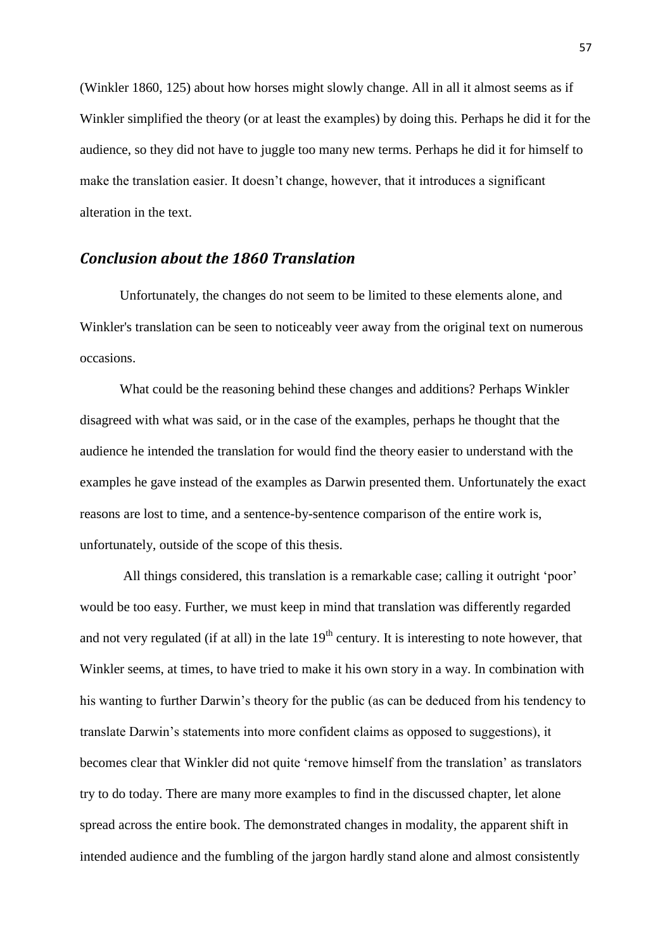(Winkler 1860, 125) about how horses might slowly change. All in all it almost seems as if Winkler simplified the theory (or at least the examples) by doing this. Perhaps he did it for the audience, so they did not have to juggle too many new terms. Perhaps he did it for himself to make the translation easier. It doesn't change, however, that it introduces a significant alteration in the text.

### *Conclusion about the 1860 Translation*

Unfortunately, the changes do not seem to be limited to these elements alone, and Winkler's translation can be seen to noticeably veer away from the original text on numerous occasions.

What could be the reasoning behind these changes and additions? Perhaps Winkler disagreed with what was said, or in the case of the examples, perhaps he thought that the audience he intended the translation for would find the theory easier to understand with the examples he gave instead of the examples as Darwin presented them. Unfortunately the exact reasons are lost to time, and a sentence-by-sentence comparison of the entire work is, unfortunately, outside of the scope of this thesis.

All things considered, this translation is a remarkable case; calling it outright 'poor' would be too easy. Further, we must keep in mind that translation was differently regarded and not very regulated (if at all) in the late  $19<sup>th</sup>$  century. It is interesting to note however, that Winkler seems, at times, to have tried to make it his own story in a way. In combination with his wanting to further Darwin's theory for the public (as can be deduced from his tendency to translate Darwin's statements into more confident claims as opposed to suggestions), it becomes clear that Winkler did not quite 'remove himself from the translation' as translators try to do today. There are many more examples to find in the discussed chapter, let alone spread across the entire book. The demonstrated changes in modality, the apparent shift in intended audience and the fumbling of the jargon hardly stand alone and almost consistently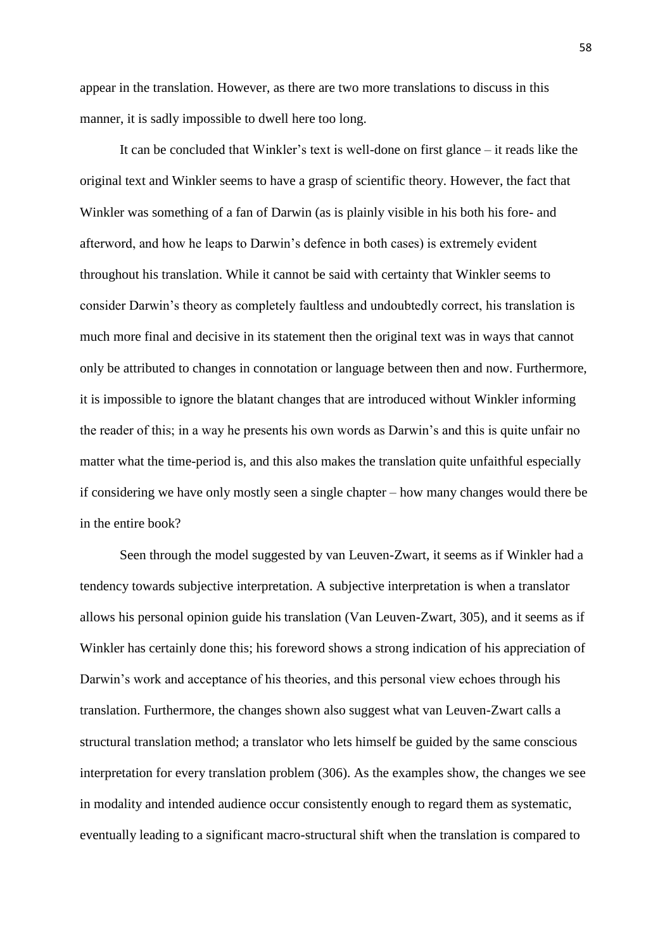appear in the translation. However, as there are two more translations to discuss in this manner, it is sadly impossible to dwell here too long.

It can be concluded that Winkler's text is well-done on first glance – it reads like the original text and Winkler seems to have a grasp of scientific theory. However, the fact that Winkler was something of a fan of Darwin (as is plainly visible in his both his fore- and afterword, and how he leaps to Darwin's defence in both cases) is extremely evident throughout his translation. While it cannot be said with certainty that Winkler seems to consider Darwin's theory as completely faultless and undoubtedly correct, his translation is much more final and decisive in its statement then the original text was in ways that cannot only be attributed to changes in connotation or language between then and now. Furthermore, it is impossible to ignore the blatant changes that are introduced without Winkler informing the reader of this; in a way he presents his own words as Darwin's and this is quite unfair no matter what the time-period is, and this also makes the translation quite unfaithful especially if considering we have only mostly seen a single chapter – how many changes would there be in the entire book?

Seen through the model suggested by van Leuven-Zwart, it seems as if Winkler had a tendency towards subjective interpretation. A subjective interpretation is when a translator allows his personal opinion guide his translation (Van Leuven-Zwart, 305), and it seems as if Winkler has certainly done this; his foreword shows a strong indication of his appreciation of Darwin's work and acceptance of his theories, and this personal view echoes through his translation. Furthermore, the changes shown also suggest what van Leuven-Zwart calls a structural translation method; a translator who lets himself be guided by the same conscious interpretation for every translation problem (306). As the examples show, the changes we see in modality and intended audience occur consistently enough to regard them as systematic, eventually leading to a significant macro-structural shift when the translation is compared to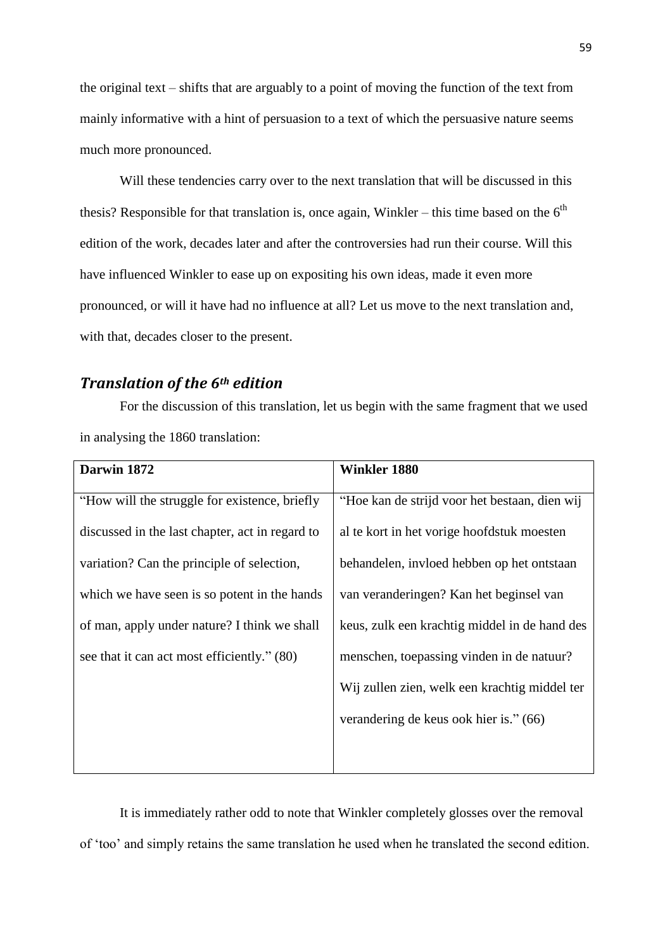the original text – shifts that are arguably to a point of moving the function of the text from mainly informative with a hint of persuasion to a text of which the persuasive nature seems much more pronounced.

Will these tendencies carry over to the next translation that will be discussed in this thesis? Responsible for that translation is, once again, Winkler – this time based on the  $6<sup>th</sup>$ edition of the work, decades later and after the controversies had run their course. Will this have influenced Winkler to ease up on expositing his own ideas, made it even more pronounced, or will it have had no influence at all? Let us move to the next translation and, with that, decades closer to the present.

# *Translation of the 6th edition*

For the discussion of this translation, let us begin with the same fragment that we used in analysing the 1860 translation:

| Darwin 1872                                     | <b>Winkler 1880</b>                           |
|-------------------------------------------------|-----------------------------------------------|
| "How will the struggle for existence, briefly   | "Hoe kan de strijd voor het bestaan, dien wij |
| discussed in the last chapter, act in regard to | al te kort in het vorige hoofdstuk moesten    |
| variation? Can the principle of selection,      | behandelen, invloed hebben op het ontstaan    |
| which we have seen is so potent in the hands    | van veranderingen? Kan het beginsel van       |
| of man, apply under nature? I think we shall    | keus, zulk een krachtig middel in de hand des |
| see that it can act most efficiently." (80)     | menschen, toepassing vinden in de natuur?     |
|                                                 | Wij zullen zien, welk een krachtig middel ter |
|                                                 | verandering de keus ook hier is." (66)        |
|                                                 |                                               |

It is immediately rather odd to note that Winkler completely glosses over the removal of 'too' and simply retains the same translation he used when he translated the second edition.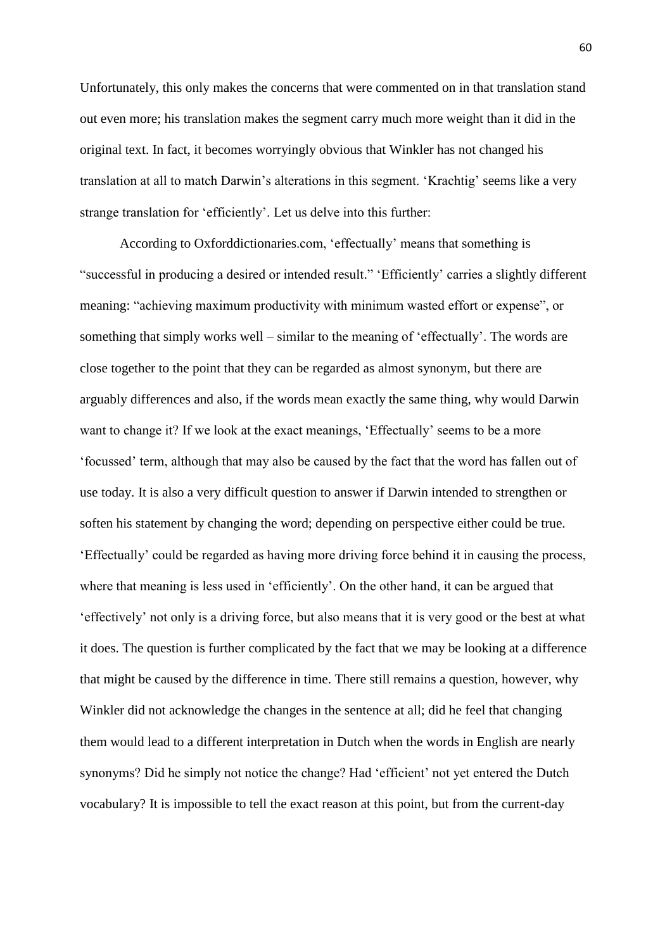Unfortunately, this only makes the concerns that were commented on in that translation stand out even more; his translation makes the segment carry much more weight than it did in the original text. In fact, it becomes worryingly obvious that Winkler has not changed his translation at all to match Darwin's alterations in this segment. 'Krachtig' seems like a very strange translation for 'efficiently'. Let us delve into this further:

According to Oxforddictionaries.com, 'effectually' means that something is "successful in producing a desired or intended result." 'Efficiently' carries a slightly different meaning: "achieving maximum productivity with minimum wasted effort or expense", or something that simply works well – similar to the meaning of 'effectually'. The words are close together to the point that they can be regarded as almost synonym, but there are arguably differences and also, if the words mean exactly the same thing, why would Darwin want to change it? If we look at the exact meanings, 'Effectually' seems to be a more 'focussed' term, although that may also be caused by the fact that the word has fallen out of use today. It is also a very difficult question to answer if Darwin intended to strengthen or soften his statement by changing the word; depending on perspective either could be true. 'Effectually' could be regarded as having more driving force behind it in causing the process, where that meaning is less used in 'efficiently'. On the other hand, it can be argued that 'effectively' not only is a driving force, but also means that it is very good or the best at what it does. The question is further complicated by the fact that we may be looking at a difference that might be caused by the difference in time. There still remains a question, however, why Winkler did not acknowledge the changes in the sentence at all; did he feel that changing them would lead to a different interpretation in Dutch when the words in English are nearly synonyms? Did he simply not notice the change? Had 'efficient' not yet entered the Dutch vocabulary? It is impossible to tell the exact reason at this point, but from the current-day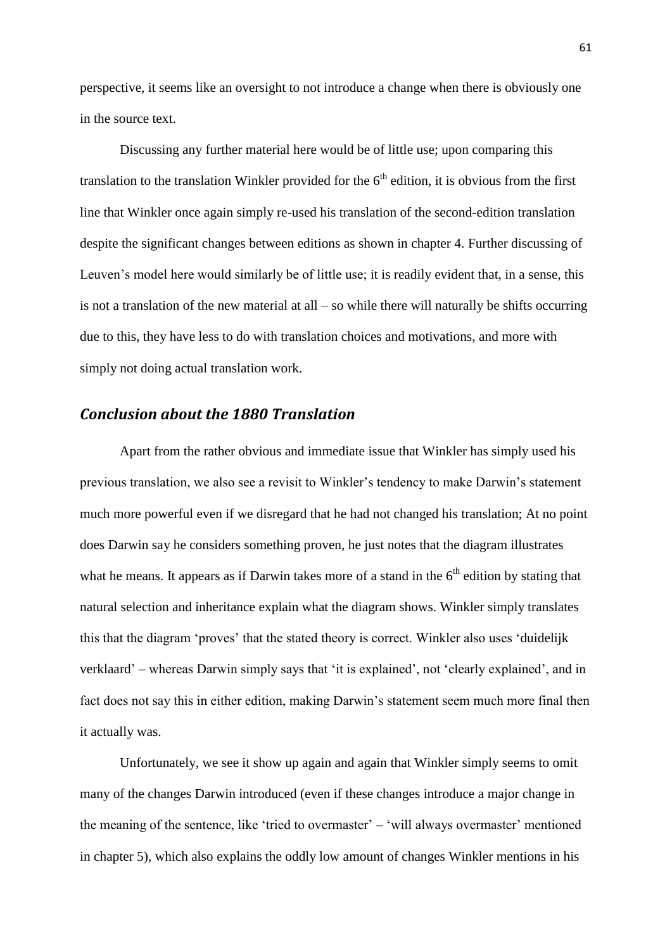perspective, it seems like an oversight to not introduce a change when there is obviously one in the source text.

Discussing any further material here would be of little use; upon comparing this translation to the translation Winkler provided for the  $6<sup>th</sup>$  edition, it is obvious from the first line that Winkler once again simply re-used his translation of the second-edition translation despite the significant changes between editions as shown in chapter 4. Further discussing of Leuven's model here would similarly be of little use; it is readily evident that, in a sense, this is not a translation of the new material at all – so while there will naturally be shifts occurring due to this, they have less to do with translation choices and motivations, and more with simply not doing actual translation work.

# *Conclusion about the 1880 Translation*

Apart from the rather obvious and immediate issue that Winkler has simply used his previous translation, we also see a revisit to Winkler's tendency to make Darwin's statement much more powerful even if we disregard that he had not changed his translation; At no point does Darwin say he considers something proven, he just notes that the diagram illustrates what he means. It appears as if Darwin takes more of a stand in the  $6<sup>th</sup>$  edition by stating that natural selection and inheritance explain what the diagram shows. Winkler simply translates this that the diagram 'proves' that the stated theory is correct. Winkler also uses 'duidelijk verklaard' – whereas Darwin simply says that 'it is explained', not 'clearly explained', and in fact does not say this in either edition, making Darwin's statement seem much more final then it actually was.

Unfortunately, we see it show up again and again that Winkler simply seems to omit many of the changes Darwin introduced (even if these changes introduce a major change in the meaning of the sentence, like 'tried to overmaster' – 'will always overmaster' mentioned in chapter 5), which also explains the oddly low amount of changes Winkler mentions in his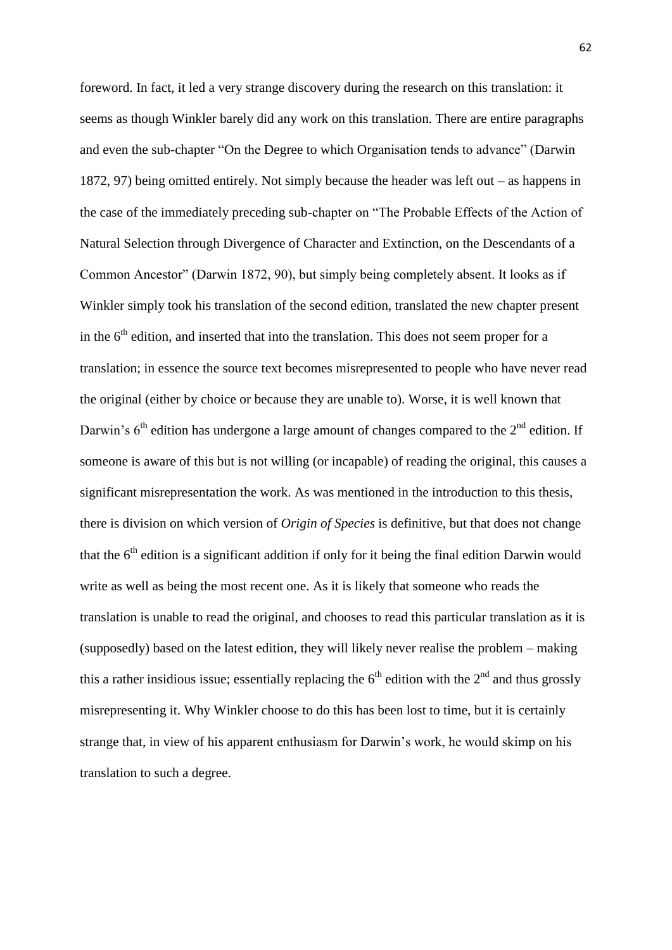foreword. In fact, it led a very strange discovery during the research on this translation: it seems as though Winkler barely did any work on this translation. There are entire paragraphs and even the sub-chapter "On the Degree to which Organisation tends to advance" (Darwin 1872, 97) being omitted entirely. Not simply because the header was left out – as happens in the case of the immediately preceding sub-chapter on "The Probable Effects of the Action of Natural Selection through Divergence of Character and Extinction, on the Descendants of a Common Ancestor" (Darwin 1872, 90), but simply being completely absent. It looks as if Winkler simply took his translation of the second edition, translated the new chapter present in the  $6<sup>th</sup>$  edition, and inserted that into the translation. This does not seem proper for a translation; in essence the source text becomes misrepresented to people who have never read the original (either by choice or because they are unable to). Worse, it is well known that Darwin's  $6<sup>th</sup>$  edition has undergone a large amount of changes compared to the  $2<sup>nd</sup>$  edition. If someone is aware of this but is not willing (or incapable) of reading the original, this causes a significant misrepresentation the work. As was mentioned in the introduction to this thesis, there is division on which version of *Origin of Species* is definitive, but that does not change that the  $6<sup>th</sup>$  edition is a significant addition if only for it being the final edition Darwin would write as well as being the most recent one. As it is likely that someone who reads the translation is unable to read the original, and chooses to read this particular translation as it is (supposedly) based on the latest edition, they will likely never realise the problem – making this a rather insidious issue; essentially replacing the  $6<sup>th</sup>$  edition with the  $2<sup>nd</sup>$  and thus grossly misrepresenting it. Why Winkler choose to do this has been lost to time, but it is certainly strange that, in view of his apparent enthusiasm for Darwin's work, he would skimp on his translation to such a degree.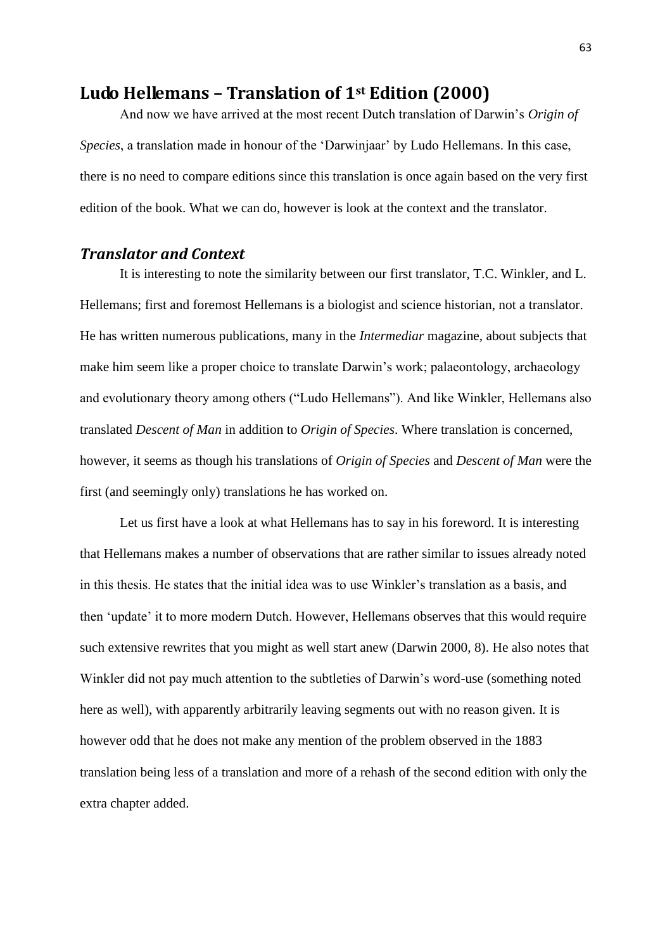# **Ludo Hellemans – Translation of 1st Edition (2000)**

And now we have arrived at the most recent Dutch translation of Darwin's *Origin of Species*, a translation made in honour of the 'Darwinjaar' by Ludo Hellemans. In this case, there is no need to compare editions since this translation is once again based on the very first edition of the book. What we can do, however is look at the context and the translator.

## *Translator and Context*

It is interesting to note the similarity between our first translator, T.C. Winkler, and L. Hellemans; first and foremost Hellemans is a biologist and science historian, not a translator. He has written numerous publications, many in the *Intermediar* magazine, about subjects that make him seem like a proper choice to translate Darwin's work; palaeontology, archaeology and evolutionary theory among others ("Ludo Hellemans"). And like Winkler, Hellemans also translated *Descent of Man* in addition to *Origin of Species*. Where translation is concerned, however, it seems as though his translations of *Origin of Species* and *Descent of Man* were the first (and seemingly only) translations he has worked on.

Let us first have a look at what Hellemans has to say in his foreword. It is interesting that Hellemans makes a number of observations that are rather similar to issues already noted in this thesis. He states that the initial idea was to use Winkler's translation as a basis, and then 'update' it to more modern Dutch. However, Hellemans observes that this would require such extensive rewrites that you might as well start anew (Darwin 2000, 8). He also notes that Winkler did not pay much attention to the subtleties of Darwin's word-use (something noted here as well), with apparently arbitrarily leaving segments out with no reason given. It is however odd that he does not make any mention of the problem observed in the 1883 translation being less of a translation and more of a rehash of the second edition with only the extra chapter added.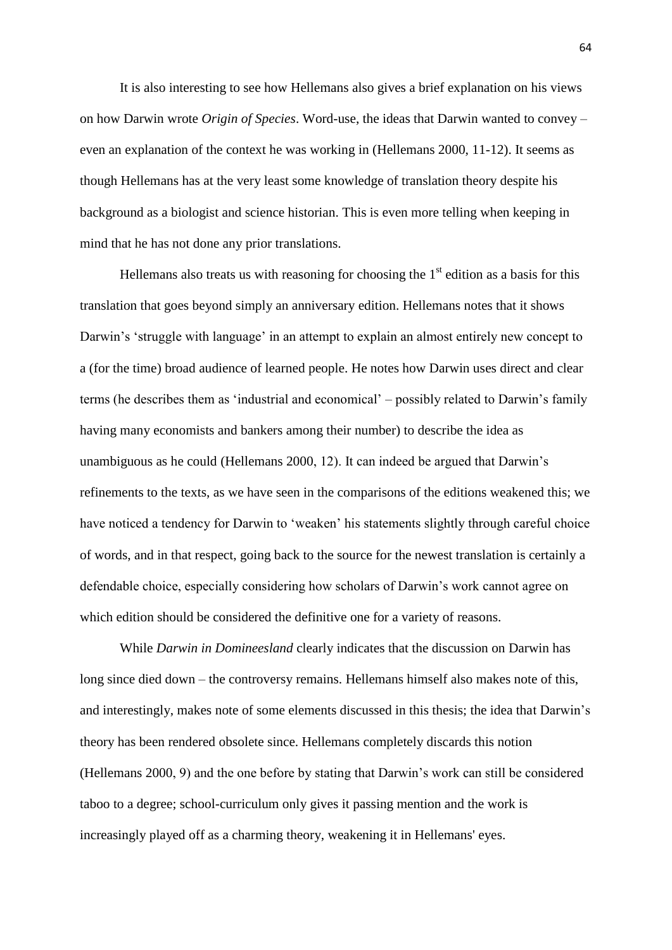It is also interesting to see how Hellemans also gives a brief explanation on his views on how Darwin wrote *Origin of Species*. Word-use, the ideas that Darwin wanted to convey – even an explanation of the context he was working in (Hellemans 2000, 11-12). It seems as though Hellemans has at the very least some knowledge of translation theory despite his background as a biologist and science historian. This is even more telling when keeping in mind that he has not done any prior translations.

Hellemans also treats us with reasoning for choosing the  $1<sup>st</sup>$  edition as a basis for this translation that goes beyond simply an anniversary edition. Hellemans notes that it shows Darwin's 'struggle with language' in an attempt to explain an almost entirely new concept to a (for the time) broad audience of learned people. He notes how Darwin uses direct and clear terms (he describes them as 'industrial and economical' – possibly related to Darwin's family having many economists and bankers among their number) to describe the idea as unambiguous as he could (Hellemans 2000, 12). It can indeed be argued that Darwin's refinements to the texts, as we have seen in the comparisons of the editions weakened this; we have noticed a tendency for Darwin to 'weaken' his statements slightly through careful choice of words, and in that respect, going back to the source for the newest translation is certainly a defendable choice, especially considering how scholars of Darwin's work cannot agree on which edition should be considered the definitive one for a variety of reasons.

While *Darwin in Domineesland* clearly indicates that the discussion on Darwin has long since died down – the controversy remains. Hellemans himself also makes note of this, and interestingly, makes note of some elements discussed in this thesis; the idea that Darwin's theory has been rendered obsolete since. Hellemans completely discards this notion (Hellemans 2000, 9) and the one before by stating that Darwin's work can still be considered taboo to a degree; school-curriculum only gives it passing mention and the work is increasingly played off as a charming theory, weakening it in Hellemans' eyes.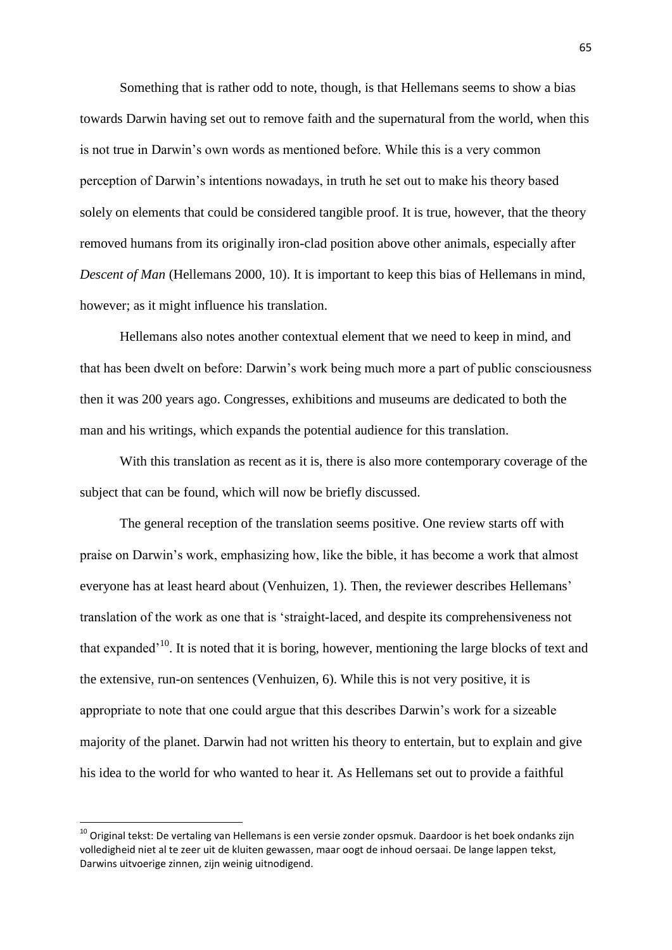Something that is rather odd to note, though, is that Hellemans seems to show a bias towards Darwin having set out to remove faith and the supernatural from the world, when this is not true in Darwin's own words as mentioned before. While this is a very common perception of Darwin's intentions nowadays, in truth he set out to make his theory based solely on elements that could be considered tangible proof. It is true, however, that the theory removed humans from its originally iron-clad position above other animals, especially after *Descent of Man* (Hellemans 2000, 10). It is important to keep this bias of Hellemans in mind, however; as it might influence his translation.

Hellemans also notes another contextual element that we need to keep in mind, and that has been dwelt on before: Darwin's work being much more a part of public consciousness then it was 200 years ago. Congresses, exhibitions and museums are dedicated to both the man and his writings, which expands the potential audience for this translation.

With this translation as recent as it is, there is also more contemporary coverage of the subject that can be found, which will now be briefly discussed.

The general reception of the translation seems positive. One review starts off with praise on Darwin's work, emphasizing how, like the bible, it has become a work that almost everyone has at least heard about (Venhuizen, 1). Then, the reviewer describes Hellemans' translation of the work as one that is 'straight-laced, and despite its comprehensiveness not that expanded<sup> $10$ </sup>. It is noted that it is boring, however, mentioning the large blocks of text and the extensive, run-on sentences (Venhuizen, 6). While this is not very positive, it is appropriate to note that one could argue that this describes Darwin's work for a sizeable majority of the planet. Darwin had not written his theory to entertain, but to explain and give his idea to the world for who wanted to hear it. As Hellemans set out to provide a faithful

**.** 

<sup>&</sup>lt;sup>10</sup> Original tekst: De vertaling van Hellemans is een versie zonder opsmuk. Daardoor is het boek ondanks zijn volledigheid niet al te zeer uit de kluiten gewassen, maar oogt de inhoud oersaai. De lange lappen tekst, Darwins uitvoerige zinnen, zijn weinig uitnodigend.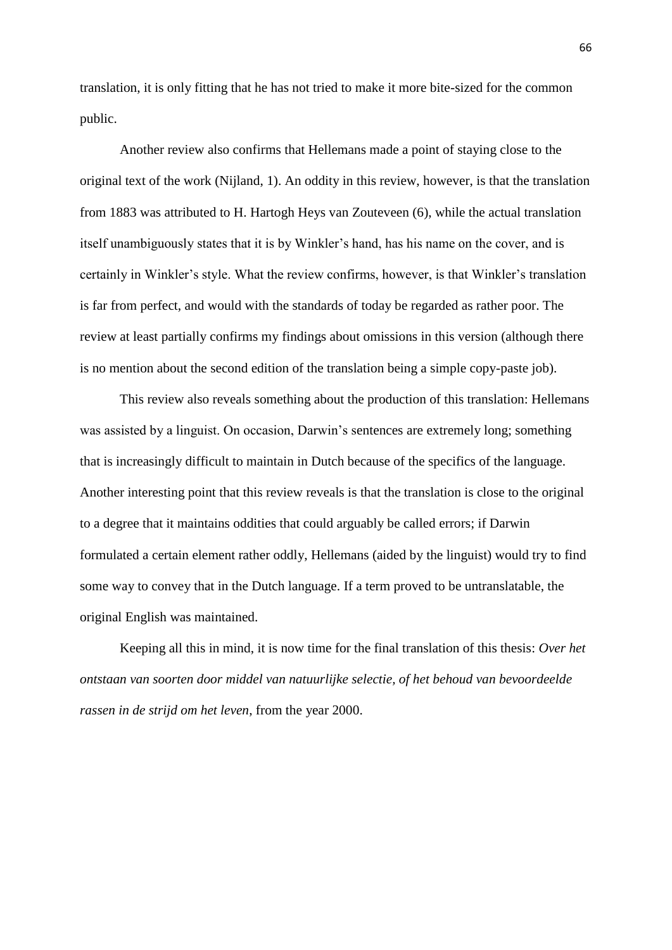translation, it is only fitting that he has not tried to make it more bite-sized for the common public.

Another review also confirms that Hellemans made a point of staying close to the original text of the work (Nijland, 1). An oddity in this review, however, is that the translation from 1883 was attributed to H. Hartogh Heys van Zouteveen (6), while the actual translation itself unambiguously states that it is by Winkler's hand, has his name on the cover, and is certainly in Winkler's style. What the review confirms, however, is that Winkler's translation is far from perfect, and would with the standards of today be regarded as rather poor. The review at least partially confirms my findings about omissions in this version (although there is no mention about the second edition of the translation being a simple copy-paste job).

This review also reveals something about the production of this translation: Hellemans was assisted by a linguist. On occasion, Darwin's sentences are extremely long; something that is increasingly difficult to maintain in Dutch because of the specifics of the language. Another interesting point that this review reveals is that the translation is close to the original to a degree that it maintains oddities that could arguably be called errors; if Darwin formulated a certain element rather oddly, Hellemans (aided by the linguist) would try to find some way to convey that in the Dutch language. If a term proved to be untranslatable, the original English was maintained.

Keeping all this in mind, it is now time for the final translation of this thesis: *Over het ontstaan van soorten door middel van natuurlijke selectie, of het behoud van bevoordeelde rassen in de strijd om het leven*, from the year 2000.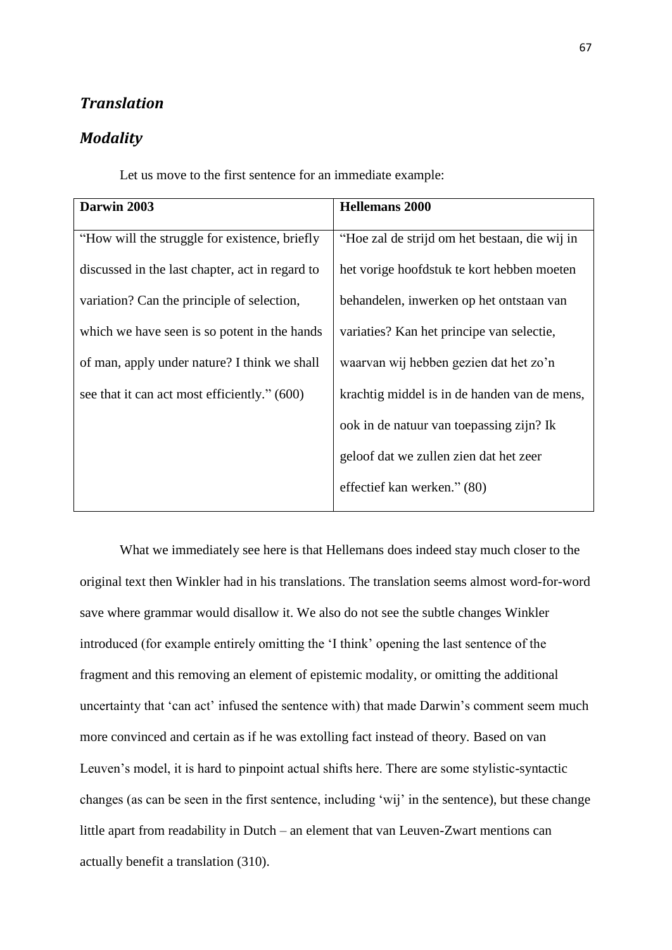# *Translation*

# *Modality*

Let us move to the first sentence for an immediate example:

| Darwin 2003                                     | <b>Hellemans 2000</b>                         |
|-------------------------------------------------|-----------------------------------------------|
| "How will the struggle for existence, briefly   | "Hoe zal de strijd om het bestaan, die wij in |
| discussed in the last chapter, act in regard to | het vorige hoofdstuk te kort hebben moeten    |
| variation? Can the principle of selection,      | behandelen, inwerken op het ontstaan van      |
| which we have seen is so potent in the hands    | variaties? Kan het principe van selectie,     |
| of man, apply under nature? I think we shall    | waarvan wij hebben gezien dat het zo'n        |
| see that it can act most efficiently." (600)    | krachtig middel is in de handen van de mens,  |
|                                                 | ook in de natuur van toepassing zijn? Ik      |
|                                                 | geloof dat we zullen zien dat het zeer        |
|                                                 | effectief kan werken." (80)                   |

What we immediately see here is that Hellemans does indeed stay much closer to the original text then Winkler had in his translations. The translation seems almost word-for-word save where grammar would disallow it. We also do not see the subtle changes Winkler introduced (for example entirely omitting the 'I think' opening the last sentence of the fragment and this removing an element of epistemic modality, or omitting the additional uncertainty that 'can act' infused the sentence with) that made Darwin's comment seem much more convinced and certain as if he was extolling fact instead of theory. Based on van Leuven's model, it is hard to pinpoint actual shifts here. There are some stylistic-syntactic changes (as can be seen in the first sentence, including 'wij' in the sentence), but these change little apart from readability in Dutch – an element that van Leuven-Zwart mentions can actually benefit a translation (310).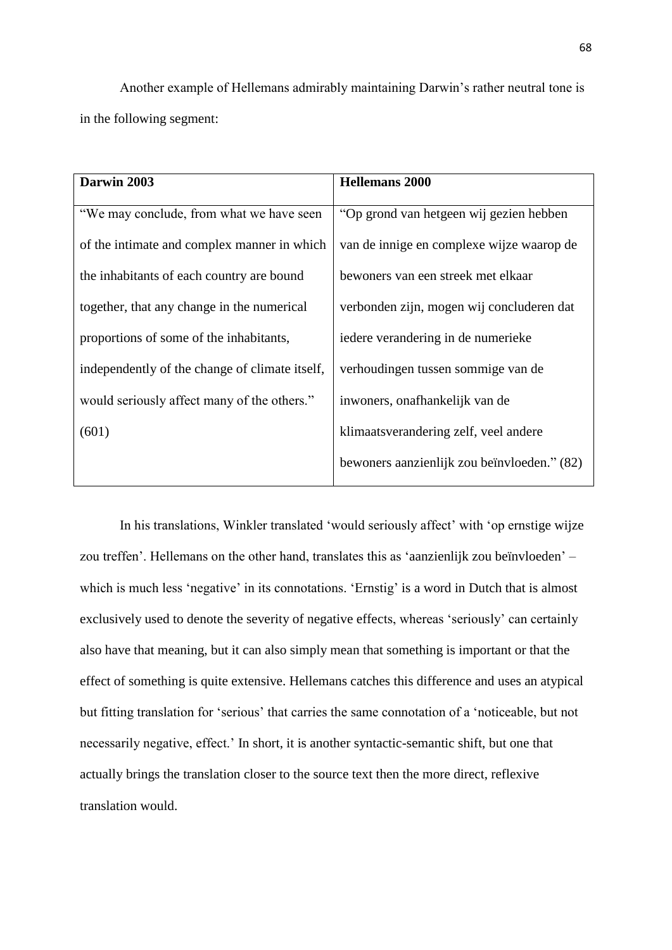Another example of Hellemans admirably maintaining Darwin's rather neutral tone is in the following segment:

| Darwin 2003                                    | <b>Hellemans 2000</b>                       |
|------------------------------------------------|---------------------------------------------|
| "We may conclude, from what we have seen       | "Op grond van hetgeen wij gezien hebben     |
| of the intimate and complex manner in which    | van de innige en complexe wijze waarop de   |
| the inhabitants of each country are bound      | bewoners van een streek met elkaar          |
| together, that any change in the numerical     | verbonden zijn, mogen wij concluderen dat   |
| proportions of some of the inhabitants,        | iedere verandering in de numerieke          |
| independently of the change of climate itself, | verhoudingen tussen sommige van de          |
| would seriously affect many of the others."    | inwoners, onafhankelijk van de              |
| (601)                                          | klimaatsverandering zelf, veel andere       |
|                                                | bewoners aanzienlijk zou beïnvloeden." (82) |

In his translations, Winkler translated 'would seriously affect' with 'op ernstige wijze zou treffen'. Hellemans on the other hand, translates this as 'aanzienlijk zou beïnvloeden' – which is much less 'negative' in its connotations. 'Ernstig' is a word in Dutch that is almost exclusively used to denote the severity of negative effects, whereas 'seriously' can certainly also have that meaning, but it can also simply mean that something is important or that the effect of something is quite extensive. Hellemans catches this difference and uses an atypical but fitting translation for 'serious' that carries the same connotation of a 'noticeable, but not necessarily negative, effect.' In short, it is another syntactic-semantic shift, but one that actually brings the translation closer to the source text then the more direct, reflexive translation would.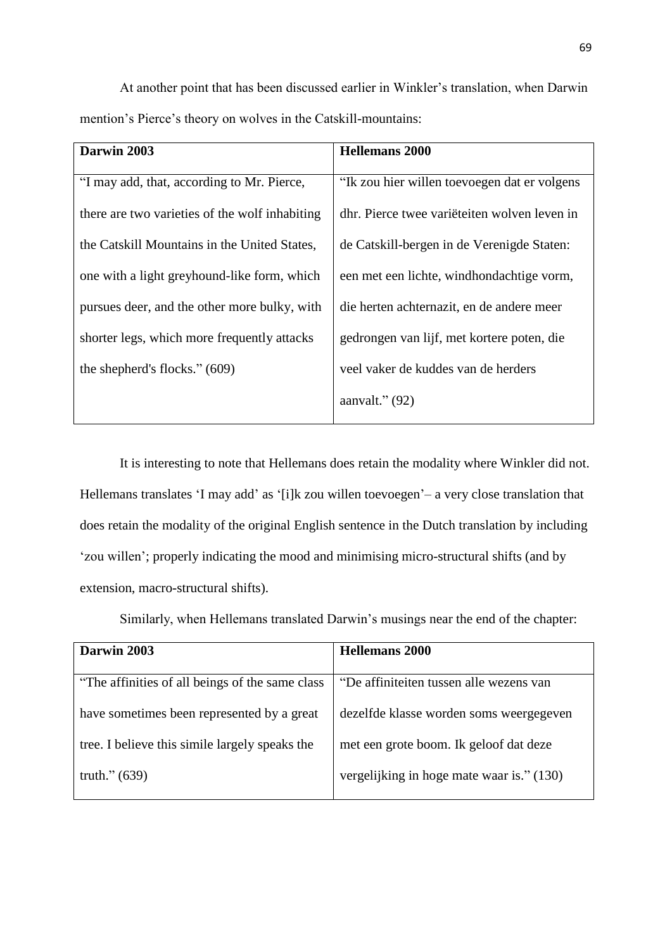At another point that has been discussed earlier in Winkler's translation, when Darwin mention's Pierce's theory on wolves in the Catskill-mountains:

| Darwin 2003                                    | <b>Hellemans 2000</b>                        |
|------------------------------------------------|----------------------------------------------|
| "I may add, that, according to Mr. Pierce,     | "Ik zou hier willen toevoegen dat er volgens |
| there are two varieties of the wolf inhabiting | dhr. Pierce twee variëteiten wolven leven in |
| the Catskill Mountains in the United States,   | de Catskill-bergen in de Verenigde Staten:   |
| one with a light greyhound-like form, which    | een met een lichte, windhondachtige vorm,    |
| pursues deer, and the other more bulky, with   | die herten achternazit, en de andere meer    |
| shorter legs, which more frequently attacks    | gedrongen van lijf, met kortere poten, die   |
| the shepherd's flocks." (609)                  | veel vaker de kuddes van de herders          |
|                                                | aanvalt." $(92)$                             |

It is interesting to note that Hellemans does retain the modality where Winkler did not. Hellemans translates 'I may add' as '[i]k zou willen toevoegen' – a very close translation that does retain the modality of the original English sentence in the Dutch translation by including 'zou willen'; properly indicating the mood and minimising micro-structural shifts (and by extension, macro-structural shifts).

Similarly, when Hellemans translated Darwin's musings near the end of the chapter:

| Darwin 2003                                      | <b>Hellemans</b> 2000                     |
|--------------------------------------------------|-------------------------------------------|
| "The affinities of all beings of the same class" | "De affiniteiten tussen alle wezens van   |
| have sometimes been represented by a great       | dezelfde klasse worden soms weergegeven   |
| tree. I believe this simile largely speaks the   | met een grote boom. Ik geloof dat deze    |
| truth." $(639)$                                  | vergelijking in hoge mate waar is." (130) |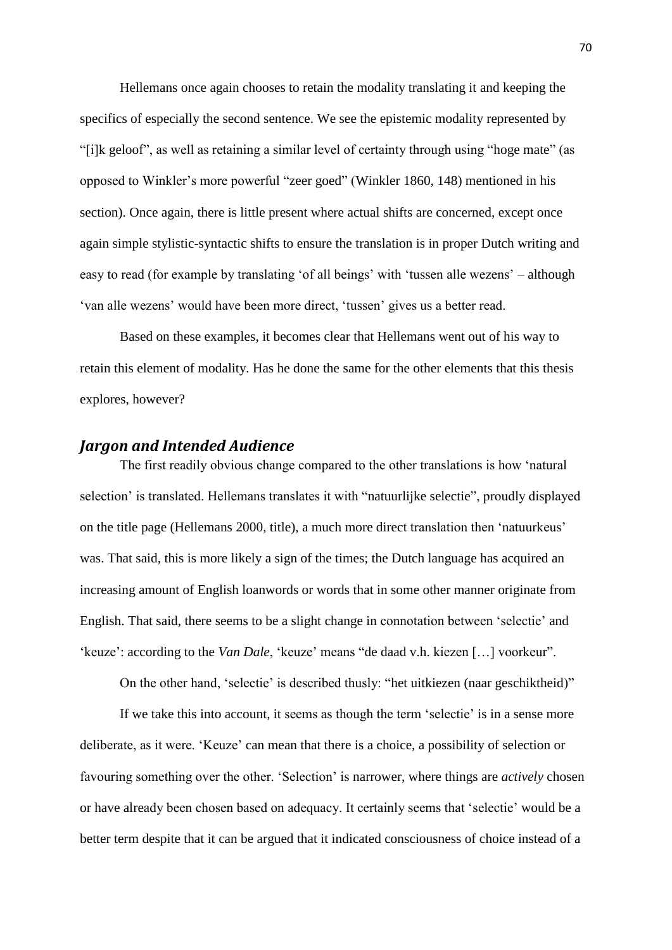Hellemans once again chooses to retain the modality translating it and keeping the specifics of especially the second sentence. We see the epistemic modality represented by "[i]k geloof", as well as retaining a similar level of certainty through using "hoge mate" (as opposed to Winkler's more powerful "zeer goed" (Winkler 1860, 148) mentioned in his section). Once again, there is little present where actual shifts are concerned, except once again simple stylistic-syntactic shifts to ensure the translation is in proper Dutch writing and easy to read (for example by translating 'of all beings' with 'tussen alle wezens' – although 'van alle wezens' would have been more direct, 'tussen' gives us a better read.

Based on these examples, it becomes clear that Hellemans went out of his way to retain this element of modality. Has he done the same for the other elements that this thesis explores, however?

### *Jargon and Intended Audience*

The first readily obvious change compared to the other translations is how 'natural selection' is translated. Hellemans translates it with "natuurlijke selectie", proudly displayed on the title page (Hellemans 2000, title), a much more direct translation then 'natuurkeus' was. That said, this is more likely a sign of the times; the Dutch language has acquired an increasing amount of English loanwords or words that in some other manner originate from English. That said, there seems to be a slight change in connotation between 'selectie' and 'keuze': according to the *Van Dale*, 'keuze' means "de daad v.h. kiezen […] voorkeur".

On the other hand, 'selectie' is described thusly: "het uitkiezen (naar geschiktheid)"

If we take this into account, it seems as though the term 'selectie' is in a sense more deliberate, as it were. 'Keuze' can mean that there is a choice, a possibility of selection or favouring something over the other. 'Selection' is narrower, where things are *actively* chosen or have already been chosen based on adequacy. It certainly seems that 'selectie' would be a better term despite that it can be argued that it indicated consciousness of choice instead of a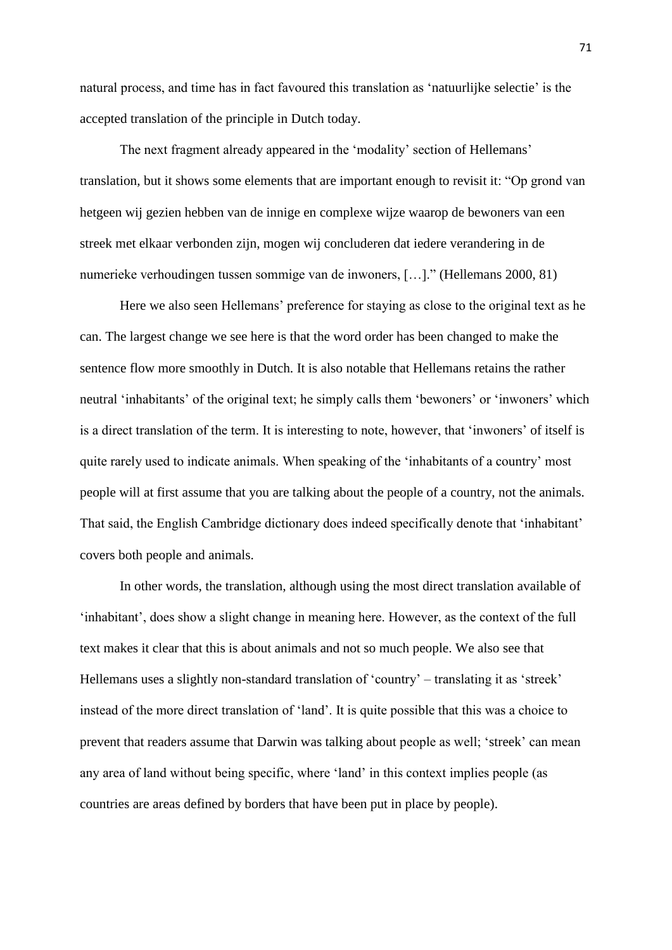natural process, and time has in fact favoured this translation as 'natuurlijke selectie' is the accepted translation of the principle in Dutch today.

The next fragment already appeared in the 'modality' section of Hellemans' translation, but it shows some elements that are important enough to revisit it: "Op grond van hetgeen wij gezien hebben van de innige en complexe wijze waarop de bewoners van een streek met elkaar verbonden zijn, mogen wij concluderen dat iedere verandering in de numerieke verhoudingen tussen sommige van de inwoners, […]." (Hellemans 2000, 81)

Here we also seen Hellemans' preference for staying as close to the original text as he can. The largest change we see here is that the word order has been changed to make the sentence flow more smoothly in Dutch. It is also notable that Hellemans retains the rather neutral 'inhabitants' of the original text; he simply calls them 'bewoners' or 'inwoners' which is a direct translation of the term. It is interesting to note, however, that 'inwoners' of itself is quite rarely used to indicate animals. When speaking of the 'inhabitants of a country' most people will at first assume that you are talking about the people of a country, not the animals. That said, the English Cambridge dictionary does indeed specifically denote that 'inhabitant' covers both people and animals.

In other words, the translation, although using the most direct translation available of 'inhabitant', does show a slight change in meaning here. However, as the context of the full text makes it clear that this is about animals and not so much people. We also see that Hellemans uses a slightly non-standard translation of 'country' – translating it as 'streek' instead of the more direct translation of 'land'. It is quite possible that this was a choice to prevent that readers assume that Darwin was talking about people as well; 'streek' can mean any area of land without being specific, where 'land' in this context implies people (as countries are areas defined by borders that have been put in place by people).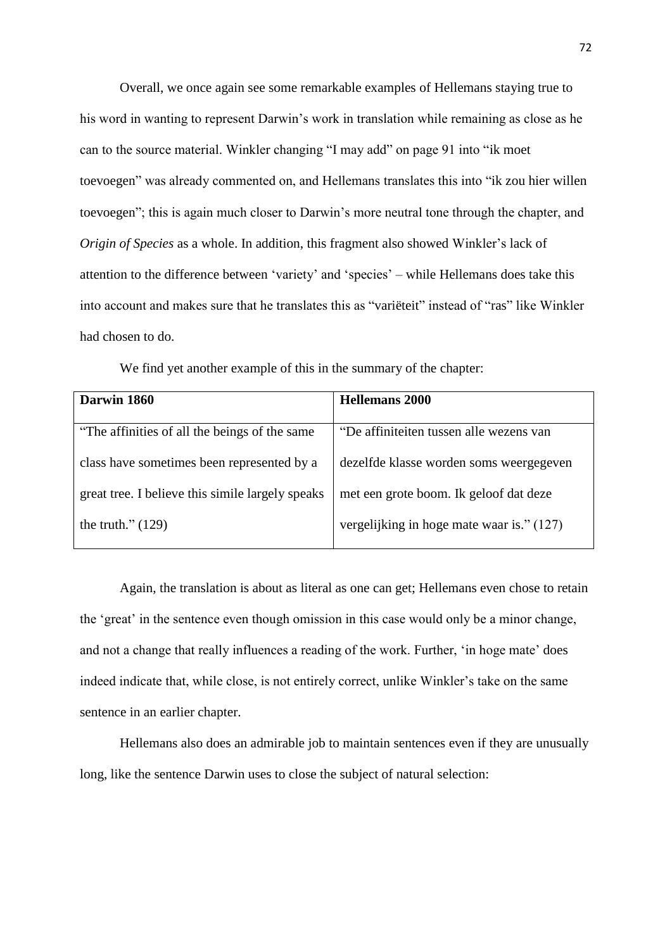Overall, we once again see some remarkable examples of Hellemans staying true to his word in wanting to represent Darwin's work in translation while remaining as close as he can to the source material. Winkler changing "I may add" on page 91 into "ik moet toevoegen" was already commented on, and Hellemans translates this into "ik zou hier willen toevoegen"; this is again much closer to Darwin's more neutral tone through the chapter, and *Origin of Species* as a whole. In addition, this fragment also showed Winkler's lack of attention to the difference between 'variety' and 'species' – while Hellemans does take this into account and makes sure that he translates this as "variëteit" instead of "ras" like Winkler had chosen to do.

| Darwin 1860                                      | Hellemans 2000                          |
|--------------------------------------------------|-----------------------------------------|
|                                                  |                                         |
| "The affinities of all the beings of the same"   | "De affiniteiten tussen alle wezens van |
| class have sometimes been represented by a       | dezelfde klasse worden soms weergegeven |
| great tree. I believe this simile largely speaks | met een grote boom. Ik geloof dat deze  |

We find yet another example of this in the summary of the chapter:

the truth." $(129)$ 

Again, the translation is about as literal as one can get; Hellemans even chose to retain the 'great' in the sentence even though omission in this case would only be a minor change, and not a change that really influences a reading of the work. Further, 'in hoge mate' does indeed indicate that, while close, is not entirely correct, unlike Winkler's take on the same sentence in an earlier chapter.

vergelijking in hoge mate waar is." (127)

Hellemans also does an admirable job to maintain sentences even if they are unusually long, like the sentence Darwin uses to close the subject of natural selection: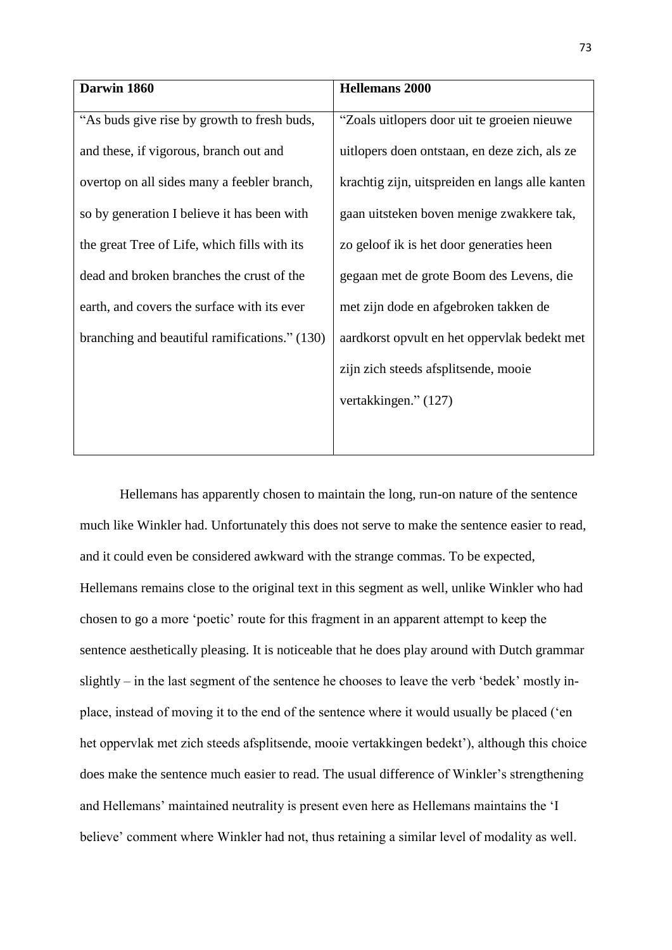| Darwin 1860                                   | <b>Hellemans 2000</b>                           |
|-----------------------------------------------|-------------------------------------------------|
| "As buds give rise by growth to fresh buds,   | "Zoals uitlopers door uit te groeien nieuwe     |
| and these, if vigorous, branch out and        | uitlopers doen ontstaan, en deze zich, als ze   |
| overtop on all sides many a feebler branch,   | krachtig zijn, uitspreiden en langs alle kanten |
| so by generation I believe it has been with   | gaan uitsteken boven menige zwakkere tak,       |
| the great Tree of Life, which fills with its  | zo geloof ik is het door generaties heen        |
| dead and broken branches the crust of the     | gegaan met de grote Boom des Levens, die        |
| earth, and covers the surface with its ever   | met zijn dode en afgebroken takken de           |
| branching and beautiful ramifications." (130) | aardkorst opvult en het oppervlak bedekt met    |
|                                               | zijn zich steeds afsplitsende, mooie            |
|                                               | vertakkingen." (127)                            |
|                                               |                                                 |

Hellemans has apparently chosen to maintain the long, run-on nature of the sentence much like Winkler had. Unfortunately this does not serve to make the sentence easier to read, and it could even be considered awkward with the strange commas. To be expected, Hellemans remains close to the original text in this segment as well, unlike Winkler who had chosen to go a more 'poetic' route for this fragment in an apparent attempt to keep the sentence aesthetically pleasing. It is noticeable that he does play around with Dutch grammar slightly – in the last segment of the sentence he chooses to leave the verb 'bedek' mostly inplace, instead of moving it to the end of the sentence where it would usually be placed ('en het oppervlak met zich steeds afsplitsende, mooie vertakkingen bedekt'), although this choice does make the sentence much easier to read. The usual difference of Winkler's strengthening and Hellemans' maintained neutrality is present even here as Hellemans maintains the 'I believe' comment where Winkler had not, thus retaining a similar level of modality as well.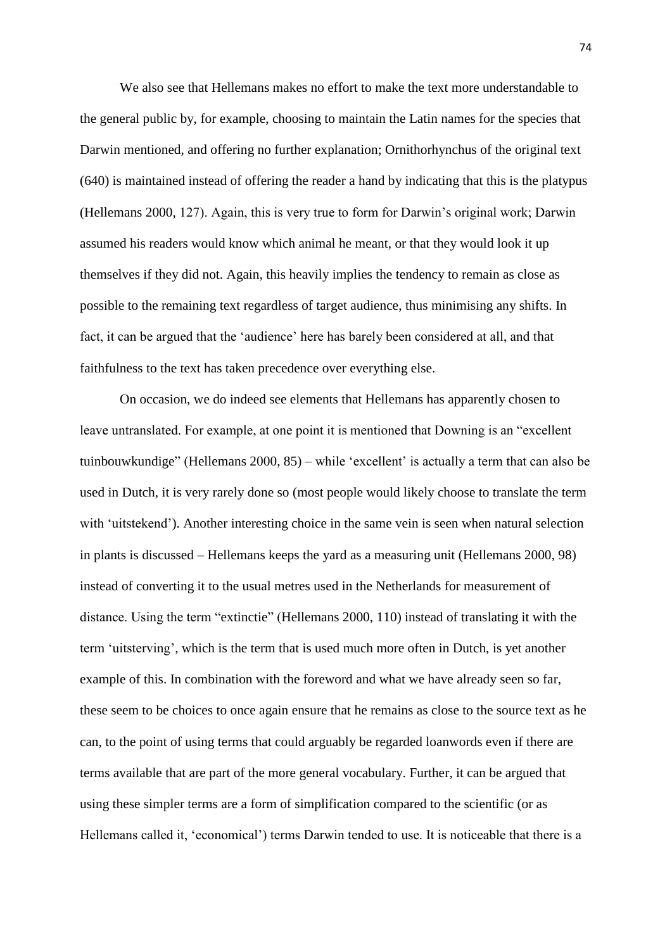We also see that Hellemans makes no effort to make the text more understandable to the general public by, for example, choosing to maintain the Latin names for the species that Darwin mentioned, and offering no further explanation; Ornithorhynchus of the original text (640) is maintained instead of offering the reader a hand by indicating that this is the platypus (Hellemans 2000, 127). Again, this is very true to form for Darwin's original work; Darwin assumed his readers would know which animal he meant, or that they would look it up themselves if they did not. Again, this heavily implies the tendency to remain as close as possible to the remaining text regardless of target audience, thus minimising any shifts. In fact, it can be argued that the 'audience' here has barely been considered at all, and that faithfulness to the text has taken precedence over everything else.

On occasion, we do indeed see elements that Hellemans has apparently chosen to leave untranslated. For example, at one point it is mentioned that Downing is an "excellent tuinbouwkundige" (Hellemans 2000, 85) – while 'excellent' is actually a term that can also be used in Dutch, it is very rarely done so (most people would likely choose to translate the term with 'uitstekend'). Another interesting choice in the same vein is seen when natural selection in plants is discussed – Hellemans keeps the yard as a measuring unit (Hellemans 2000, 98) instead of converting it to the usual metres used in the Netherlands for measurement of distance. Using the term "extinctie" (Hellemans 2000, 110) instead of translating it with the term 'uitsterving', which is the term that is used much more often in Dutch, is yet another example of this. In combination with the foreword and what we have already seen so far, these seem to be choices to once again ensure that he remains as close to the source text as he can, to the point of using terms that could arguably be regarded loanwords even if there are terms available that are part of the more general vocabulary. Further, it can be argued that using these simpler terms are a form of simplification compared to the scientific (or as Hellemans called it, 'economical') terms Darwin tended to use. It is noticeable that there is a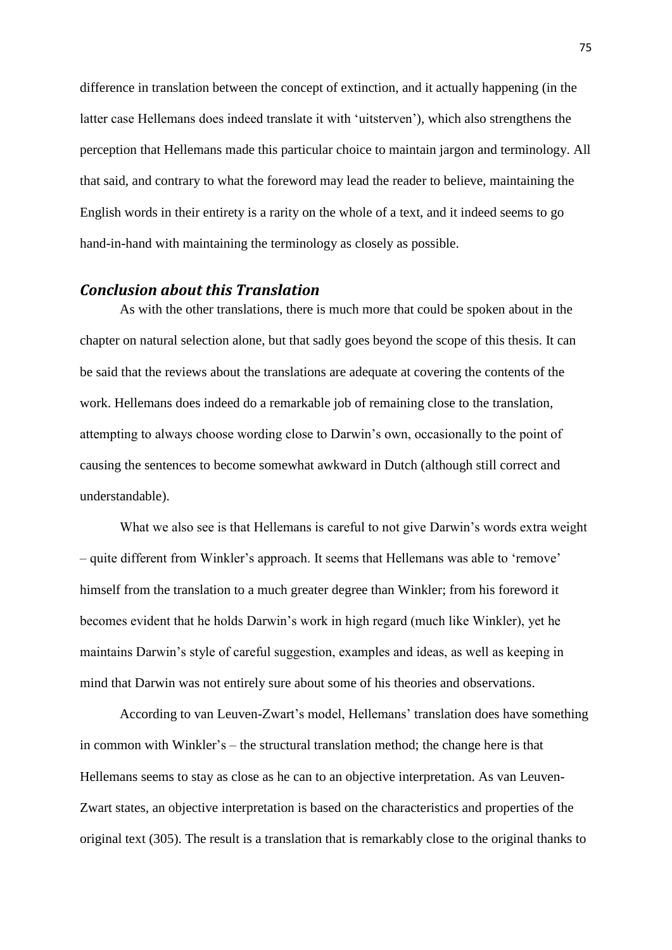difference in translation between the concept of extinction, and it actually happening (in the latter case Hellemans does indeed translate it with 'uitsterven'), which also strengthens the perception that Hellemans made this particular choice to maintain jargon and terminology. All that said, and contrary to what the foreword may lead the reader to believe, maintaining the English words in their entirety is a rarity on the whole of a text, and it indeed seems to go hand-in-hand with maintaining the terminology as closely as possible.

## *Conclusion about this Translation*

As with the other translations, there is much more that could be spoken about in the chapter on natural selection alone, but that sadly goes beyond the scope of this thesis. It can be said that the reviews about the translations are adequate at covering the contents of the work. Hellemans does indeed do a remarkable job of remaining close to the translation, attempting to always choose wording close to Darwin's own, occasionally to the point of causing the sentences to become somewhat awkward in Dutch (although still correct and understandable).

What we also see is that Hellemans is careful to not give Darwin's words extra weight – quite different from Winkler's approach. It seems that Hellemans was able to 'remove' himself from the translation to a much greater degree than Winkler; from his foreword it becomes evident that he holds Darwin's work in high regard (much like Winkler), yet he maintains Darwin's style of careful suggestion, examples and ideas, as well as keeping in mind that Darwin was not entirely sure about some of his theories and observations.

According to van Leuven-Zwart's model, Hellemans' translation does have something in common with Winkler's – the structural translation method; the change here is that Hellemans seems to stay as close as he can to an objective interpretation. As van Leuven-Zwart states, an objective interpretation is based on the characteristics and properties of the original text (305). The result is a translation that is remarkably close to the original thanks to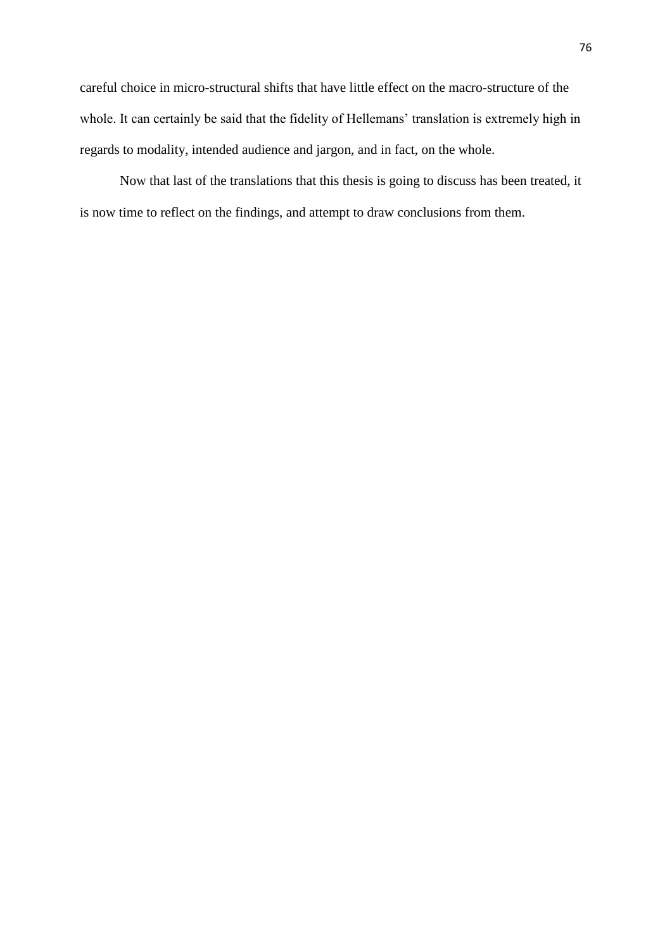careful choice in micro-structural shifts that have little effect on the macro-structure of the whole. It can certainly be said that the fidelity of Hellemans' translation is extremely high in regards to modality, intended audience and jargon, and in fact, on the whole.

Now that last of the translations that this thesis is going to discuss has been treated, it is now time to reflect on the findings, and attempt to draw conclusions from them.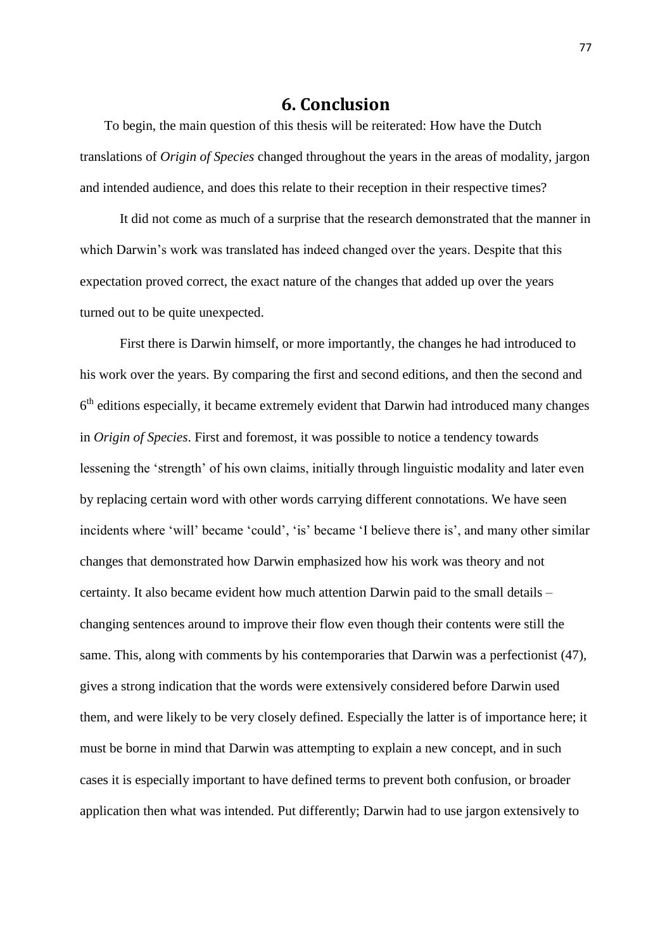## **6. Conclusion**

To begin, the main question of this thesis will be reiterated: How have the Dutch translations of *Origin of Species* changed throughout the years in the areas of modality, jargon and intended audience, and does this relate to their reception in their respective times?

It did not come as much of a surprise that the research demonstrated that the manner in which Darwin's work was translated has indeed changed over the years. Despite that this expectation proved correct, the exact nature of the changes that added up over the years turned out to be quite unexpected.

First there is Darwin himself, or more importantly, the changes he had introduced to his work over the years. By comparing the first and second editions, and then the second and 6<sup>th</sup> editions especially, it became extremely evident that Darwin had introduced many changes in *Origin of Species*. First and foremost, it was possible to notice a tendency towards lessening the 'strength' of his own claims, initially through linguistic modality and later even by replacing certain word with other words carrying different connotations. We have seen incidents where 'will' became 'could', 'is' became 'I believe there is', and many other similar changes that demonstrated how Darwin emphasized how his work was theory and not certainty. It also became evident how much attention Darwin paid to the small details – changing sentences around to improve their flow even though their contents were still the same. This, along with comments by his contemporaries that Darwin was a perfectionist (47), gives a strong indication that the words were extensively considered before Darwin used them, and were likely to be very closely defined. Especially the latter is of importance here; it must be borne in mind that Darwin was attempting to explain a new concept, and in such cases it is especially important to have defined terms to prevent both confusion, or broader application then what was intended. Put differently; Darwin had to use jargon extensively to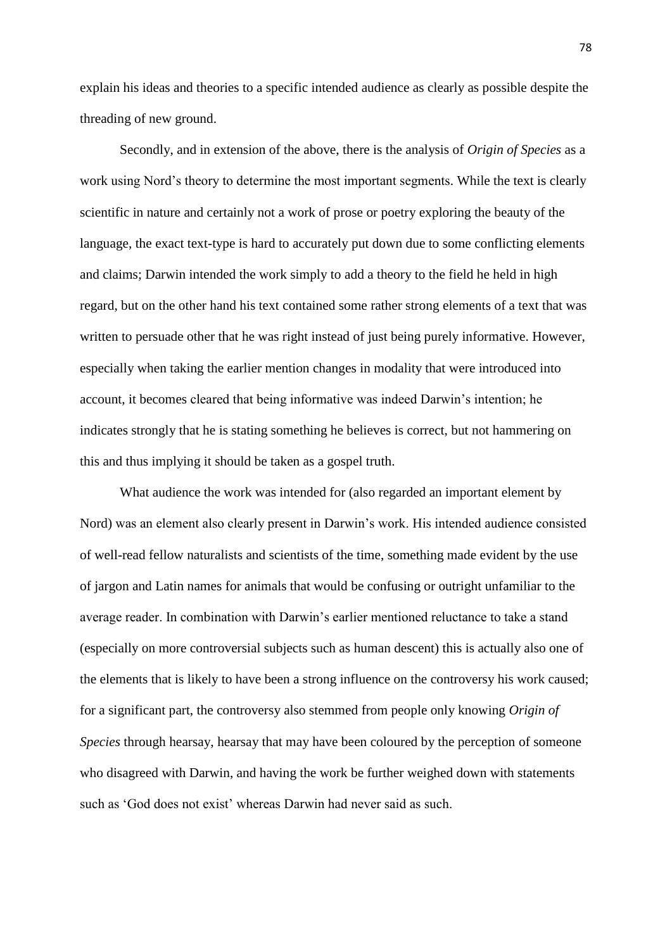explain his ideas and theories to a specific intended audience as clearly as possible despite the threading of new ground.

Secondly, and in extension of the above, there is the analysis of *Origin of Species* as a work using Nord's theory to determine the most important segments. While the text is clearly scientific in nature and certainly not a work of prose or poetry exploring the beauty of the language, the exact text-type is hard to accurately put down due to some conflicting elements and claims; Darwin intended the work simply to add a theory to the field he held in high regard, but on the other hand his text contained some rather strong elements of a text that was written to persuade other that he was right instead of just being purely informative. However, especially when taking the earlier mention changes in modality that were introduced into account, it becomes cleared that being informative was indeed Darwin's intention; he indicates strongly that he is stating something he believes is correct, but not hammering on this and thus implying it should be taken as a gospel truth.

What audience the work was intended for (also regarded an important element by Nord) was an element also clearly present in Darwin's work. His intended audience consisted of well-read fellow naturalists and scientists of the time, something made evident by the use of jargon and Latin names for animals that would be confusing or outright unfamiliar to the average reader. In combination with Darwin's earlier mentioned reluctance to take a stand (especially on more controversial subjects such as human descent) this is actually also one of the elements that is likely to have been a strong influence on the controversy his work caused; for a significant part, the controversy also stemmed from people only knowing *Origin of Species* through hearsay, hearsay that may have been coloured by the perception of someone who disagreed with Darwin, and having the work be further weighed down with statements such as 'God does not exist' whereas Darwin had never said as such.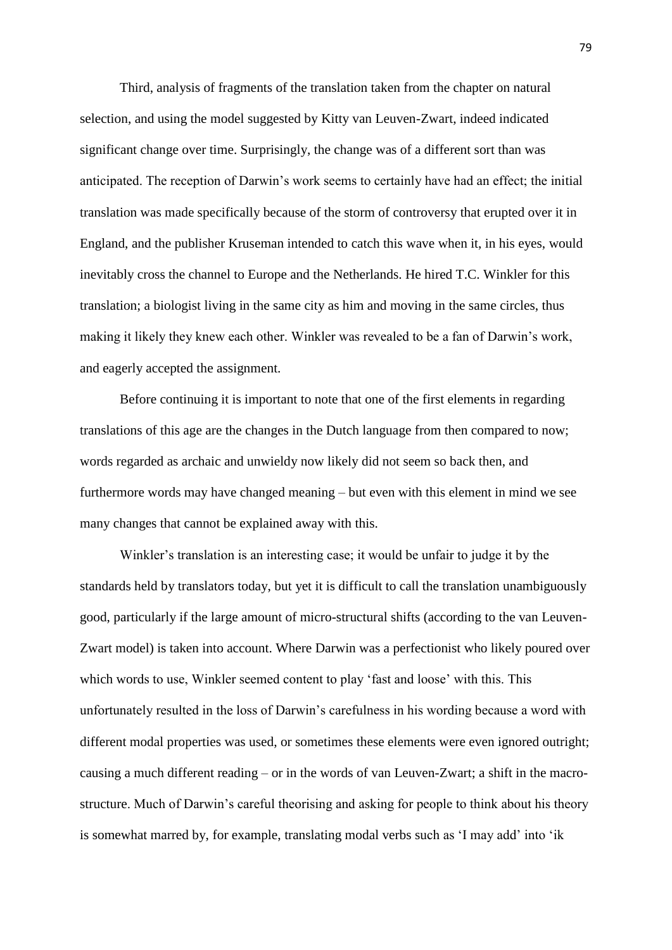Third, analysis of fragments of the translation taken from the chapter on natural selection, and using the model suggested by Kitty van Leuven-Zwart, indeed indicated significant change over time. Surprisingly, the change was of a different sort than was anticipated. The reception of Darwin's work seems to certainly have had an effect; the initial translation was made specifically because of the storm of controversy that erupted over it in England, and the publisher Kruseman intended to catch this wave when it, in his eyes, would inevitably cross the channel to Europe and the Netherlands. He hired T.C. Winkler for this translation; a biologist living in the same city as him and moving in the same circles, thus making it likely they knew each other. Winkler was revealed to be a fan of Darwin's work, and eagerly accepted the assignment.

Before continuing it is important to note that one of the first elements in regarding translations of this age are the changes in the Dutch language from then compared to now; words regarded as archaic and unwieldy now likely did not seem so back then, and furthermore words may have changed meaning – but even with this element in mind we see many changes that cannot be explained away with this.

Winkler's translation is an interesting case; it would be unfair to judge it by the standards held by translators today, but yet it is difficult to call the translation unambiguously good, particularly if the large amount of micro-structural shifts (according to the van Leuven-Zwart model) is taken into account. Where Darwin was a perfectionist who likely poured over which words to use, Winkler seemed content to play 'fast and loose' with this. This unfortunately resulted in the loss of Darwin's carefulness in his wording because a word with different modal properties was used, or sometimes these elements were even ignored outright; causing a much different reading – or in the words of van Leuven-Zwart; a shift in the macrostructure. Much of Darwin's careful theorising and asking for people to think about his theory is somewhat marred by, for example, translating modal verbs such as 'I may add' into 'ik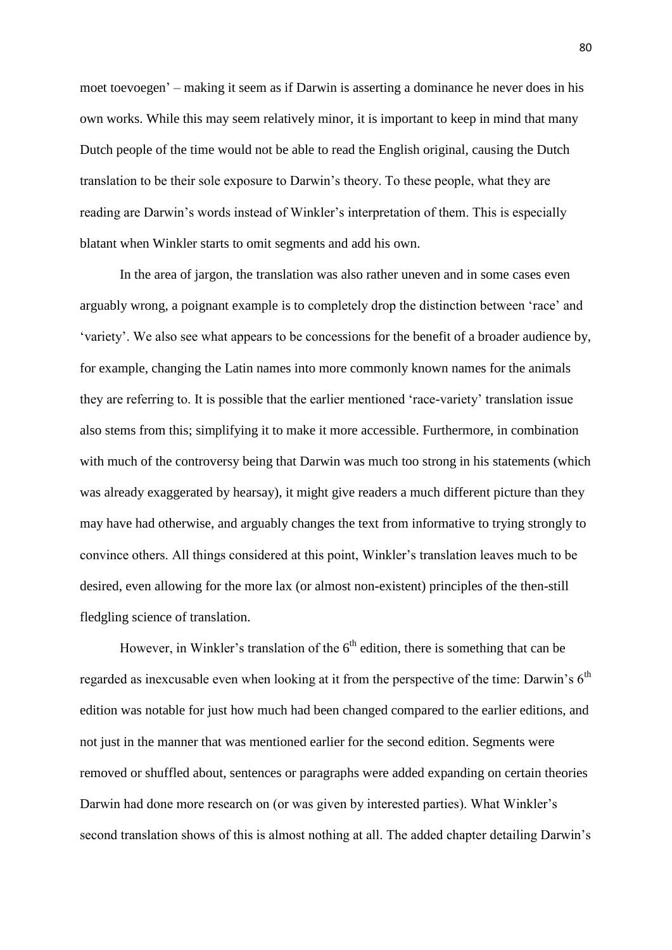moet toevoegen' – making it seem as if Darwin is asserting a dominance he never does in his own works. While this may seem relatively minor, it is important to keep in mind that many Dutch people of the time would not be able to read the English original, causing the Dutch translation to be their sole exposure to Darwin's theory. To these people, what they are reading are Darwin's words instead of Winkler's interpretation of them. This is especially blatant when Winkler starts to omit segments and add his own.

In the area of jargon, the translation was also rather uneven and in some cases even arguably wrong, a poignant example is to completely drop the distinction between 'race' and 'variety'. We also see what appears to be concessions for the benefit of a broader audience by, for example, changing the Latin names into more commonly known names for the animals they are referring to. It is possible that the earlier mentioned 'race-variety' translation issue also stems from this; simplifying it to make it more accessible. Furthermore, in combination with much of the controversy being that Darwin was much too strong in his statements (which was already exaggerated by hearsay), it might give readers a much different picture than they may have had otherwise, and arguably changes the text from informative to trying strongly to convince others. All things considered at this point, Winkler's translation leaves much to be desired, even allowing for the more lax (or almost non-existent) principles of the then-still fledgling science of translation.

However, in Winkler's translation of the  $6<sup>th</sup>$  edition, there is something that can be regarded as inexcusable even when looking at it from the perspective of the time: Darwin's  $6<sup>th</sup>$ edition was notable for just how much had been changed compared to the earlier editions, and not just in the manner that was mentioned earlier for the second edition. Segments were removed or shuffled about, sentences or paragraphs were added expanding on certain theories Darwin had done more research on (or was given by interested parties). What Winkler's second translation shows of this is almost nothing at all. The added chapter detailing Darwin's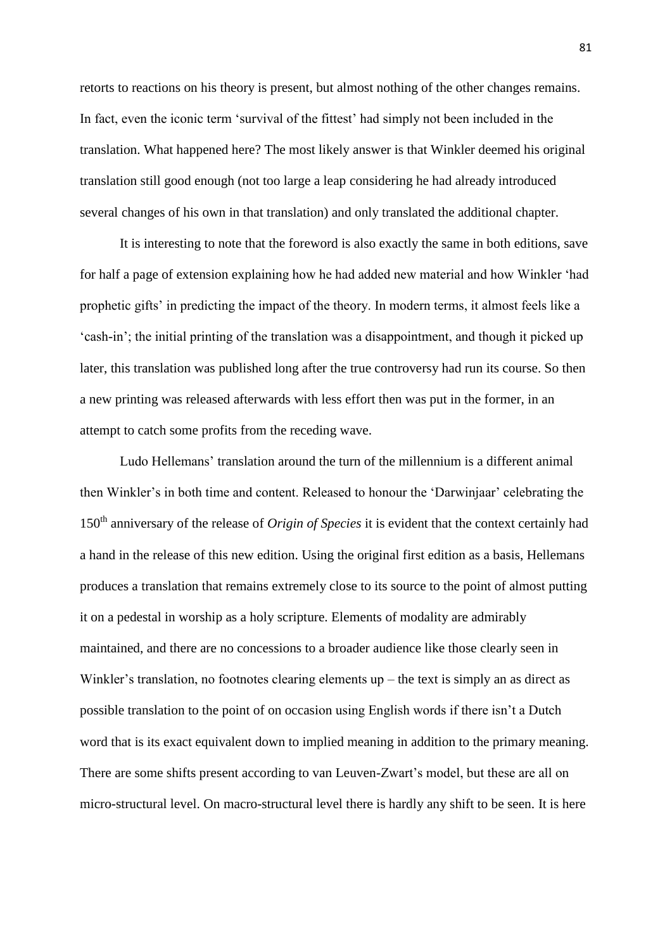retorts to reactions on his theory is present, but almost nothing of the other changes remains. In fact, even the iconic term 'survival of the fittest' had simply not been included in the translation. What happened here? The most likely answer is that Winkler deemed his original translation still good enough (not too large a leap considering he had already introduced several changes of his own in that translation) and only translated the additional chapter.

It is interesting to note that the foreword is also exactly the same in both editions, save for half a page of extension explaining how he had added new material and how Winkler 'had prophetic gifts' in predicting the impact of the theory. In modern terms, it almost feels like a 'cash-in'; the initial printing of the translation was a disappointment, and though it picked up later, this translation was published long after the true controversy had run its course. So then a new printing was released afterwards with less effort then was put in the former, in an attempt to catch some profits from the receding wave.

Ludo Hellemans' translation around the turn of the millennium is a different animal then Winkler's in both time and content. Released to honour the 'Darwinjaar' celebrating the 150th anniversary of the release of *Origin of Species* it is evident that the context certainly had a hand in the release of this new edition. Using the original first edition as a basis, Hellemans produces a translation that remains extremely close to its source to the point of almost putting it on a pedestal in worship as a holy scripture. Elements of modality are admirably maintained, and there are no concessions to a broader audience like those clearly seen in Winkler's translation, no footnotes clearing elements up – the text is simply an as direct as possible translation to the point of on occasion using English words if there isn't a Dutch word that is its exact equivalent down to implied meaning in addition to the primary meaning. There are some shifts present according to van Leuven-Zwart's model, but these are all on micro-structural level. On macro-structural level there is hardly any shift to be seen. It is here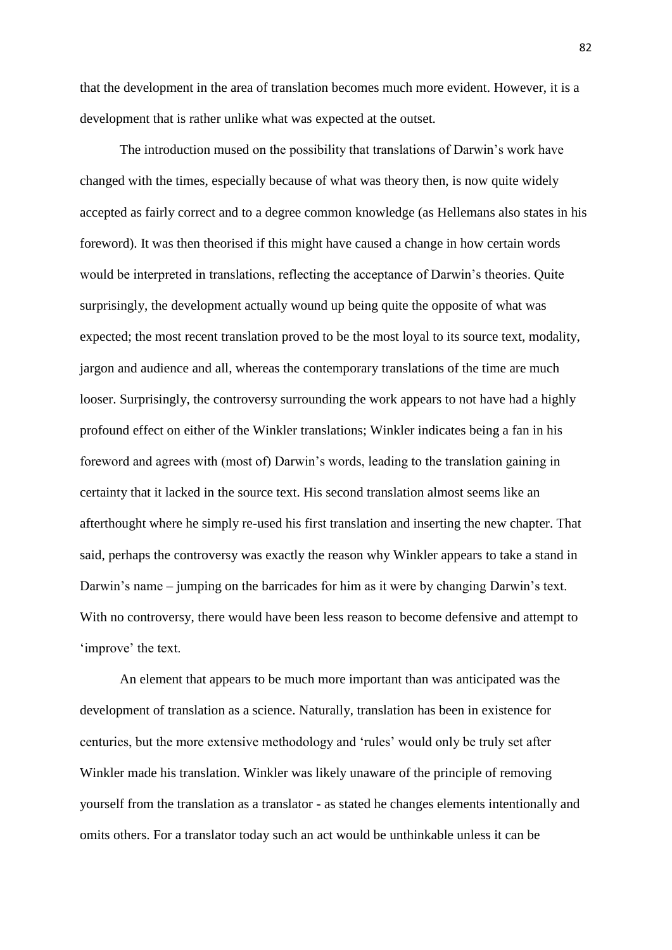that the development in the area of translation becomes much more evident. However, it is a development that is rather unlike what was expected at the outset.

The introduction mused on the possibility that translations of Darwin's work have changed with the times, especially because of what was theory then, is now quite widely accepted as fairly correct and to a degree common knowledge (as Hellemans also states in his foreword). It was then theorised if this might have caused a change in how certain words would be interpreted in translations, reflecting the acceptance of Darwin's theories. Quite surprisingly, the development actually wound up being quite the opposite of what was expected; the most recent translation proved to be the most loyal to its source text, modality, jargon and audience and all, whereas the contemporary translations of the time are much looser. Surprisingly, the controversy surrounding the work appears to not have had a highly profound effect on either of the Winkler translations; Winkler indicates being a fan in his foreword and agrees with (most of) Darwin's words, leading to the translation gaining in certainty that it lacked in the source text. His second translation almost seems like an afterthought where he simply re-used his first translation and inserting the new chapter. That said, perhaps the controversy was exactly the reason why Winkler appears to take a stand in Darwin's name – jumping on the barricades for him as it were by changing Darwin's text. With no controversy, there would have been less reason to become defensive and attempt to 'improve' the text.

An element that appears to be much more important than was anticipated was the development of translation as a science. Naturally, translation has been in existence for centuries, but the more extensive methodology and 'rules' would only be truly set after Winkler made his translation. Winkler was likely unaware of the principle of removing yourself from the translation as a translator - as stated he changes elements intentionally and omits others. For a translator today such an act would be unthinkable unless it can be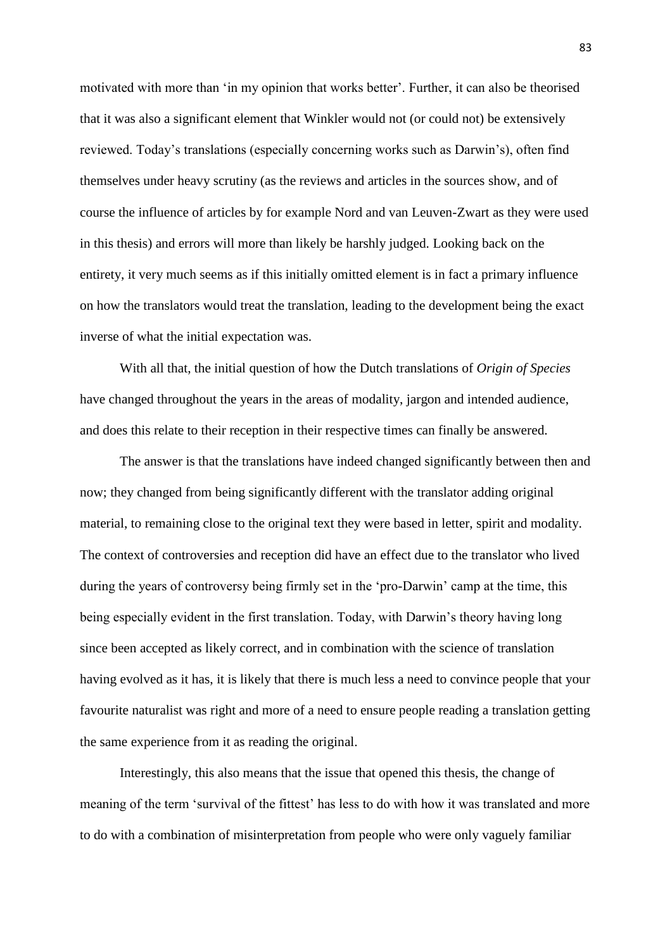motivated with more than 'in my opinion that works better'. Further, it can also be theorised that it was also a significant element that Winkler would not (or could not) be extensively reviewed. Today's translations (especially concerning works such as Darwin's), often find themselves under heavy scrutiny (as the reviews and articles in the sources show, and of course the influence of articles by for example Nord and van Leuven-Zwart as they were used in this thesis) and errors will more than likely be harshly judged. Looking back on the entirety, it very much seems as if this initially omitted element is in fact a primary influence on how the translators would treat the translation, leading to the development being the exact inverse of what the initial expectation was.

With all that, the initial question of how the Dutch translations of *Origin of Species* have changed throughout the years in the areas of modality, jargon and intended audience, and does this relate to their reception in their respective times can finally be answered.

The answer is that the translations have indeed changed significantly between then and now; they changed from being significantly different with the translator adding original material, to remaining close to the original text they were based in letter, spirit and modality. The context of controversies and reception did have an effect due to the translator who lived during the years of controversy being firmly set in the 'pro-Darwin' camp at the time, this being especially evident in the first translation. Today, with Darwin's theory having long since been accepted as likely correct, and in combination with the science of translation having evolved as it has, it is likely that there is much less a need to convince people that your favourite naturalist was right and more of a need to ensure people reading a translation getting the same experience from it as reading the original.

Interestingly, this also means that the issue that opened this thesis, the change of meaning of the term 'survival of the fittest' has less to do with how it was translated and more to do with a combination of misinterpretation from people who were only vaguely familiar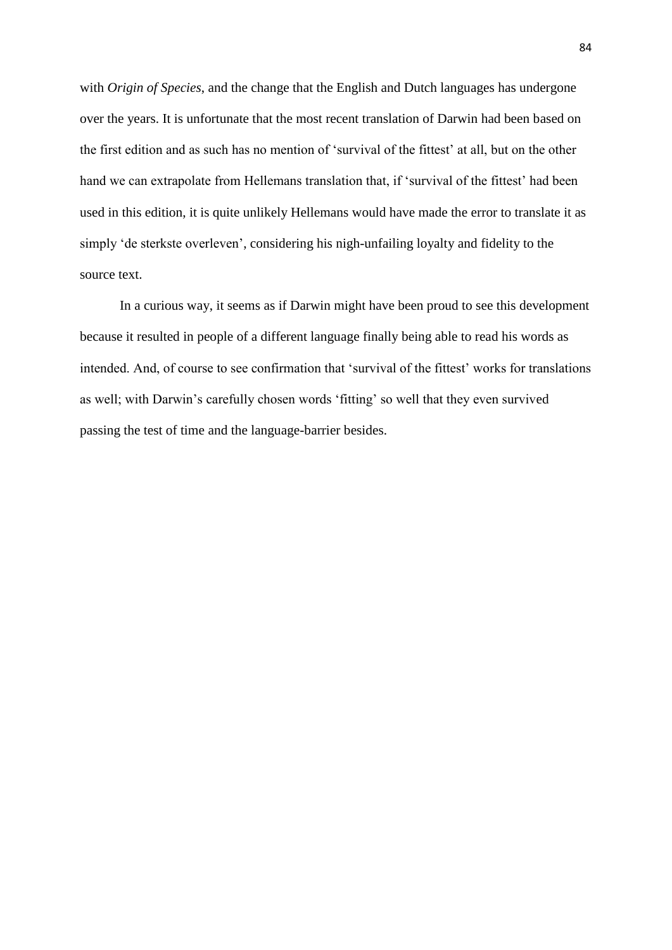with *Origin of Species*, and the change that the English and Dutch languages has undergone over the years. It is unfortunate that the most recent translation of Darwin had been based on the first edition and as such has no mention of 'survival of the fittest' at all, but on the other hand we can extrapolate from Hellemans translation that, if 'survival of the fittest' had been used in this edition, it is quite unlikely Hellemans would have made the error to translate it as simply 'de sterkste overleven', considering his nigh-unfailing loyalty and fidelity to the source text.

In a curious way, it seems as if Darwin might have been proud to see this development because it resulted in people of a different language finally being able to read his words as intended. And, of course to see confirmation that 'survival of the fittest' works for translations as well; with Darwin's carefully chosen words 'fitting' so well that they even survived passing the test of time and the language-barrier besides.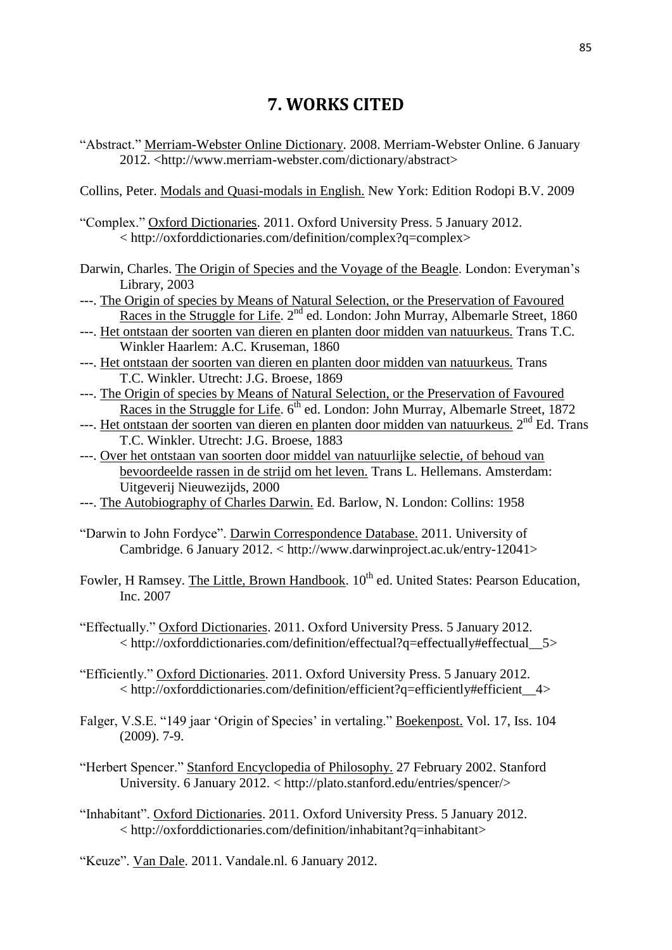## **7. WORKS CITED**

"Abstract." Merriam-Webster Online Dictionary. 2008. Merriam-Webster Online. 6 January 2012. <http://www.merriam-webster.com/dictionary/abstract>

Collins, Peter. Modals and Quasi-modals in English. New York: Edition Rodopi B.V. 2009

- "Complex." Oxford Dictionaries. 2011. Oxford University Press. 5 January 2012. < http://oxforddictionaries.com/definition/complex?q=complex>
- Darwin, Charles. The Origin of Species and the Voyage of the Beagle. London: Everyman's Library, 2003
- ---. The Origin of species by Means of Natural Selection, or the Preservation of Favoured Races in the Struggle for Life. 2<sup>nd</sup> ed. London: John Murray, Albemarle Street, 1860
- ---. Het ontstaan der soorten van dieren en planten door midden van natuurkeus*.* Trans T.C. Winkler Haarlem: A.C. Kruseman, 1860
- ---. Het ontstaan der soorten van dieren en planten door midden van natuurkeus*.* Trans T.C. Winkler. Utrecht: J.G. Broese, 1869
- ---. The Origin of species by Means of Natural Selection, or the Preservation of Favoured Races in the Struggle for Life.  $6<sup>th</sup>$  ed. London: John Murray, Albemarle Street, 1872
- ---. Het ontstaan der soorten van dieren en planten door midden van natuurkeus. 2<sup>nd</sup> Ed. Trans T.C. Winkler. Utrecht: J.G. Broese, 1883
- ---. Over het ontstaan van soorten door middel van natuurlijke selectie, of behoud van bevoordeelde rassen in de strijd om het leven. Trans L. Hellemans. Amsterdam: Uitgeverij Nieuwezijds, 2000
- ---. The Autobiography of Charles Darwin. Ed. Barlow, N. London: Collins: 1958
- "Darwin to John Fordyce". Darwin Correspondence Database. 2011. University of Cambridge. 6 January 2012. < http://www.darwinproject.ac.uk/entry-12041>
- Fowler, H Ramsey. The Little, Brown Handbook.  $10^{th}$  ed. United States: Pearson Education, Inc. 2007
- "Effectually." Oxford Dictionaries. 2011. Oxford University Press. 5 January 2012. < http://oxforddictionaries.com/definition/effectual?q=effectually#effectual\_\_5>
- "Efficiently." Oxford Dictionaries. 2011. Oxford University Press. 5 January 2012.  $\langle$ http://oxforddictionaries.com/definition/efficient?q=efficiently#efficient 4>
- Falger, V.S.E. "149 jaar 'Origin of Species' in vertaling." Boekenpost. Vol. 17, Iss. 104 (2009). 7-9.
- "Herbert Spencer." Stanford Encyclopedia of Philosophy. 27 February 2002. Stanford University. 6 January 2012. < http://plato.stanford.edu/entries/spencer/>
- "Inhabitant". Oxford Dictionaries. 2011. Oxford University Press. 5 January 2012. < http://oxforddictionaries.com/definition/inhabitant?q=inhabitant>
- "Keuze". Van Dale. 2011. Vandale.nl. 6 January 2012.